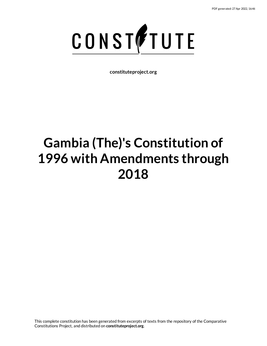

**constituteproject.org**

# **Gambia (The)'s Constitution of 1996 with Amendments through 2018**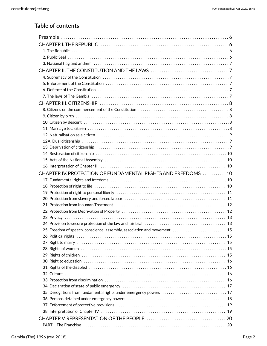## **Table of contents**

| CHAPTER IV. PROTECTION OF FUNDAMENTAL RIGHTS AND FREEDOMS 10              |  |
|---------------------------------------------------------------------------|--|
|                                                                           |  |
|                                                                           |  |
|                                                                           |  |
|                                                                           |  |
|                                                                           |  |
|                                                                           |  |
|                                                                           |  |
|                                                                           |  |
| 25. Freedom of speech, conscience, assembly, association and movement  15 |  |
|                                                                           |  |
|                                                                           |  |
|                                                                           |  |
|                                                                           |  |
|                                                                           |  |
|                                                                           |  |
|                                                                           |  |
|                                                                           |  |
|                                                                           |  |
| 35. Derogations from fundamental rights under emergency powers  17        |  |
|                                                                           |  |
|                                                                           |  |
|                                                                           |  |
|                                                                           |  |
|                                                                           |  |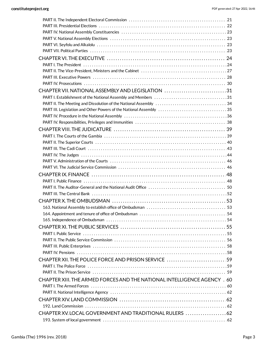| CHAPTER VII. NATIONAL ASSEMBLY AND LEGISLATION 31                        |  |
|--------------------------------------------------------------------------|--|
|                                                                          |  |
|                                                                          |  |
| PART III. Legislation and Other Powers of the National Assembly 35       |  |
|                                                                          |  |
|                                                                          |  |
|                                                                          |  |
|                                                                          |  |
|                                                                          |  |
|                                                                          |  |
|                                                                          |  |
|                                                                          |  |
|                                                                          |  |
|                                                                          |  |
|                                                                          |  |
|                                                                          |  |
|                                                                          |  |
|                                                                          |  |
|                                                                          |  |
|                                                                          |  |
|                                                                          |  |
|                                                                          |  |
|                                                                          |  |
|                                                                          |  |
|                                                                          |  |
|                                                                          |  |
|                                                                          |  |
| CHAPTER XII. THE POLICE FORCE AND PRISON SERVICE 59                      |  |
|                                                                          |  |
|                                                                          |  |
| CHAPTER XIII. THE ARMED FORCES AND THE NATIONAL INTELLIGENCE AGENCY . 60 |  |
|                                                                          |  |
|                                                                          |  |
|                                                                          |  |
|                                                                          |  |
| CHAPTER XV. LOCAL GOVERNMENT AND TRADITIONAL RULERS  62                  |  |
|                                                                          |  |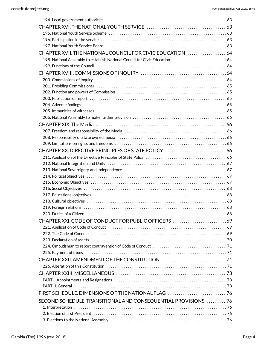| CHAPTER XVII. THE NATIONAL COUNCIL FOR CIVIC EDUCATION  64                   |  |
|------------------------------------------------------------------------------|--|
| 198. National Assembly to establish National Council for Civic Education  64 |  |
|                                                                              |  |
|                                                                              |  |
|                                                                              |  |
|                                                                              |  |
|                                                                              |  |
|                                                                              |  |
|                                                                              |  |
|                                                                              |  |
|                                                                              |  |
|                                                                              |  |
|                                                                              |  |
|                                                                              |  |
|                                                                              |  |
| CHAPTER XX. DIRECTIVE PRINCIPLES OF STATE POLICY  66                         |  |
|                                                                              |  |
|                                                                              |  |
|                                                                              |  |
|                                                                              |  |
|                                                                              |  |
|                                                                              |  |
|                                                                              |  |
|                                                                              |  |
|                                                                              |  |
|                                                                              |  |
| CHAPTER XXI. CODE OF CONDUCT FOR PUBLIC OFFICERS 69                          |  |
|                                                                              |  |
|                                                                              |  |
|                                                                              |  |
|                                                                              |  |
|                                                                              |  |
|                                                                              |  |
|                                                                              |  |
|                                                                              |  |
|                                                                              |  |
|                                                                              |  |
|                                                                              |  |
|                                                                              |  |
| SECOND SCHEDULE. TRANSITIONAL AND CONSEQUENTIAL PROVISIONS  76               |  |
|                                                                              |  |
|                                                                              |  |
|                                                                              |  |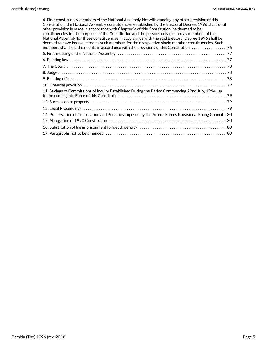| 4. First constituency members of the National Assembly Notwithstanding any other provision of this<br>Constitution, the National Assembly constituencies established by the Electoral Decree, 1996 shall, until<br>other provision is made in accordance with Chapter V of this Constitution, be deemed to be<br>constituencies for the purposes of the Constitution and the persons duly elected as members of the<br>National Assembly for those constituencies in accordance with the said Electoral Decree 1996 shall be<br>deemed to have been elected as such members for their respective single member constituencies. Such |  |
|-------------------------------------------------------------------------------------------------------------------------------------------------------------------------------------------------------------------------------------------------------------------------------------------------------------------------------------------------------------------------------------------------------------------------------------------------------------------------------------------------------------------------------------------------------------------------------------------------------------------------------------|--|
|                                                                                                                                                                                                                                                                                                                                                                                                                                                                                                                                                                                                                                     |  |
|                                                                                                                                                                                                                                                                                                                                                                                                                                                                                                                                                                                                                                     |  |
|                                                                                                                                                                                                                                                                                                                                                                                                                                                                                                                                                                                                                                     |  |
|                                                                                                                                                                                                                                                                                                                                                                                                                                                                                                                                                                                                                                     |  |
|                                                                                                                                                                                                                                                                                                                                                                                                                                                                                                                                                                                                                                     |  |
|                                                                                                                                                                                                                                                                                                                                                                                                                                                                                                                                                                                                                                     |  |
| 11. Savings of Commissions of Inquiry Established During the Period Commencing 22nd July, 1994, up                                                                                                                                                                                                                                                                                                                                                                                                                                                                                                                                  |  |
|                                                                                                                                                                                                                                                                                                                                                                                                                                                                                                                                                                                                                                     |  |
|                                                                                                                                                                                                                                                                                                                                                                                                                                                                                                                                                                                                                                     |  |
| 14. Preservation of Confiscation and Penalties imposed by the Armed Forces Provisional Ruling Council . 80                                                                                                                                                                                                                                                                                                                                                                                                                                                                                                                          |  |
|                                                                                                                                                                                                                                                                                                                                                                                                                                                                                                                                                                                                                                     |  |
|                                                                                                                                                                                                                                                                                                                                                                                                                                                                                                                                                                                                                                     |  |
|                                                                                                                                                                                                                                                                                                                                                                                                                                                                                                                                                                                                                                     |  |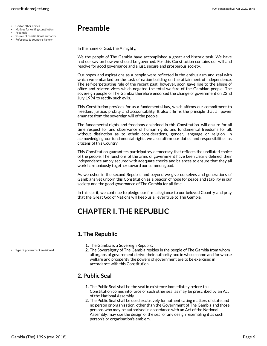- God or other deities  $\sim$
- Motives for writing constitution Preamble
- 
- Source of constitutional authority Reference to country's history

## <span id="page-5-0"></span>**Preamble**

In the name of God, the Almighty,

We the people of The Gambia have accomplished a great and historic task. We have had our say on how we should be governed. For this Constitution contains our will and resolve for good governance and a just, secure and prosperous society.

Our hopes and aspirations as a people were reflected in the enthusiasm and zeal with which we embarked on the task of nation building on the attainment of independence. The self-perpetuating rule of the recent past, however, soon gave rise to the abuse of office and related vices which negated the total welfare of the Gambian people. The sovereign people of The Gambia therefore endorsed the change of government on 22nd July 1994 to rectify such evils.

This Constitution provides for us a fundamental law, which affirms our commitment to freedom, justice, probity and accountability. It also affirms the principle that all power emanate from the sovereign will of the people.

The fundamental rights and freedoms enshrined in this Constitution, will ensure for all time respect for and observance of human rights and fundamental freedoms for all, without distinction as to ethnic considerations, gender, language or religion. In acknowledging our fundamental rights we also affirm our duties and responsibilities as citizens of this Country.

This Constitution guarantees participatory democracy that reflects the undiluted choice of the people. The functions of the arms of government have been clearly defined, their independence amply secured with adequate checks and balances to ensure that they all work harmoniously together toward our common good.

As we usher in the second Republic and beyond we give ourselves and generations of Gambians yet unborn this Constitution as a beacon of hope for peace and stability in our society and the good governance of The Gambia for all time.

In this spirit, we continue to pledge our firm allegiance to our beloved Country and pray that the Great God of Nations will keep us all ever true to The Gambia.

## <span id="page-5-1"></span>**CHAPTER I. THE REPUBLIC**

## <span id="page-5-2"></span>**1. The Republic**

- **1.** The Gambia is a Sovereign Republic.
- **2.** The Sovereignty of The Gambia resides in the people of The Gambia from whom all organs of government derive their authority and in whose name and for whose welfare and prosperity the powers of government are to be exercised in accordance with this Constitution.

## <span id="page-5-3"></span>**2. Public Seal**

- **1.** The Public Seal shall be the seal in existence immediately before this Constitution comes into force or such other seal as may be prescribed by an Act of the National Assembly.
- **2.** The Public Seal shall be used exclusively for authenticating matters of state and no person or organisation, other than the Government of The Gambia and those persons who may be authorised in accordance with an Act of the National Assembly, may use the design of the seal or any design resembling it as such person's or organisation's emblem.

Type of government envisioned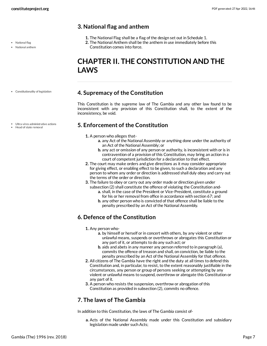• National flag National anthem

## <span id="page-6-0"></span>**3. National flag and anthem**

- **1.** The National Flag shall be a flag of the design set out in Schedule 1.
- **2.** The National Anthem shall be the anthem in use immediately before this Constitution comes into force.

## <span id="page-6-1"></span>**CHAPTER II. THE CONSTITUTION AND THE LAWS**

Constitutionality of legislation

Ultra-vires administrative actions Head of state removal

## <span id="page-6-2"></span>**4. Supremacy of the Constitution**

This Constitution is the supreme law of The Gambia and any other law found to be inconsistent with any provision of this Constitution shall, to the extent of the inconsistency, be void.

## <span id="page-6-3"></span>**5. Enforcement of the Constitution**

- **1.** A person who alleges that
	- **a.** any Act of the National Assembly or anything done under the authority of an Act of the National Assembly; or
	- **b.** any act or omission of any person or authority, is inconsistent with or is in contravention of a provision of this Constitution, may bring an action in a court of competent jurisdiction for a declaration to that effect.
- **2.** The court may make orders and give directions as it may consider appropriate for giving effect, or enabling effect to be given, to such a declaration and any person to whom any order or direction is addressed shall duly obey and carry out the terms of the order or direction.
- **3.** The failure to obey or carry out any order made or direction given under
	- subsection (2) shall constitute the offence of violating the Constitution and**a.** shall, in the case of the President or Vice-President, constitute a ground for his or her removal from office in accordance with section 67; and
		- **b.** any other person who is convicted of that offence shall be liable to the penalty prescribed by an Act of the National Assembly.

## <span id="page-6-4"></span>**6. Defence of the Constitution**

- **1.** Any person who
	- **a.** by himself or herself or in concert with others, by any violent or other unlawful means, suspends or overthrows or abrogates this Constitution or any part of it, or attempts to do any such act; or
	- **b.** aids and abets in any manner any person referred to in paragraph (a), commits the offence of treason and shall, on conviction, be liable to the penalty prescribed by an Act of the National Assembly for that offence.
- **2.** All citizens of The Gambia have the right and the duty at all times to defend this Constitution and, in particular, to resist, to the extent reasonably justifiable in the circumstances, any person or group of persons seeking or attempting by any violent or unlawful means to suspend, overthrow or abrogate this Constitution or any part of it.
- **3.** A person who resists the suspension, overthrow or abrogation of this Constitution as provided in subsection (2), commits no offence.

## <span id="page-6-5"></span>**7. The laws of The Gambia**

In addition to this Constitution, the laws of The Gambia consist of-

**a.** Acts of the National Assembly made under this Constitution and subsidiary legislation made under such Acts;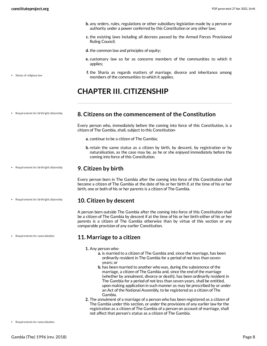• Status of religious law

- **b.** any orders, rules, regulations or other subsidiary legislation made by a person or authority under a power conferred by this Constitution or any other law;
- **c.** the existing laws including all decrees passed by the Armed Forces Provisional Ruling Council;
- **d.** the common law and principles of equity;
- **e.** customary law so far as concerns members of the communities to which it applies;
- **f.** the Sharia as regards matters of marriage, divorce and inheritance among members of the communities to which it applies.

## <span id="page-7-0"></span>**CHAPTER III. CITIZENSHIP**

Requirements for birthright citizenship

#### <span id="page-7-1"></span>**8. Citizens on the commencement of the Constitution**

Every person who, immediately before the coming into force of this Constitution, is a citizen of The Gambia, shall, subject to this Constitution-

- **a.** continue to be a citizen of The Gambia;
- **b.** retain the same status as a citizen by birth, by descent, by registration or by naturalisation, as the case may be, as he or she enjoyed immediately before the coming into force of this Constitution.

## <span id="page-7-2"></span>**9. Citizen by birth**

Every person born in The Gambia after the coming into force of this Constitution shall become a citizen of The Gambia at the date of his or her birth if, at the time of his or her birth, one or both of his or her parents is a citizen of The Gambia.

## <span id="page-7-3"></span>**10. Citizen by descent**

A person born outside The Gambia after the coming into force of this Constitution shall be a citizen of The Gambia by descent if at the time of his or her birth either of his or her parents is a citizen of The Gambia otherwise than by virtue of this section or any comparable provision of any earlier Constitution.

## <span id="page-7-4"></span>**11. Marriage to a citizen**

- **1.** Any person who
	- **a.** is married to a citizen of The Gambia and, since the marriage, has been ordinarily resident in The Gambia for a period of not less than seven years; or
	- **b.** has been married to another who was, during the subsistence of the marriage, a citizen of The Gambia and, since the end of the marriage (whether by annulment, divorce or death), has been ordinarily resident in The Gambia for a period of not less than seven years, shall be entitled, upon making application in such manner as may be prescribed by or under an Act of the National Assembly, to be registered as a citizen of The Gambia.
- **2.** The annulment of a marriage of a person who has been registered as a citizen of The Gambia under this section, or under the provisions of any earlier law for the registration as a citizen of The Gambia of a person on account of marriage, shall not affect that person's status as a citizen of The Gambia.

Requirements for birthright citizenship

Requirements for birthright citizenship

Requirements for naturalization

• Requirements for naturalization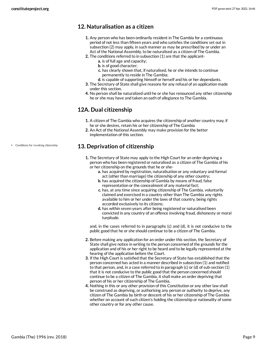## <span id="page-8-0"></span>**12. Naturalisation as a citizen**

- **1.** Any person who has been ordinarily resident in The Gambia for a continuous period of not less than fifteen years and who satisfies the conditions set out in subsection (2) may apply, in such manner as may be prescribed by or under an Act of the National Assembly, to be naturalised as a citizen of The Gambia.
- **2.** The conditions referred to in subsection (1) are that the applicant
	- **a.** is of full age and capacity;
	- **b.** is of good character;
	- **c.** has clearly shown that, if naturalised, he or she intends to continue permanently to reside in The Gambia;
	- **d.** is capable of supporting himself or herself and his or her dependants.
- **3.** The Secretary of State shall give reasons for any refusal of an application made under this section.
- **4.** No person shall be naturalized until he or she has renounced any other citizenship he or she may have and taken an oath of allegiance to The Gambia.

## <span id="page-8-1"></span>**12A. Dual citizenship**

- **1.** A citizen of The Gambia who acquires the citizenship of another country may, if he or she desires, retain his or her citizenship of The Gambia
- **2.** An Act of the National Assembly may make provision for the better implementation of this section.

## <span id="page-8-2"></span>**13. Deprivation of citizenship**

- **1.** The Secretary of State may apply to the High Court for an order depriving a person who has been registered or naturalised as a citizen of The Gambia of his or her citizenship on the grounds that he or she
	- **a.** has acquired by registration, naturalisation or any voluntary and formal act (other than marriage) the citizenship of any other country;
	- **b.** has acquired the citizenship of Gambia by means of fraud, false representation or the concealment of any material fact;
	- **c.** has, at any time since acquiring citizenship of The Gambia, voluntarily claimed and exercised in a country other than The Gambia any rights available to him or her under the laws of that country, being rights accorded exclusively to its citizens;
	- **d.** has within seven years after being registered or naturalised been convicted in any country of an offence involving fraud, dishonesty or moral turpitude.

and, in the cases referred to in paragraphs (c) and (d), it is not conducive to the public good that he or she should continue to be a citizen of The Gambia.

- **2.** Before making any application for an order under this section, the Secretary of State shall give notice in writing to the person concerned of the grounds for the application and of his or her right to be heard and to be legally represented at the hearing of the application before the Court.
- **3.** If the High Court is satisfied that the Secretary of State has established that the person concerned has acted in a manner described in subsection (1) and notified to that person, and, in a case referred to in paragraph (c) or (d) of sub-section (1) that it is not conducive to the public good that the person concerned should continue to be a citizen of The Gambia, it shall make an order depriving that person of his or her citizenship of The Gambia.
- **4.** Nothing in this or any other provision of this Constitution or any other law shall be construed as depriving, or authorising any person or authority to deprive, any citizen of The Gambia by birth or descent of his or her citizenship of The Gambia whether on account of such citizen's holding the citizenship or nationality of some other country or for any other cause.

Conditions for revoking citizenship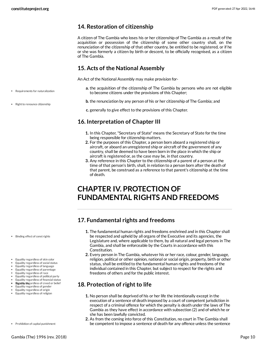## <span id="page-9-0"></span>**14. Restoration of citizenship**

A citizen of The Gambia who loses his or her citizenship of The Gambia as a result of the acquisition or possession of the citizenship of some other country shall, on the renunciation of the citizenship of that other country, be entitled to be registered, or if he or she was formerly a citizen by birth or descent, to be officially recognised, as a citizen of The Gambia.

## <span id="page-9-1"></span>**15. Acts of the National Assembly**

An Act of the National Assembly may make provision for-

- **a.** the acquisition of the citizenship of The Gambia by persons who are not eligible to become citizens under the provisions of this Chapter;
- **b.** the renunciation by any person of his or her citizenship of The Gambia; and
- **c.** generally to give effect to the provisions of this Chapter.

## <span id="page-9-2"></span>**16. Interpretation of Chapter III**

- **1.** In this Chapter, "Secretary of State" means the Secretary of State for the time being responsible for citizenship matters.
- **2.** For the purposes of this Chapter, a person born aboard a registered ship or aircraft, or aboard an unregistered ship or aircraft of the government of any country, shall be deemed to have been born in the place in which the ship or aircraft is registered or, as the case may be, in that country.
- **3.** Any reference in this Chapter to the citizenship of a parent of a person at the time of that person's birth, shall, in relation to a person born after the death of that parent, be construed as a reference to that parent's citizenship at the time of death.

## <span id="page-9-3"></span>**CHAPTER IV. PROTECTION OF FUNDAMENTAL RIGHTS AND FREEDOMS**

## <span id="page-9-4"></span>**17. Fundamental rights and freedoms**

- **1.** The fundamental human rights and freedoms enshrined and in this Chapter shall be respected and upheld by all organs of the Executive and its agencies, the Legislature and, where applicable to them, by all natural and legal persons in The Gambia, and shall be enforceable by the Courts in accordance with this Constitution.
- **2.** Every person in The Gambia, whatever his or her race, colour, gender, language, religion, political or other opinion, national or social origin, property, birth or other status, shall be entitled to the fundamental human rights and freedoms of the individual contained in this Chapter, but subject to respect for the rights and freedoms of others and for the public interest.

## <span id="page-9-5"></span>**18. Protection of right to life**

- **1.** No person shall be deprived of his or her life the intentionally except in the execution of a sentence of death imposed by a court of competent jurisdiction in respect of a criminal offence for which the penalty is death under the laws of The Gambia as they have effect in accordance with subsection (2) and of which he or she has been lawfully convicted.
- **2.** As from the coming into force of this Constitution, no court in The Gambia shall be competent to impose a sentence of death for any offence unless the sentence
- Requirements for naturalization
- Right to renounce citizenship

- Binding effect of const rights
- Equality regardless of skin color
- Equality regardless of social status
- Equality regardless of language Equality regardless of parentage
- Equality regardless of race
- Equality regardless of political party
- Equality regardless of financial status
- Rout in the integardless of creed or belief
- Equality regardless of gender Equality regardless of origin
- Equality regardless of religion
- Prohibition of capital punishment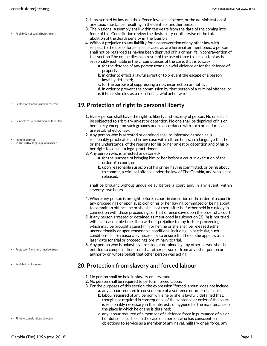• Prohibition of capital punishment

- **2.** is prescribed by law and the offence involves violence, or the administration of any toxic substance, resulting in the death of another person.
- **3.** The National Assembly shall within ten years from the date of the coming into force of this Constitution review the desirability or otherwise of the total abolition of the death penalty in The Gambia.
- **4.** Without prejudice to any liability for a contravention of any other law with respect to the use of force in such cases as are hereinafter mentioned, a person shall not be regarded as having been deprived of his or her life in contravention of this section if he or she dies as a result of the use of force to such extent as is reasonably justifiable in the circumstances of the case, that is to say
	- **a.** for the defence of any person from unlawful violence or for the defence of property;
	- **b.** in order to effect a lawful arrest or to prevent the escape of a person lawfully detained;
	- **c.** for the purpose of suppressing a riot, insurrection or mutiny;
	- **d.** in order to prevent the commission by that person of a criminal offence, or
	- **e.** if he or she dies as a result of a lawful act of war.

## <span id="page-10-0"></span>**19. Protection of right to personal liberty**

- **1.** Every person shall have the right to liberty and security of person. No one shall be subjected to arbitrary arrest or detention. No one shall be deprived of his or her liberty except on such grounds and in accordance with such procedures as are established by law.
- **2.** Any person who is arrested or detained shall be informed as soon as is reasonably practicable and in any case within three hours, in a language that he or she understands, of the reasons for his or her arrest or detention and of his or her right to consult a legal practitioner.
- **3.** Any person who is arrested or detained
	- **a.** for the purpose of bringing him or her before a court in execution of the order of a court; or
	- **b.** upon reasonable suspicion of his or her having committed, or being about to commit, a criminal offence under the law of The Gambia, and who is not released,

shall be brought without undue delay before a court and, in any event, within seventy-two hours.

- **4.** Where any person is brought before a court in execution of the order of a court in any proceedings or upon suspicion of his or her having committed or being about to commit an offence, he or she shall not thereafter be further held in custody in connection with those proceedings or that offence save upon the order of a court.
- **5.** If any person arrested or detained as mentioned in subsection (3) (b) is not tried within a reasonable time, then without prejudice to any further proceedings which may be brought against him or her, he or she shall be released either unconditionally or upon reasonable conditions, including, in particular, such conditions as are reasonably necessary to ensure that he or she appears at a later date for trial or proceedings preliminary to trial.
- **6.** Any person who is unlawfully arrested or detained by any other person shall be entitled to compensation from that other person or from any other person or authority on whose behalf that other person was acting.

## <span id="page-10-1"></span>**20. Protection from slavery and forced labour**

- **1.** No person shall be held in slavery or servitude.
- **2.** No person shall be required to perform forced labour.
- **3.** For the purposes of this section, the expression "forced labour" does not include**a.** any labour required in consequence of a sentence or order of a court;
	- **b.** labour required of any person while he or she is lawfully detained that, though not required in consequence of the sentence or order of the court, is reasonably necessary in the interests of hygiene for the maintenance of the place in which he or she is detained;
	- **c.** any labour required of a member of a defence force in pursuance of his or her duties as such or, in the case of a person who has conscientious objections to service as a member of any naval, military or air force, any

• Protection from unjustified restraint

- Principle of no punishment without law
- Right to counsel
- Trial in native language of accused

- Protection from false imprisonment
- Prohibition of slavery

• Right to conscientious objection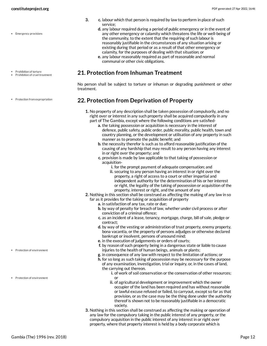- Emergency provisions
- Prohibition of torture Prohibition of cruel treatment
- Protection from expropriation
- **3. c.** labour which that person is required by law to perform in place of such service;
	- **d.** any labour required during a period of public emergency or in the event of any other emergency or calamity which threatens the life or well-being of the community, to the extent that the requiring of such labour is reasonably justifiable in the circumstances of any situation arising or existing during that period or as a result of that other emergency or calamity, for the purposes of dealing with that situation; or
	- **e.** any labour reasonably required as part of reasonable and normal communal or other civic obligations.

## <span id="page-11-0"></span>**21. Protection from Inhuman Treatment**

No person shall be subject to torture or inhuman or degrading punishment or other treatment.

## <span id="page-11-1"></span>**22. Protection from Deprivation of Property**

- **1.** No property of any description shall be taken possession of compulsorily, and no right over or interest in any such property shall be acquired compulsorily in any part of The Gambia, except where the following conditions are satisfied
	- **a.** the taking possession or acquisition is necessary in the interest of defence, public safety, public order, public morality, public health, town and country planning, or the development or utilisation of any property in such manner as to promote the public benefit; and
	- **b.** the necessity therefor is such as to afford reasonable justification of the causing of any hardship that may result to any person having any interest in or right over the property; and
	- **c.** provision is made by law applicable to that taking of possession or acquisition
		- **i.** for the prompt payment of adequate compensation; and
		- **ii.** securing to any person having an interest in or right over the property, a right of access to a court or other impartial and independent authority for the determination of his or her interest or right, the legality of the taking of possession or acquisition of the property, interest or right, and the amount of any
- **2.** Nothing in this section shall be construed as affecting the making of any law in so far as it provides for the taking or acquisition of property
	- **a.** in satisfaction of any tax, rate or due;
	- **b.** by way of penalty for breach of law, whether under civil process or after conviction of a criminal offence;
	- **c.** as an incident of a lease, tenancy, mortgage, charge, bill of sale, pledge or contract;
	- **d.** by way of the vesting or administration of trust property, enemy property, bona vacantia, or the property of persons adjudges or otherwise declared bankrupt or insolvent, persons of unsound mind;
	- **e.** in the execution of judgements or orders of courts;
	- **f.** by reason of such property being in a dangerous state or liable to cause injuries to the health of human beings, animals or plants;
	- **g.** in consequence of any law with respect to the limitation of actions; or
	- **h.** for so long as such taking of possession may be necessary for the purpose of any examination, investigation, trial or inquiry, or, in the cases of land, the carrying out thereon.
		- **i.** of work of soil conservation or the conservation of other resources; or
		- **ii.** of agricultural development or improvement which the owner occupier of the land has been required and has without reasonable or lawful excuse refused or failed, to carryout, except so far as that provision, or as the case may be the thing done under the authority thereof is shown not to be reasonably justifiable in a democratic society.
- **3.** Nothing in this section shall be construed as affecting the making or operation of any law for the compulsory taking in the public interest of any property, or the compulsory acquisition in the public interest of any interest in or right over property, where that property interest is held by a body corporate which is
- Protection of environment
- Protection of environment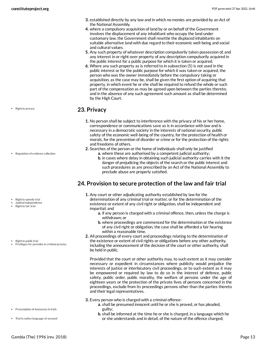- **3.** established directly by any law and in which no monies are provided by an Act of the National Assembly.
- **4.** where a compulsory acquisition of land by or on behalf of the Government involves the displacement of any inhabitant who occupy the land under customary law, the Government shall resettle the displaced inhabitants on suitable alternative land with due regard to their economic well-being and social and cultural values.
- **5.** Any such property of whatever description compulsorily taken possession of, and any interest in or right over property of any description compulsorily acquired in the public interest for a public purpose for which it is taken or acquired.
- **6.** Where any such property as is referred to in subsection (5) is not used in the public interest or for the public purpose for which it was taken or acquired, the person who was the owner immediately before the compulsory taking or acquisition, as the case may be, shall be given the first option of acquiring that property, in which event he or she shall be required to refund the whole or such part of the compensation as may be agreed upon between the parties thereto; and in the absence of any such agreement such amount as shall be determined by the High Court.

## <span id="page-12-0"></span>**23. Privacy**

- **1.** No person shall be subject to interference with the privacy of his or her home, correspondence or communications save as is in accordance with law and is necessary in a democratic society in the interests of national security, public safety of the economic well-being of the country, for the protection of health or morals, for the prevention of disorder or crime or for the protection of the rights and freedoms of others.
- **2.** Searches of the person or the home of individuals shall only be justified
	- **a.** where these are authorised by a competent judicial authority; **b.** in cases where delay in obtaining such judicial authority carries with it the danger of prejudicing the objects of the search or the public interest and such procedures as are prescribed by an Act of the National Assembly to preclude abuse are properly satisfied.

## <span id="page-12-1"></span>**24. Provision to secure protection of the law and fair trial**

- **1.** Any court or other adjudicating authority established by law for the determination of any criminal trial or matter, or for the determination of the existence or extent of any civil right or obligation, shall be independent and impartial; and
	- **a.** if any person is charged with a criminal offence, then, unless the charge is withdrawn; or
	- **b.** where proceedings are commenced for the determination or the existence of any civil right or obligation, the case shall be afforded a fair hearing within a reasonable time.
- **2.** All proceedings of every court and proceedings relating to the determination of the existence or extent of civil rights or obligations before any other authority, including the announcement of the decision of the court or other authority, shall be held in public.

Provided that the court or other authority may, to such extent as it may consider necessary or expedient in circumstances where publicity would prejudice the interests of justice or interlocutory civil proceedings, or to such extent as it may be empowered or required by law to do so in the interest of defence, public safety, public order, public morality, the welfare of persons under the age of eighteen years or the protection of the private lives of persons concerned in the proceedings, exclude from its proceedings persons other than the parties thereto and their legal representatives.

- **3.** Every person who is charged with a criminal offence
	- **a.** shall be presumed innocent until he or she is proved, or has pleaded, guilty;
	- **b.** shall be informed at the time he or she is charged, in a language which he or she understands and in detail, of the nature of the offence charged;

• Right to privacy

Regulation of evidence collection

- 
- Right to speedy trial
- Judicial independence • Right to fair trial
- Right to public trial
- Privileges for juveniles in criminal process

- Presumption of innocence in trials
- Trial in native language of accused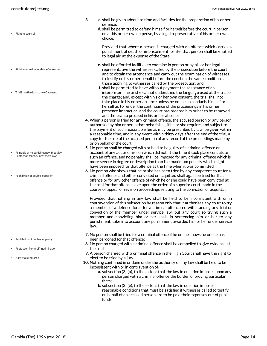- Right to counsel
- Right to examine evidence/witnesses
- Trial in native language of accused

- Principle of no punishment without law Protection from ex post facto laws
- 
- Prohibition of double jeopardy

- Prohibition of double jeopardy
- Protection from self-incrimination
- Jury trials required
- **3. c.** shall be given adequate time and facilities for the preparation of his or her defence;
	- **d.** shall be permitted to defend himself or herself before the court in person or, at his or her own expense, by a legal representative of his or her own choice;

Provided that where a person is charged with an offence which carries a punishment of death or imprisonment for life, that person shall be entitled to legal aid at the expense of the State.

- **e.** shall be afforded facilities to examine in person or by his or her legal representative the witnesses called by the prosecution before the court and to obtain the attendance and carry out the examination of witnesses to testify on his or her behalf before the court on the same conditions as those applying to witnesses called by the prosecution; and
- **f.** shall be permitted to have without payment the assistance of an interpreter if he or she cannot understand the language used at the trial of the charge; and, except with his or her own consent, the trial shall not take place in his or her absence unless he or she so conducts himself or herself as to render the continuance of the proceedings in his or her presence impractical and the court has ordered him or her to be removed and the trial to proceed in his or her absence.
- **4.** When a person is tried for any criminal offence, the accused person or any person authorised by him or her in that behalf shall, if he or she requires and subject to the payment of such reasonable fee as may be prescribed by law, be given within a reasonable time, and in any event within thirty days after the end of the trial, a copy for the use of the accused person of any record of the proceedings made by or on behalf of the court.
- **5.** No person shall be charged with or held to be guilty of a criminal offence on account of any act or omission which did not at the time it took place constitute such an offence, and no penalty shall be imposed for any criminal offence which is more severe in degree or description than the maximum penalty which might have been imposed for that offence at the time when it was committed.
- **6.** No person who shows that he or she has been tried by any competent court for a criminal offence and either convicted or acquitted shall again be tried for that offence or for any other offence of which he or she could have been convicted at the trial for that offence save upon the order of a superior court made in the course of appeal or revision proceedings relating to the conviction or acquittal:

Provided that nothing in any law shall be held to be inconsistent with or in contravention of this subsection by reason only that it authorises any court to try a member of a defence force for a criminal offence notwithstanding any trial or conviction of the member under service law; but any court so trying such a member and convicting him or her shall, in sentencing him or her to any punishment, take into account any punishment awarded him or her under service law.

- **7.** No person shall be tried for a criminal offence if he or she shows he or she has been pardoned for that offence:
- **8.** No person charged with a criminal offence shall be compelled to give evidence at the trial.
- **9.** A person charged with a criminal offence in the High Court shall have the right to elect to be tried by a jury.
- **10.** Nothing contained in or done under the authority of any law shall be held to be inconsistent with or in contravention of
	- **a.** subsection (3) (a), to the extent that the law in question imposes upon any person charged with a criminal offence the burden of proving particular facts;
	- **b.** subsection (3) (e), to the extent that the law in question imposes reasonable conditions that must be satisfied if witnesses called to testify on behalf of an accused person are to be paid their expenses out of public funds.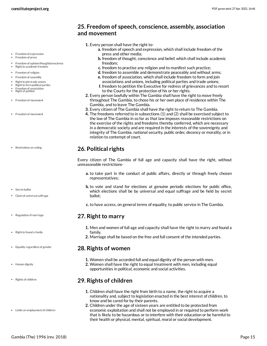## <span id="page-14-0"></span>**25. Freedom of speech, conscience, assembly, association and movement**

- **1.** Every person shall have the right to
	- **a.** freedom of speech and expression, which shall include freedom of the press and other media;
	- **b.** freedom of thought, conscience and belief, which shall include academic freedom;
	- **c.** freedom to practise any religion and to manifest such practice;
	- **d.** freedom to assemble and demonstrate peaceably and without arms;
	- **e.** freedom of association, which shall include freedom to form and join associations and unions, including political parties and trade unions;
	- **f.** freedom to petition the Executive for redress of grievances and to resort to the Courts for the protection of his or her rights.
- **2.** Every person lawfully within The Gambia shall have the right to move freely throughout The Gambia, to chose his or her own place of residence within The Gambia, and to leave The Gambia.
- **3.** Every citizen of The Gambia shall have the right to return to The Gambia.
- **4.** The freedoms referred to in subsections (1) and (2) shall be exercised subject to the law of The Gambia in so far as that law imposes reasonable restrictions on the exercise of the rights and freedoms thereby conferred, which are necessary in a democratic society and are required in the interests of the sovereignty and integrity of The Gambia, national security, public order, decency or morality, or in relation to contempt of court.

## <span id="page-14-1"></span>**26. Political rights**

Every citizen of The Gambia of full age and capacity shall have the right, without unreasonable restrictions-

- **a.** to take part in the conduct of public affairs, directly or through freely chosen representatives;
- **b.** to vote and stand for elections at genuine periodic elections for public office, which elections shall be by universal and equal suffrage and be held by secret ballot;
- **c.** to have access, on general terms of equality, to public service in The Gambia.

### <span id="page-14-2"></span>**27. Right to marry**

- **1.** Men and women of full age and capacity shall have the right to marry and found a family.
- **2.** Marriage shall be based on the free and full consent of the intended parties.

### <span id="page-14-3"></span>**28. Rights of women**

- **1.** Women shall be accorded full and equal dignity of the person with men.
- **2.** Women shall have the right to equal treatment with men, including equal opportunities in political, economic and social activities.

## <span id="page-14-4"></span>**29. Rights of children**

- **1.** Children shall have the right from birth to a name, the right to acquire a nationality and, subject to legislation enacted in the best interest of children, to know and be cared for by their parents.
- **2.** Children under the age of sixteen years are entitled to be protected from economic exploitation and shall not be employed in or required to perform work that is likely to be hazardous or to interfere with their education or be harmful to their health or physical, mental, spiritual, moral or social development.

• Freedom of expression

- Freedom of press
- Freedom of opinion/thought/conscience Right to academic freedom
- Freedom of religion
- Freedom of assembly
- $\bullet$ Right to join trade unions
- Right to form political parties
- Freedom of association Right of petition
- Freedom of movement
- Freedom of movement
- Restrictions on voting

- Secret ballot
- Claim of universal suffrage
- Regulation of marriage
- $\cdot$  Right to found a family
- Equality regardless of gender
- Human dignity
- Rights of children
- Limits on employment of children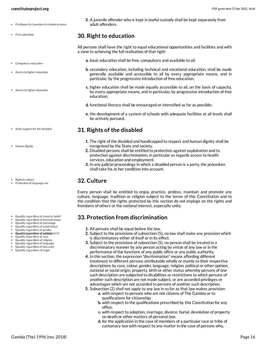- Privileges for juveniles in criminal process
- Free education
- Compulsory education
- Access to higher education
- Access to higher education

- State support for the disabled
- Human dignity
- Right to culture Protection of language use
- 
- Equality regardless of creed or belief
- Equality regardless of financial status
- Equality regardless of parentage
- Equality regardless of social status Equality regardless of gender
- 
- Geunality regearen less of political party Equality regardless of race
- Equality regardless of religion
- Equality regardless of language
- Equality regardless of skin color
- Equality regardless of origin

**3.** A juvenile offender who is kept in lawful custody shall be kept separately from adult offenders.

## <span id="page-15-0"></span>**30. Right to education**

All persons shall have the right to equal educational opportunities and facilities and with a view to achieving the full realisation of that right-

- **a.** basic education shall be free, compulsory and available to all;
- **b.** secondary education, including technical and vocational education, shall be made generally available and accessible to all by every appropriate means, and in particular, by the progressive introduction of free education;
- **c.** higher education shall be made equally accessible to all, on the basis of capacity, by every appropriate means, and in particular, by progressive introduction of free education;
- **d.** functional literacy shall be encouraged or intensified as far as possible;
- **e.** the development of a system of schools with adequate facilities at all levels shall be actively pursued.

## <span id="page-15-1"></span>**31. Rights of the disabled**

- **1.** The right of the disabled and handicapped to respect and human dignity shall be recognised by the State and society.
- **2.** Disabled persons shall be entitled to protection against exploitation and to protection against discrimination, in particular as regards access to health services, education and employment.
- **3.** In any judicial proceedings in which a disabled person is a party, the procedure shall take his or her condition into account.

## <span id="page-15-2"></span>**32. Culture**

Every person shall be entitled to enjoy, practice, profess, maintain and promote any culture, language, tradition or religion subject to the terms of this Constitution and to the condition that the rights protected by this section do not impinge on the rights and freedoms of others or the national interest, especially unity.

## <span id="page-15-3"></span>**33. Protection from discrimination**

- **1.** All persons shall be equal before the law.
- **2.** Subject to the provisions of subsection (5), no law shall make any provision which is discriminatory either of itself or in its effect.
- **3.** Subject to the provisions of subsection (5), no person shall be treated in a discriminatory manner by any person acting by virtue of any law or in the performance of the functions of any public office or any public authority.
- **4.** In this section, the expression "discrimination" means affording different treatment to different persons attributable wholly or mainly to their respective descriptions by race, colour, gender, language, religion, political or other opinion, national or social origin, property, birth or other status whereby persons of one such description are subjected to disabilities or restrictions to which persons of another such description are not made subject, or are accorded privileges or advantages which are not accorded to persons of another such description.
- **5.** Subsection (2) shall not apply to any law in so far as that law makes provision**a.** with respect to persons who are not citizens of The Gambia or to
	- qualifications for citizenship;
	- **b.** with respect to the qualifications prescribed by this Constitution for any office;
	- **c.** with respect to adoption, marriage, divorce, burial, devolution of property on death or other matters of personal law;
	- **d.** for the application in the case of members of a particular race or tribe of customary law with respect to any matter in the case of persons who,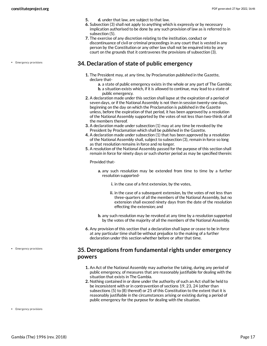• Emergency provisions

- **5. d.** under that law, are subject to that law.
- **6.** Subsection (3) shall not apply to anything which is expressly or by necessary implication authorised to be done by any such provision of law as is referred to in subsection (5).
- **7.** The exercise of any discretion relating to the institution, conduct or discontinuance of civil or criminal proceedings in any court that is vested in any person by the Constitution or any other law shall not be enquired into by any court on the grounds that it contravenes the provisions of subsection (3).

### <span id="page-16-0"></span>**34. Declaration of state of public emergency**

- **1.** The President may, at any time, by Proclamation published in the Gazette, declare that
	- **a.** a state of public emergency exists in the whole or any part of The Gambia; **b.** a situation exists which, if it is allowed to continue, may lead to a state of public emergency.
- **2.** A declaration made under this section shall lapse at the expiration of a period of seven days, or if the National Assembly is not then in session twenty-one days, beginning on the day on which the Proclamation is published in the Gazette unless, before the expiration of that period, it has been approved by a resolution of the National Assembly supported by the votes of not less than two-thirds of all the members thereof.
- **3.** A declaration made under subsection (1) may at any time be revoked by the President by Proclamation which shall be published in the Gazette.
- **4.** A declaration made under subsection (1) that has been approved by a resolution of the National Assembly shall, subject to subsection (3), remain in force so long as that resolution remains in force and no longer.
- **5.** A resolution of the National Assembly passed for the purpose of this section shall remain in force for ninety days or such shorter period as may be specified therein:

#### Provided that-

**a.** any such resolution may be extended from time to time by a further resolution supported-

**i.** in the case of a first extension, by the votes,

- **ii.** in the case of a subsequent extension, by the votes of not less than three-quarters of all the members of the National Assembly, but no extension shall exceed ninety days from the date of the resolution effecting the extension; and
- **b.** any such resolution may be revoked at any time by a resolution supported by the votes of the majority of all the members of the National Assembly.
- **6.** Any provision of this section that a declaration shall lapse or cease to be in force at any particular time shall be without prejudice to the making of a further declaration under this section whether before or after that time.

• Emergency provisions

### <span id="page-16-1"></span>**35. Derogations from fundamental rights under emergency powers**

- **1.** An Act of the National Assembly may authorise the taking, during any period of public emergency, of measures that are reasonably justifiable for dealing with the situation that exists in The Gambia.
- **2.** Nothing contained in or done under the authority of such an Act shall be held to be inconsistent with or in contravention of sections 19, 23, 24 (other than subsections (5) to (8) thereof) or 25 of this Constitution to the extent that it is reasonably justifiable in the circumstances arising or existing during a period of public emergency for the purpose for dealing with the situation.

• Emergency provisions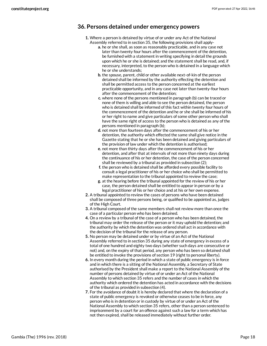## <span id="page-17-0"></span>**36. Persons detained under emergency powers**

- **1.** Where a person is detained by virtue of or under any Act of the National Assembly referred to in section 35, the following provisions shall apply
	- **a.** he or she shall, as soon as reasonably practicable, and in any case not later than twenty four hours after the commencement of the detention, be furnished with a statement in writing specifying in detail the grounds upon which he or she is detained; and the statement shall be read, and, if necessary, interpreted, to the person who is detained in a language which he or she understands;
	- **b.** the spouse, parent, child or other available next-of-kin of the person detained shall be informed by the authority effecting the detention and shall be permitted access to the person concerned at the earliest practicable opportunity, and in any case not later than twenty-four hours after the commencement of the detention;
	- **c.** where none of the persons mentioned in paragraph (b) can be traced or none of them is willing and able to see the person detained, the person who is detained shall be informed of this fact within twenty four hours of the commencement of the detention and he or she shall be informed of his or her right to name and give particulars of some other person who shall have the same right of access to the person who is detained as any of the persons mentioned in paragraph (b);
	- **d.** not more than fourteen days after the commencement of his or her detention, the authority which effected the same shall give notice in the Gazette stating that he or she has been detained and giving particulars of the provision of law under which the detention is authorised;
	- **e.** not more than thirty days after the commencement of his or her detention, and after that at intervals of not more than ninety days during the continuance of his or her detention, the case of the person concerned shall be reviewed by a tribunal as provided in subsection (2);
	- **f.** the person who is detained shall be afforded every possible facility to consult a legal practitioner of his or her choice who shall be permitted to make representation to the tribunal appointed to review the case;
	- **g.** at the hearing before the tribunal appointed for the review of his or her case, the person detained shall be entitled to appear in person or by a legal practitioner of his or her choice and at his or her own expense.
- **2.** A tribunal appointed to review the cases of persons who have been detained shall be composed of three persons being, or qualified to be appointed as, judges of the High Court.
- **3.** A tribunal composed of the same members shall not review more than once the case of a particular person who has been detained.
- **4.** On a review by a tribunal of the case of a person who has been detained, the tribunal may order the release of the person or it may uphold the detention; and the authority by which the detention was ordered shall act in accordance with the decision of the tribunal for the release of any person.
- **5.** No person may be detained under or by virtue of an Act of the National Assembly referred to in section 35 during any state of emergency in excess of a total of one hundred and eighty two days (whether such days are consecutive or not) and, on the expiry of that period, any person who has been so detained shall be entitled to invoke the provisions of section 19 (right to personal liberty).
- **6.** In every month during the period in which a state of public emergency is in force and in which there is a sitting of the National Assembly, a Secretary of State authorised by the President shall make a report to the National Assembly of the number of persons detained by virtue of or under an Act of the National Assembly to which section 35 refers and the number of cases in which the authority which ordered the detention has acted in accordance with the decisions of the tribunal as provided in subsection (4).
- **7.** For the avoidance of doubt it is hereby declared that where the declaration of a state of public emergency is revoked or otherwise ceases to be in force, any person who is in detention or in custody by virtue of or under an Act of the National Assembly to which section 35 refers, other than a person sentenced to imprisonment by a court for an offence against such a law for a term which has not then expired, shall be released immediately without further order.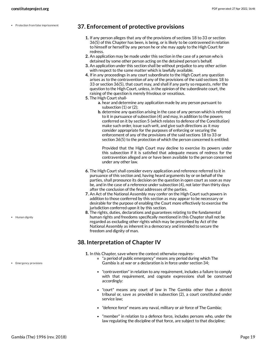## <span id="page-18-0"></span>**37. Enforcement of protective provisions**

- **1.** If any person alleges that any of the provisions of sections 18 to 33 or section 36(5) of this Chapter has been, is being, or is likely to be contravened in relation to himself or herself by any person he or she may apply to the High Court for redress.
- **2.** An application may be made under this section in the case of a person who is detained by some other person acting on the detained person's behalf.
- **3.** An application under this section shall be without prejudice to any other action with respect to the same matter which is lawfully available.
- **4.** If in any proceedings in any court subordinate to the High Court any question arises as to the contravention of any of the provisions of the said sections 18 to 33 or section 36(5), that court may, and shall if any party so requests, refer the question to the High Court, unless, in the opinion of the subordinate court, the raising of the question is merely frivolous or vexatious.
- **5.** The High Court shall
	- **a.** hear and determine any application made by any person pursuant to subsection (1) or (2);
	- **b.** determine any question arising in the case of any person which is referred to it in pursuance of subsection (4) and may, in addition to the powers conferred on it by section 5 (which relates to defence of the Constitution) make such order, issue such writ, and give such directions as it may consider appropriate for the purposes of enforcing or securing the enforcement of any of the provisions of the said sections 18 to 33 or section 36(5) to the protection of which the person concerned is entitled:

Provided that the High Court may decline to exercise its powers under this subsection if it is satisfied that adequate means of redress for the contravention alleged are or have been available to the person concerned under any other law.

- **6.** The High Court shall consider every application and reference referred to it in pursuance of this section and, having heard arguments by or on behalf of the parties, shall pronounce its decision on the question in open court as soon as may be, and in the case of a reference under subsection (4), not later than thirty days after the conclusion of the final addresses of the parties.
- **7.** An Act of the National Assembly may confer on the High Court such powers in addition to those conferred by this section as may appear to be necessary or desirable for the purpose of enabling the Court more effectively to exercise the jurisdiction conferred upon it by this section.
- **8.** The rights, duties, declarations and guarantees relating to the fundamental human rights and freedoms specifically mentioned in this Chapter shall not be regarded as excluding other rights which may be prescribed by Act of the National Assembly as inherent in a democracy and intended to secure the freedom and dignity of man.

## <span id="page-18-1"></span>**38. Interpretation of Chapter IV**

- **1.** In this Chapter, save where the context otherwise requires-
	- "a period of public emergency" means any period during which The Gambia is at war or a declaration is in force under section 34;
	- "contravention" in relation to any requirement, includes a failure to comply with that requirement, and cognate expressions shall be construed accordingly:
	- "court" means any court of law in The Gambia other than a district tribunal or, save as provided in subsection (2), a court constituted under service law;
	- "defence force" means any naval, military or air force of The Gambia;
	- "member" in relation to a defence force, includes persons who, under the law regulating the discipline of that force, are subject to that discipline;

• Human dignity

• Emergency provisions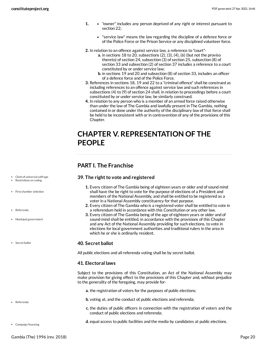- **1.** "owner" includes any person deprived of any right or interest pursuant to section 22;
	- "service law" means the law regarding the discipline of a defence force or of the Police Force or the Prison Service or any disciplined volunteer force.
- **2.** In relation to an offence against service law, a reference to "court"
	- **a.** in sections 18 to 20, subsections (2), (3), (4), (6) (but not the proviso thereto) of section 24, subsection (3) of section 25, subsection (8) of section 33 and subsection (2) of section 37 includes a reference to a court constituted by or under service law;
	- **b.** in sections 19 and 20 and subsection (8) of section 33, includes an officer of a defence force and of the Police Force.
- **3.** References in sections 18, 19 and 22 to a "criminal offence" shall be construed as including references to an offence against service law and such references in subsections (4) to (9) of section 24 shall, in relation to proceedings before a court constituted by or under service law, be similarly construed.
- **4.** In relation to any person who is a member of an armed force raised otherwise than under the law of The Gambia and lawfully present in The Gambia, nothing contained in or done under the authority of the disciplinary law of that force shall be held to be inconsistent with or in contravention of any of the provisions of this Chapter.

## <span id="page-19-0"></span>**CHAPTER V. REPRESENTATION OF THE PEOPLE**

## <span id="page-19-1"></span>**PART I. The Franchise**

#### **39.** The right to vote and registered

- **1.** Every citizen of The Gambia being of eighteen years or older and of sound mind shall have the be right to vote for the purpose of elections of a President and members of the National Assembly, and shall be entitled to be registered as a voter in a National Assembly constituency for that purpose.
- **2.** Every citizen of The Gambia who is a registered voter shall be entitled to vote in a referendum held in accordance with this Constitution or any other law.
- **3.** Every citizen of The Gambia being of the age of eighteen years or older and of sound mind shall be entitled, in accordance with the provisions of this Chapter and any Act of the National Assembly providing for such elections, to vote in elections for local government authorities and traditional rulers in the area in which he or she is ordinarily resident.

#### **40. Secret ballot**

All public elections and all referenda voting shall be by secret ballot.

#### **41. Electoral laws**

Subject to the provisions of this Constitution, an Act of the National Assembly may make provision for giving effect to the provisions of this Chapter and, without prejudice to the generality of the foregoing, may provide for-

- **a.** the registration of voters for the purposes of public elections;
- **b.** voting at, and the conduct of, public elections and referenda;
- **c.** the duties of public officers in connection with the registration of voters and the conduct of public elections and referenda;
- **d.** equal access to public facilities and the media by candidates at public elections.
- Claim of universal suffrage
- Restrictions on voting
- First chamber selection

Referenda

- Municipal government
- Secret ballot

Campaign financing

Referenda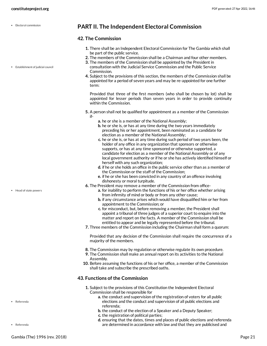Establishment of judicial council

• Flectoral commission

### <span id="page-20-0"></span>**PART II. The Independent Electoral Commission**

#### **42. The Commission**

- **1.** There shall be an Independent Electoral Commission for The Gambia which shall be part of the public service.
- **2.** The members of the Commission shall be a Chairman and four other members.
- **3.** The members of the Commission shall be appointed by the President in consultation with the Judicial Service Commission and the Public Service Commission.
- **4.** Subject to the provisions of this section, the members of the Commission shall be appointed for a period of seven years and may be re-appointed for one further term:

Provided that three of the first members (who shall be chosen by lot) shall be appointed for lesser periods than seven years in order to provide continuity within the Commission.

- **5.** A person shall not be qualified for appointment as a member of the Commission if
	- **a.** he or she is a member of the National Assembly;
	- **b.** he or she is, or has at any time during the two years immediately preceding his or her appointment, been nominated as a candidate for election as a member of the National Assembly;
	- **c.** he or she is, or has at any time during such period of two years been, the holder of any office in any organization that sponsors or otherwise supports, or has at any time sponsored or otherwise supported, a candidate for election as a member of the National Assembly or of any local government authority or if he or she has actively identified himself or herself with any such organization;
	- **d.** if he or she holds an office in the public service other than as a member of the Commission or the staff of the Commission;
	- **e.** if he or she has been convicted in any country of an offence involving dishonesty or moral turpitude.
- **6.** The President may remove a member of the Commission from office
	- **a.** for inability to perform the functions of his or her office whether arising from infirmity of mind or body or from any other cause;
	- **b.** if any circumstance arises which would have disqualified him or her from appointment to the Commission; or
	- **c.** for misconduct, but, before removing a member, the President shall appoint a tribunal of three judges of a superior court to enquire into the matter and report on the facts. A member of the Commission shall be entitled to appear and be legally represented before the tribunal.
- **7.** Three members of the Commission including the Chairman shall form a quorum:

Provided that any decision of the Commission shall require the concurrence of a majority of the members.

- **8.** The Commission may by regulation or otherwise regulate its own procedure.
- **9.** The Commission shall make an annual report on its activities to the National Assembly.
- **10.** Before assuming the functions of his or her office, a member of the Commission shall take and subscribe the prescribed oaths.

#### **43. Functions of the Commission**

- **1.** Subject to the provisions of this Constitution the Independent Electoral Commission shall be responsible for
	- **a.** the conduct and supervision of the registration of voters for all public elections and the conduct and supervision of all public elections and referenda;
	- **b.** the conduct of the election of a Speaker and a Deputy Speaker;
	- **c.** the registration of political parties;
	- **d.** ensuring that the dates, times and places of public elections and referenda are determined in accordance with law and that they are publicised and

• Head of state powers

Referenda

Referenda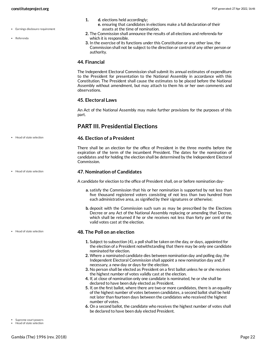Referenda

**1. d.** elections held accordingly;

- **e.** ensuring that candidates in elections make a full declaration of their assets at the time of nomination.
- **2.** The Commission shall announce the results of all elections and referenda for which it is responsible.
- **3.** In the exercise of its functions under this Constitution or any other law, the Commission shall not be subject to the direction or control of any other person or authority.

#### **44. Financial**

The Independent Electoral Commission shall submit its annual estimates of expenditure to the President for presentation to the National Assembly in accordance with this Constitution. The President shall cause the estimates to be placed before the National Assembly without amendment, but may attach to them his or her own comments and observations.

#### **45. Electoral Laws**

An Act of the National Assembly may make further provisions for the purposes of this part.

## <span id="page-21-0"></span>**PART III. Presidential Elections**

#### **46. Election of a President**

There shall be an election for the office of President in the three months before the expiration of the term of the incumbent President. The dates for the nomination of candidates and for holding the election shall be determined by the Independent Electoral Commission.

#### **47. Nomination of Candidates**

A candidate for election to the office of President shall, on or before nomination day-

- **a.** satisfy the Commission that his or her nomination is supported by not less than five thousand registered voters consisting of not less than two hundred from each administrative area, as signified by their signatures or otherwise;
- **b.** deposit with the Commission such sum as may be prescribed by the Elections Decree or any Act of the National Assembly replacing or amending that Decree, which shall be returned if he or she receives not less than forty per cent of the valid votes cast at the election.

#### **48. The Poll on an election**

- **1.** Subject to subsection (4), a poll shall be taken on the day, or days, appointed for the election of a President notwithstanding that there may be only one candidate nominated for election.
- **2.** Where a nominated candidate dies between nomination day and polling day, the Independent Electoral Commission shall appoint a new nomination day and, if necessary, a new day or days for the election.
- **3.** No person shall be elected as President on a first ballot unless he or she receives the highest number of votes validly cast at the election.
- **4.** If, at close of nomination only one candidate is nominated, he or she shall be declared to have been duly elected as President.
- **5.** If, on the first ballot, where there are two or more candidates, there is an equality of the highest number of votes between candidates, a second ballot shall be held not later than fourteen days between the candidates who received the highest number of votes.
- **6.** On a second ballot, the candidate who receives the highest number of votes shall be declared to have been duly elected President.

Head of state selection

• Head of state selection

• Head of state selection

Supreme court powers Head of state selection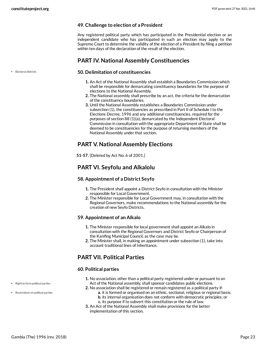#### **49. Challenge to election of a President**

Any registered political party which has participated in the Presidential election or an independent candidate who has participated in such an election may apply to the Supreme Court to determine the validity of the election of a President by filing a petition within ten days of the declaration of the result of the election.

## <span id="page-22-0"></span>**PART IV. National Assembly Constituencies**

• Flectoral districts

#### **50. Delimitation of constituencies**

- **1.** An Act of the National Assembly shall establish a Boundaries Commission which shall be responsible for demarcating constituency boundaries for the purpose of elections to the National Assembly.
- **2.** The National assembly shall prescribe by an act, the criteria for the demarcation of the constituency boundaries.
- **3.** Until the National Assembly establishes a Boundaries Commission under subsection (1), the constituencies as prescribed in Part II of Schedule I to the Elections Decree, 1996 and any additional constituencies, required for the purposes of section 88 (1)(a), demarcated by the Independent Electoral Commission in consultation with the appropriate Department of State shall be deemed to be constituencies for the purpose of returning members of the National Assembly under that section.

## <span id="page-22-1"></span>**PART V. National Assembly Elections**

**51-57.** [Deleted by Act No. 6 of 2001.]

## <span id="page-22-2"></span>**PART VI. Seyfolu and Alkalolu**

#### **58. Appointment of a District Seyfo**

- **1.** The President shall appoint a District Seyfo in consultation with the Minister responsible for Local Government.
- **2.** The Minister responsible for Local Government may, in consultation with the Regional Governors, make recommendations to the National assembly for the creation of new Seyfo Districts.

#### **59. Appointment of an Alkalo**

- **1.** The Minister responsible for local government shall appoint an Alkalo in consultation with the Regional Governors and District Seyfo or Chairperson of the Kanifing Municipal Council, as the case may be.
- **2.** The Minister shall, in making an appointment under subsection (1), take into account traditional lines of inheritance.

## <span id="page-22-3"></span>**PART VII. Political Parties**

#### **60. Political parties**

- **1.** No association, other than a political party registered under or pursuant to an Act of the National assembly, shall sponsor candidates public elections.
- **2.** No association shall be registered or remain registered as a political party if
	- **a.** it is formed or organised on an ethnic, sectional, religious or regional basis;
	- **b.** its internal organisation does not conform with democratic principles; or
	- **c.** its purpose if to subvert this constitution or the rule of law.
- **3.** An Act of the National Assembly shall make provisions for the better implementation of this section.

• Right to form political parties

Restrictions on political parties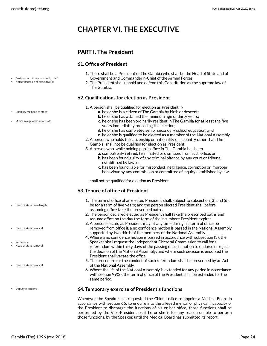## <span id="page-23-0"></span>**CHAPTER VI. THE EXECUTIVE**

## <span id="page-23-1"></span>**PART I. The President**

#### **61. Office of President**

- **1.** There shall be a President of The Gambia who shall be the Head of State and of Government and Commanderin-Chief of the Armed Forces.
- **2.** The President shall uphold and defend this Constitution as the supreme law of The Gambia.

#### **62. Qualifications for election as President**

- **1.** A person shall be qualified for election as President if
	- **a.** he or she is a citizen of The Gambia by birth or descent;
	- **b.** he or she has attained the minimum age of thirty years;
	- **c.** he or she has been ordinarily resident in The Gambia for at least the five years immediately preceding the election;
	- **d.** he or she has completed senior secondary school education; and
	- **e.** he or she is qualified to be elected as a member of the National Assembly.
- **2.** A person who holds the citizenship or nationality of a country other than The
- Gambia, shall not be qualified for election as President.
- **3.** A person who, while holding public office in The Gambia has been
	- **a.** compulsorily retired, terminated or dismissed from such office; or **b.** has been found guilty of any criminal offence by any court or tribunal established by law; or
	- **c.** has been found liable for misconduct, negligence, corruption or improper behaviour by any commission or committee of inquiry established by law

shall not be qualified for election as President.

#### **63. Tenure of office of President**

- **1.** The term of office of an elected President shall, subject to subsection (3) and (6), be for a term of five years; and the person elected President shall before assuming office take the prescribed oaths.
- **2.** The person declared elected as President shall take the prescribed oaths and assume office on the day the term of the incumbent President expires.
- **3.** A person elected as President may at any time during his term of office be removed from office if, a no confidence motion is passed in the National Assembly supported by two thirds of the members of the National Assembly.
- **4.** Where a no confidence motion is passed in accordance with subsection (3), the Speaker shall request the Independent Electoral Commission to call for a referendum within thirty days of the passing of such motion to endorse or reject the decision of the National Assembly; and where such decision is endorsed the President shall vacate the office.
- **5.** The procedure for the conduct of such referendum shall be prescribed by an Act of the National Assembly.
- **6.** Where the life of the National Assembly is extended for any period in accordance with section 99(2), the term of office of the President shall be extended for the same period.

#### **64. Temporary exercise of President's functions**

Whenever the Speaker has requested the Chief Justice to appoint a Medical Board in accordance with section 66, to enquire into the alleged mental or physical incapacity of the President to discharge the functions of his or her office, those functions shall be performed by the Vice-President or, if he or she is for any reason unable to perform those functions, by the Speaker, until the Medical Board has submitted its report:

Name/structure of executive(s)

Designation of commander in chief

- Eligibility for head of state
- Minimum age of head of state

- Head of state term length
- Head of state removal
- Referenda
- Head of state removal
- Head of state removal
- Deputy executive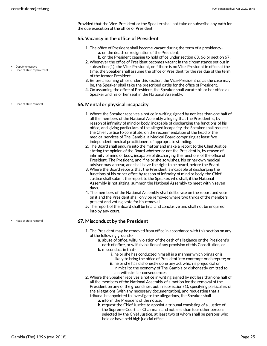Provided that the Vice-President or the Speaker shall not take or subscribe any oath for the due execution of the office of President.

#### **65. Vacancy in the office of President**

- **1.** The office of President shall become vacant during the term of a presidency**a.** on the death or resignation of the President;
	- **b.** on the President ceasing to hold office under section 63, 66 or section 67.
- **2.** Whenever the office of President becomes vacant in the circumstance set out in subsection (1), the Vice-President, or if there is no Vice-President in office at the time, the Speaker shall assume the office of President for the residue of the term of the former President.
- **3.** Before assuming office under this section, the Vice-President or, as the case may be, the Speaker shall take the prescribed oaths for the office of President.
- **4.** On assuming the office of President, the Speaker shall vacate his or her office as Speaker and his or her seat in the National Assembly.

#### **66. Mental or physical incapacity**

- **1.** Where the Speaker receives a notice in writing signed by not less than one half of all the members of the National Assembly alleging that the President is, by reason of infirmity of mind or body, incapable of discharging the functions of his office, and giving particulars of the alleged incapacity, the Speaker shall request the Chief Justice to constitute, on the recommendation of the head of the medical services of The Gambia, a Medical Board comprising at least five independent medical practitioners of appropriate standing.
- **2.** The Board shall enquire into the matter and make a report to the Chief Justice stating the opinion of the Board whether or not the President is, by reason of infirmity of mind or body, incapable of discharging the functions of the office of President. The President, and if he or she so wishes, his or her own medical adviser may appear, and shall have the right to be heard, before the Board.
- **3.** Where the Board reports that the President is incapable of discharging the functions of his or her office by reason of infirmity of mind or body, the Chief Justice shall submit the report to the Speaker, who shall, if the National Assembly is not sitting, summon the National Assembly to meet within seven days.
- **4.** The members of the National Assembly shall deliberate on the report and vote on it and the President shall only be removed where two thirds of the members present and voting, vote for his removal.
- **5.** The report of the Board shall be final and conclusive and shall not be enquired into by any court.

#### **67. Misconduct by the President**

- **1.** The President may be removed from office in accordance with this section on any of the following grounds
	- **a.** abuse of office, wilful violation of the oath of allegiance or the President's oath of office, or wilful violation of any provision of this Constitution, or **b.** misconduct in that
		- **i.** he or she has conducted himself in a manner which brings or is likely to bring the office of President into contempt or disrepute; or
		- **ii.** he or she has dishonestly done any act which is prejudicial or inimical to the economy of The Gambia or dishonestly omitted to act with similar consequences.
- **2.** Where the Speaker receives a notice in writing signed by not less than one half of all the members of the National Assembly of a motion for the removal of the President on any of the grounds set out in subsection (1), specifying particulars of the allegations (with any necessary documentation), and requesting that a tribunal be appointed to investigate the allegations, the Speaker shall**a.** inform the President of the notice;
	- **b.** request the Chief Justice to appoint a tribunal consisting of a Justice of the Supreme Court, as Chairman, and not less than four other persons selected by the Chief Justice, at least two of whom shall be persons who hold or have held high judicial office.

• Head of state removal

• Deputy executive Head of state replacement

• Head of state removal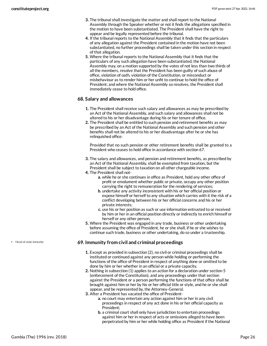- **3.** The tribunal shall investigate the matter and shall report to the National Assembly through the Speaker whether or not it finds the allegations specified in the motion to have been substantiated. The President shall have the right to appear and be legally represented before the tribunal.
- **4.** If the tribunal reports to the National Assembly that it finds that the particulars of any allegation against the President contained in the motion have not been substantiated, no further proceedings shall be taken under this section in respect of that allegation.
- **5.** Where the tribunal reports to the National Assembly that it finds that the particulars of any such allegation have been substantiated, the National Assembly may, on a motion supported by the votes of not less than two thirds of all the members, resolve that the President has been guilty of such abuse of office, violation of oath, violation of the Constitution, or misconduct or misbehaviour as to render him or her unfit to continue to hold the office of President; and where the National Assembly so resolves, the President shall immediately cease to hold office.

#### **68. Salary and allowances**

- **1.** The President shall receive such salary and allowances as may be prescribed by an Act of the National Assembly, and such salary and allowances shall not be altered to his or her disadvantage during his or her tenure of office.
- **2.** The President shall be entitled to such pension and retirement benefits as may be prescribed by an Act of the National Assembly and such pension and other benefits shall not be altered to his or her disadvantage after he or she has relinquished office:

Provided that no such pension or other retirement benefits shall be granted to a President who ceases to hold office in accordance with section 67.

- **3.** The salary and allowances, and pension and retirement benefits, as prescribed by an Act of the National Assembly, shall be exempted from taxation, but the President shall be subject to taxation on all other chargeable income.
- **4.** The President shall not
	- **a.** while he or she continues in office as President, hold any other office of profit or emolument whether public or private, occupy any other position carrying the right to remuneration for the rendering of services;
	- **b.** undertake any activity inconsistent with his or her official position or expose himself or herself to any situation which carries with it the risk of a conflict developing between his or her official concerns and his or her private interests;
	- **c.** use his or her position as such or use information entrusted to or received by him or her in an official position directly or indirectly to enrich himself or herself or any other person.
- **5.** Where the President was engaged in any trade, business or other undertaking before assuming the office of President, he or she shall, if he or she wishes to continue such trade, business or other undertaking, do so under a trusteeship.

#### **69. Immunity from civil and criminal proceedings**

- **1.** Except as provided in subsection (2), no civil or criminal proceedings shall be instituted or continued against any person while holding or performing the functions of the office of President in respect of anything done or omitted to be done by him or her whether in an official or a private capacity.
- **2.** Nothing in subsection (1) applies to an action for a declaration under section 5 (enforcement of the Constitution), and any proceedings under that section against the President or a person performing the functions of that office shall be brought against him or her by his or her official title or style, and he or she shall appear, and be represented by, the Attorney-General.
- **3.** After a President has vacated the office of President
	- **a.** no court may entertain any action against him or her in any civil proceedings in respect of any act done in his or her official capacity as President;
	- **b.** a criminal court shall only have jurisdiction to entertain proceedings against him or her in respect of acts or omissions alleged to have been perpetrated by him or her while holding office as President if the National

• Head of state immunity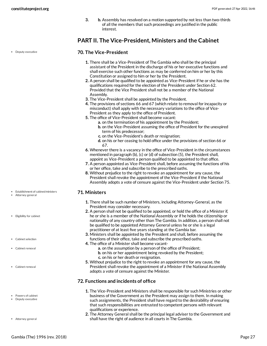**3. b.** Assembly has resolved on a motion supported by not less than two-thirds of all the members that such proceedings are justified in the public interest.

## <span id="page-26-0"></span>**PART II. The Vice-President, Ministers and the Cabinet**

#### **70. The Vice-President**

- **1.** There shall be a Vice-President of The Gambia who shall be the principal assistant of the President in the discharge of his or her executive functions and shall exercise such other functions as may be conferred on him or her by this Constitution or assigned to him or her by the President.
- **2.** A person shall be qualified to be appointed as Vice-President if he or she has the qualifications required for the election of the President under Section 62. Provided that the Vice President shall not be a member of the National Assembly.
- **3.** The Vice-President shall be appointed by the President.
- **4.** The provisions of sections 66 and 67 (which relate to removal for incapacity or misconduct) shall apply with the necessary variations to the office of Vice-President as they apply to the office of President.
- **5.** The office of Vice-President shall become vacant:
	- **a.** on the termination of his appointment by the President;
	- **b.** on the Vice-President assuming the office of President for the unexpired term of his predecessor;
	- **c.** on the Vice-President's death or resignation;
	- **d.** on his or her ceasing to hold office under the provisions of section 66 or 67.
- **6.** Whenever there is a vacancy in the office of Vice-President in the circumstances mentioned in paragraph (b), (c) or (d) of subsection (5), the President shall, appoint as Vice-President a person qualified to be appointed to that office.
- **7.** A person appointed as Vice-President shall, before assuming the functions of his or her office, take and subscribe to the prescribed oaths.
- **8.** Without prejudice to the right to revoke an appointment for any cause, the President shall revoke the appointment of the Vice-President if the National Assembly adopts a vote of censure against the Vice-President under Section 75.

#### **71. Ministers**

- **1.** There shall be such number of Ministers, including Attorney-General, as the President may consider necessary.
- **2.** A person shall not be qualified to be appointed, or hold the office of a Minister if, he or she is a member of the National Assembly or if he holds the citizenship or nationality of any country other than The Gambia. In addition, a person shall not be qualified to be appointed Attorney General unless he or she is a legal practitioner of at least five years standing at the Gambia bar.
- **3.** Ministers shall be appointed by the President and shall, before assuming the functions of their office, take and subscribe the prescribed oaths.
- **4.** The office of a Minister shall become vacant
	- **a.** on the assumption by a person of the office of President;
		- **b.** on his or her appointment being revoked by the President;
	- **c.** on his or her death or resignation.
- **5.** Without prejudice to the right to revoke an appointment for any cause, the President shall revoke the appointment of a Minister if the National Assembly adopts a vote of censure against the Minister.

#### **72. Functions and incidents of office**

- **1.** The Vice-President and Ministers shall be responsible for such Ministries or other business of the Government as the President may assign to them. In making such assignments, the President shall have regard to the desirability of ensuring that such responsibilities are entrusted to competent persons with relevant qualifications or experience.
- **2.** The Attorney General shall be the principal legal adviser to the Government and shall have the right of audience in all courts in The Gambia.

• Deputy executive

- Establishment of cabinet/ministers Attorney general
- Eligibility for cabinet
- Cabinet selection

Cabinet removal

- Cabinet removal
- Powers of cabinet Deputy executive
- Attorney general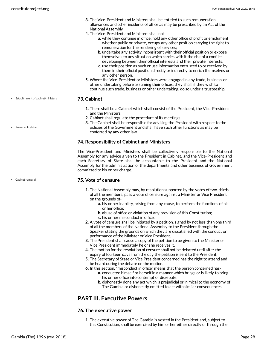- **3.** The Vice-President and Ministers shall be entitled to such remuneration, allowances and other incidents of office as may be prescribed by an Act of the National Assembly.
- **4.** The Vice-President and Ministers shall not
	- **a.** while they continue in office, hold any other office of profit or emolument whether public or private, occupy any other position carrying the right to remuneration for the rendering of services;
	- **b.** undertake any activity inconsistent with their official position or expose themselves to any situation which carries with it the risk of a conflict developing between their official interests and their private interests;
	- **c.** use their position as such or use information entrusted to or received by them in their official position directly or indirectly to enrich themselves or any other person.
- **5.** Where the Vice-President or Ministers were engaged in any trade, business or other undertaking before assuming their offices, they shall, if they wish to continue such trade, business or other undertaking, do so under a trusteeship.
- **73. Cabinet** Establishment of cabinet/ministers
	- **1.** There shall be a Cabinet which shall consist of the President, the Vice-President and the Ministers.
	- **2.** Cabinet shall regulate the procedure of its meetings.
	- **3.** The Cabinet shall be responsible for advising the President with respect to the policies of the Government and shall have such other functions as may be conferred by any other law.

#### **74. Responsibility of Cabinet and Ministers**

The Vice-President and Ministers shall be collectively responsible to the National Assembly for any advice given to the President in Cabinet, and the Vice-President and each Secretary of State shall be accountable to the President and the National Assembly for the administration of the departments and other business of Government committed to his or her charge.

#### **75. Vote of censure**

- **1.** The National Assembly may, by resolution supported by the votes of two-thirds of all the members, pass a vote of censure against a Minister or Vice President on the grounds of
	- **a.** his or her inability, arising from any cause, to perform the functions of his or her office;
	- **b.** abuse of office or violation of any provision of this Constitution; **c.** his or her misconduct in office.
- **2.** A vote of censure shall be initiated by a petition, signed by not less than one third of all the members of the National Assembly to the President through the Speaker stating the grounds on which they are dissatisfied with the conduct or performance of the Minister or Vice President.
- **3.** The President shall cause a copy of the petition to be given to the Minister or Vice President immediately he or she receives it.
- **4.** The motion for the resolution of censure shall not be debated until after the expiry of fourteen days from the day the petition is sent to the President.
- **5.** The Secretary of State or Vice President concerned has the right to attend and be heard during the debate on the motion.
- **6.** In this section, "misconduct in office" means that the person concerned has
	- **a.** conducted himself or herself in a manner which brings or is likely to bring his or her office into contempt or disrepute;
	- **b.** dishonestly done any act which is prejudicial or inimical to the economy of The Gambia or dishonestly omitted to act with similar consequences.

## <span id="page-27-0"></span>**PART III. Executive Powers**

#### **76. The executive power**

**1.** The executive power of The Gambia is vested in the President and, subject to this Constitution, shall be exercised by him or her either directly or through the

Powers of cabinet

Cabinet removal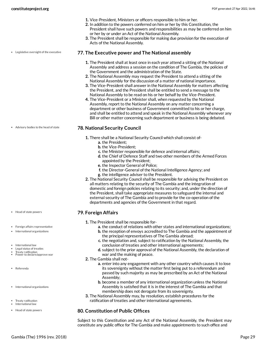- **1.** Vice-President, Ministers or officers responsible to him or her.
- **2.** In addition to the powers conferred on him or her by this Constitution, the President shall have such powers and responsibilities as may be conferred on him or her by or under an Act of the National Assembly.
- **3.** The President shall be responsible for making due provision for the execution of Acts of the National Assembly.

#### Legislative oversight of the executive

### **77. The Executive power and The National assembly**

- **1.** The President shall at least once in each year attend a sitting of the National Assembly and address a session on the condition of The Gambia, the policies of the Government and the administration of the State.
- **2.** The National Assembly may request the President to attend a sitting of the National Assembly for the discussion of a matter of national importance.
- **3.** The Vice-President shall answer in the National Assembly for matters affecting the President, and the President shall be entitled to send a message to the National Assembly to be read on his or her behalf by the Vice-President.
- **4.** The Vice-President or a Minister shall, when requested by the National Assembly, report to the National Assembly on any matter concerning a department or other business of Government committed to his or her charge, and shall be entitled to attend and speak in the National Assembly whenever any Bill or other matter concerning such department or business is being debated.

#### **78. National Security Council**

- **1.** There shall be a National Security Council which shall consist of
	- **a.** the President;
		- **b.** the Vice-President;
		- **c.** the Minister responsible for defence and internal affairs;
		- **d.** the Chief of Defence Staff and two other members of the Armed Forces appointed by the President;
		- **e.** the Inspector General of Police;
		- **f.** the Director-General of the National Intelligence Agency; and
		- **g.** the intelligence adviser to the President.
- **2.** The National Security Council shall be responsible for advising the President on all matters relating to the security of The Gambia and the integration of domestic and foreign policies relating to its security; and, under the direction of the President, shall take appropriate measures to safeguard the internal and external security of The Gambia and to provide for the co-operation of the departments and agencies of the Government in that regard.

#### **79. Foreign Affairs**

- **1.** The President shall be responsible for
	- **a.** the conduct of relations with other states and international organizations; **b.** the reception of envoys accredited to The Gambia and the appointment of
	- the principal representatives of The Gambia abroad;
	- **c.** the negotiation and, subject to ratification by the National Assembly, the conclusion of treaties and other international agreements;
	- **d.** subject to the prior approval of the National Assembly, the declaration of war and the making of peace.
- **2.** The Gambia shall not
	- **a.** enter into any engagement with any other country which causes it to lose its sovereignty without the matter first being put to a referendum and passed by such majority as may be prescribed by an Act of the National Assembly;
		- **b.** become a member of any international organization unless the National Assembly is satisfied that it is in the interest of The Gambia and that membership does not derogate from its sovereignty.
- **3.** The National Assembly may, by resolution, establish procedures for the ratification of treaties and other international agreements.

#### **80. Constitution of Public Offices**

Subject to this Constitution and any Act of the National Assembly, the President may constitute any public office for The Gambia and make appointments to such office and

Advisory bodies to the head of state

- Head of state powers
- Foreign affairs representative
- International organizations
- International law
- Legal status of treaties
- Treaty ratification Power to declare/approve war
- Referenda
- International organizations
- Treaty ratification International law
- 
- Head of state powers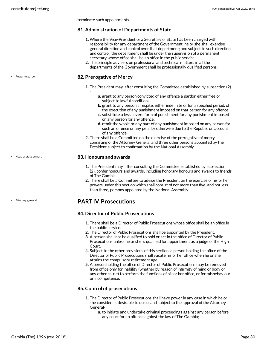terminate such appointments.

#### **81. Administration of Departments of State**

- **1.** Where the Vice-President or a Secretary of State has been charged with responsibility for any department of the Government, he or she shall exercise general direction and control over that department; and subject to such direction and control, the department shall be under the supervision of a permanent secretary whose office shall be an office in the public service.
- **2.** The principle advisers on professional and technical matters in all the departments of the Government shall be professionally qualified persons.

#### **82. Prerogative of Mercy**

-

- **1.** The President may, after consulting the Committee established by subsection (2)
	- **a.** grant to any person convicted of any offence a pardon either free or subject to lawful conditions;
	- **b.** grant to any person a respite, either indefinite or for a specified period, of the execution of any punishment imposed on that person for any offence;
	- **c.** substitute a less severe form of punishment for any punishment imposed on any person for any offence;
	- **d.** remit the whole or any part of any punishment imposed on any person for such an offence or any penalty otherwise due to the Republic on account of any offence.
- **2.** There shall be a Committee on the exercise of the prerogative of mercy consisting of the Attorney General and three other persons appointed by the President subject to confirmation by the National Assembly.

#### **83. Honours and awards**

- **1.** The President may, after consulting the Committee established by subsection (2), confer honours and awards, including honorary honours and awards to friends of The Gambia.
- **2.** There shall be a Committee to advise the President on the exercise of his or her powers under this section which shall consist of not more than five, and not less than three, persons appointed by the National Assembly.

## <span id="page-29-0"></span>**PART IV. Prosecutions**

#### **84. Director of Public Prosecutions**

- **1.** There shall be a Director of Public Prosecutions whose office shall be an office in the public service.
- **2.** The Director of Public Prosecutions shall be appointed by the President.
- **3.** A person shall not be qualified to hold or act in the office of Director of Public Prosecutions unless he or she is qualified for appointment as a judge of the High Court.
- **4.** Subject to the other provisions of this section, a person holding the office of the Director of Public Prosecutions shall vacate his or her office when he or she attains the compulsory retirement age.
- **5.** A person holding the office of Director of Public Prosecutions may be removed from office only for inability (whether by reason of infirmity of mind or body or any other cause) to perform the functions of his or her office, or for misbehaviour or incompetence.

#### **85. Control of prosecutions**

- **1.** The Director of Public Prosecutions shall have power in any case in which he or she considers it desirable to do so, and subject to the approval of the Attorney General
	- **a.** to initiate and undertake criminal proceedings against any person before any court for an offence against the law of The Gambia;

Power to pardon

Head of state powers

Attorney general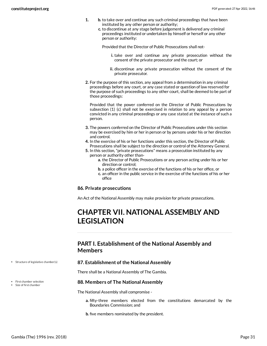- **1. b.** to take over and continue any such criminal proceedings that have been instituted by any other person or authority;
	- **c.** to discontinue at any stage before judgement is delivered any criminal proceedings instituted or undertaken by himself or herself or any other person or authority:

Provided that the Director of Public Prosecutions shall not-

- **i.** take over and continue any private prosecution without the consent of the private prosecutor and the court; or
- **ii.** discontinue any private prosecution without the consent of the private prosecutor.
- **2.** For the purpose of this section, any appeal from a determination in any criminal proceedings before any court, or any case stated or question of law reserved for the purpose of such proceedings to any other court, shall be deemed to be part of those proceedings:

Provided that the power conferred on the Director of Public Prosecutions by subsection (1) (c) shall not be exercised in relation to any appeal by a person convicted in any criminal proceedings or any case stated at the instance of such a person.

- **3.** The powers conferred on the Director of Public Prosecutions under this section may be exercised by him or her in person or by persons under his or her direction and control.
- **4.** In the exercise of his or her functions under this section, the Director of Public Prosecutions shall be subject to the direction or control of the Attorney General.
- **5.** In this section, "private prosecutions" means a prosecution instituted by any person or authority other than
	- **a.** the Director of Public Prosecutions or any person acting under his or her direction or control;
	- **b.** a police officer in the exercise of the functions of his or her office, or
	- **c.** an officer in the public service in the exercise of the functions of his or her office

#### **86. Private prosecutions**

An Act of the National Assembly may make provision for private prosecutions.

## <span id="page-30-0"></span>**CHAPTER VII. NATIONAL ASSEMBLY AND LEGISLATION**

## <span id="page-30-1"></span>**PART I. Establishment of the National Assembly and Members**

#### **87. Establishment of the National Assembly**

There shall be a National Assembly of The Gambia.

#### **88. Members of The National Assembly**

The National Assembly shall compromise -

- **a.** fifty-three members elected from the constitutions demarcated by the Boundaries Commission; and
- **b.** five members nominated by the president.
- Structure of legislative chamber(s)
- First chamber selection Size of first chamber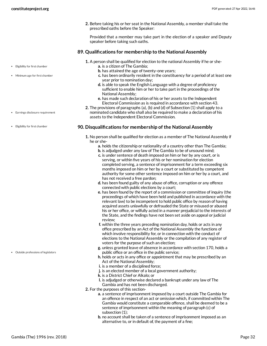**2.** Before taking his or her seat in the National Assembly, a member shall take the prescribed oaths before the Speaker:

Provided that a member may take part in the election of a speaker and Deputy speaker before taking such oaths.

#### **89. Qualifications for membership to the National Assembly**

- **1.** A person shall be qualified for election to the national Assembly if he or she
	- **a.** is a citizen of The Gambia;
	- **b.** has attained the age of twenty-one years;
	- **c.** has been ordinarily resident in the constituency for a period of at least one year prior to nomination day;
	- **d.** is able to speak the English Language with a degree of proficiency sufficient to enable him or her to take part in the proceedings of the National Assembly;
	- **e.** has made such declaration of his or her assets to the Independent Electoral Commission as is required in accordance with section 43.
- **2.** The provisions of paragraphs (a), (b) and (d) of Subsection (1) shall apply to a nominated candidate who shall also be required to make a declaration of his assets to the Independent Electoral Commission.

#### **90. Disqualifications for membership of the National Assembly**

- **1.** No person shall be qualified for election as a member of The National Assembly if he or she
	- **a.** holds the citizenship or nationality of a country other than The Gambia;
	- **b.** is adjudged under any law of The Gambia to be of unsound mind;
	- **c.** is under sentence of death imposed on him or her by any court, or is serving, or within five years of his or her nomination for election completed serving, a sentence of imprisonment for a term exceeding six months imposed on him or her by a court or substituted by competent authority for some other sentence imposed on him or her by a court, and has not received a free pardon;
	- **d.** has been found guilty of any abuse of office, corruption or any offence connected with public elections by a court;
	- **e.** has been found by the report of a commission or committee of inquiry (the proceedings of which have been held and published in accordance with the relevant law) to be incompetent to hold public office by reason of having acquired assets unlawfully or defrauded the State or misused or abused his or her office, or wilfully acted in a manner prejudicial to the interests of the State, and the findings have not been set aside on appeal or judicial review;
	- **f.** within the three years preceding nomination day, holds or acts in any office prescribed by an Act of the National Assembly the functions of which involve responsibility for, or in connection with the conduct of elections to the National Assembly or the compilation of any register of voters for the purpose of such an election;
	- **g.** unless granted leave of absence in accordance with section 170, holds a public office or an office in the public service;
	- **h.** holds or acts in any office or appointment that may be prescribed by an Act of the National Assembly;
	- **i.** is a member of a disciplined force;
	- **j.** is an elected member of a local government authority;
	- **k.** is a District Chief or Alkalo; or
	- **l.** is adjudged or otherwise declared a bankrupt under any law of The
	- Gambia and has not been discharged.
- **2.** For the purposes of this section
	- **a.** a sentence of imprisonment imposed by a court outside The Gambia for an offence in respect of an act or omission which, if committed within The Gambia would constitute a comparable offence, shall be deemed to be a sentence of imprisonment within the meaning of paragraph (c) of subsection (1);
	- **b.** no account shall be taken of a sentence of imprisonment imposed as an alternative to, or in default of, the payment of a fine;
- Eligibility for first chamber
- Minimum age for first chamber
- Earnings disclosure requirement
- Eligibility for first chamber

Outside professions of legislators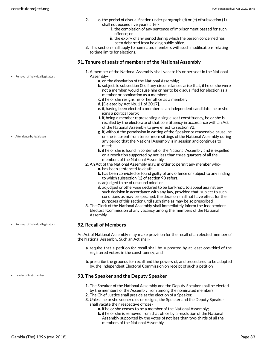- **2. c.** the period of disqualification under paragraph (d) or (e) of subsection (1) shall not exceed five years after
	- **i.** the completion of any sentence of imprisonment passed for such offence; or
	- **ii.** the expiry of any period during which the person concerned has been debarred from holding public office.
- **3.** This section shall apply to nominated members with such modifications relating to time limits for elections.

#### **91. Tenure of seats of members of the National Assembly**

- **1.** A member of the National Assembly shall vacate his or her seat in the National Assembly
	- **a.** on the dissolution of the National Assembly;
		- **b.** subject to subsection (2), if any circumstances arise that, if he or she were not a member, would cause him or her to be disqualified for election as a member or nomination as a member;
		- **c.** if he or she resigns his or her office as a member;
		- **d.** [Deleted by Act No. 11 of 2017].
		- **e.** if, having been elected a member as an independent candidate, he or she joins a political party;
		- **f.** if, being a member representing a single seat constituency, he or she is recalled by the electorate of that constituency in accordance with an Act of the National Assembly to give effect to section 92;
		- **g.** if, without the permission in writing of the Speaker or reasonable cause, he or she is absent from ten or more sittings of the National Assembly during any period that the National Assembly is in session and continues to meet;
		- **h.** if he or she is found in contempt of the National Assembly and is expelled on a resolution supported by not less than three quarters of all the members of the National Assembly.
- **2.** An Act of the National Assembly may, in order to permit any member who
	- **a.** has been sentenced to death;
	- **b.** has been convicted or found guilty of any offence or subject to any finding to which subsection (1) of section 90 refers,
	- **c.** adjudged to be of unsound mind; or
	- **d.** adjudged or otherwise declared to be bankrupt, to appeal against any such decision in accordance with any law, provided that, subject to such conditions as may be specified, the decision shall not have effect for the purposes of this section until such time as may be so prescribed.
- **3.** The Clerk of the National Assembly shall immediately inform the Independent Electoral Commission of any vacancy among the members of the National Assembly.

#### **92. Recall of Members**

An Act of National Assembly may make provision for the recall of an elected member of the National Assembly. Such an Act shall-

- **a.** require that a petition for recall shall be supported by at least one-third of the registered voters in the constituency; and
- **b.** prescribe the grounds for recall and the powers of, and procedures to be adopted by, the Independent Electoral Commission on receipt of such a petition.

#### **93. The Speaker and the Deputy Speaker**

- **1.** The Speaker of the National Assembly and the Deputy Speaker shall be elected by the members of the Assembly from among the nominated members.
- **2.** The Chief Justice shall preside at the election of a Speaker.
- **3.** Unless he or she sooner dies or resigns, the Speaker and the Deputy Speaker shall vacate their respective offices
	- **a.** if he or she ceases to be a member of the National Assembly;
	- **b.** if he or she is removed from that office by a resolution of the National Assembly supported by the votes of not less than two-thirds of all the members of the National Assembly.

Removal of individual legislators

Attendance by legislators

Removal of individual legislators

Leader of first chamber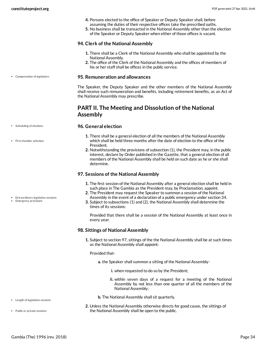- **4.** Persons elected to the office of Speaker or Deputy Speaker shall, before assuming the duties of their respective offices take the prescribed oaths.
- **5.** No business shall be transacted in the National Assembly other than the election of the Speaker or Deputy Speaker when either of those offices is vacant.

#### **94. Clerk of the National Assembly**

- **1.** There shall be a Clerk of the National Assembly who shall be appointed by the National Assembly.
- **2.** The office of the Clerk of the National Assembly and the offices of members of his or her staff shall be offices in the public service.

#### **95. Remuneration and allowances**

The Speaker, the Deputy Speaker and the other members of the National Assembly shall receive such remuneration and benefits, including retirement benefits, as an Act of the National Assembly may prescribe.

### <span id="page-33-0"></span>**PART II. The Meeting and Dissolution of the National Assembly**

#### **96. General election**

- **1.** There shall be a general election of all the members of the National Assembly which shall be held three months after the date of election to the office of the President.
- **2.** Notwithstanding the provisions of subsection (1), the President may, in the public interest, declare by Order published in the Gazette, that a general election of all members of the National Assembly shall be held on such date as he or she shall determine.

#### **97. Sessions of the National Assembly**

- **1.** The first session of the National Assembly after a general election shall be held in such place in The Gambia as the President may, by Proclamation, appoint.
- **2.** The President may request the Speaker to summon a session of the National Assembly in the event of a declaration of a public emergency under section 34.
- **3.** Subject to subsections (1) and (2), the National Assembly shall determine the times of its sessions:

Provided that there shall be a session of the National Assembly at least once in every year.

#### **98. Sittings of National Assembly**

**1.** Subject to section 97, sittings of the the National Assembly shall be at such times as the National Assembly shall appoint:

Provided that-

- **a.** the Speaker shall summon a sitting of the National Assembly
	- **i.** when requested to do so by the President;

**ii.** within seven days of a request for a meeting of the National Assembly by not less than one quarter of all the members of the National Assembly;

- **b.** The National Assembly shall sit quarterly.
- **2.** Unless the National Assembly otherwise directs for good cause, the sittings of the National Assembly shall be open to the public.

Compensation of legislators

• Scheduling of elections

First chamber selection

- 
- Extraordinary legislative sessions
- Emergency provisions

- Length of legislative sessions
- Public or private sessions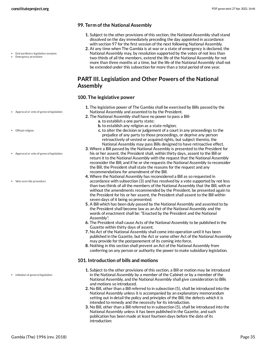- **99. Term of the National Assembly**
	- **1.** Subject to the other provisions of this section, the National Assembly shall stand dissolved on the day immediately preceding the day appointed in accordance with section 97 for the first session of the next following National Assembly.
	- **2.** At any time when The Gambia is at war or a state of emergency is declared, the National Assembly may, by resolution supported by the votes of not less than two-thirds of all the members, extend the life of the National Assembly for not more than three months at a time, but the life of the National Assembly shall not be extended under this subsection for more than a total period of one year.

## <span id="page-34-0"></span>**PART III. Legislation and Other Powers of the National Assembly**

#### **100. The legislative power**

- **1.** The legislative power of The Gambia shall be exercised by Bills passed by the National Assembly and assented to by the President.
- **2.** The National Assembly shall have no power to pass a Bill
	- **a.** to establish a one party state;
	- **b.** to establish any religion as a state religion;
	- **c.** to alter the decision or judgement of a court in any proceedings to the prejudice of any party to those proceedings, or deprive any person retroactively of vested or acquired rights, but subject thereto, the National Assembly may pass Bills designed to have retroactive effect.
- **3.** Where a Bill passed by the National Assembly is presented to the President for his or her assent, the President shall, within thirty days, assent to the Bill or return it to the National Assembly with the request that the National Assembly reconsider the Bill; and if he or she requests the National Assembly to reconsider the Bill, the President shall state the reasons for the request and any recommendations for amendment of the Bill.
- **4.** Where the National Assembly has reconsidered a Bill as so requested in accordance with subsection (3) and has resolved by a vote supported by not less than two thirds of all the members of the National Assembly that the Bill, with or without the amendments recommended by the President, be presented again to the President for his or her assent, the President shall assent to the Bill within seven days of it being so presented.
- **5.** A Bill which has been duly passed by the National Assembly and assented to by the President shall become law as an Act of the National Assembly and the words of enactment shall be:"Enacted by the President and the National Assembly".
- **6.** The President shall cause Acts of the National Assembly to be published in the Gazette within thirty days of assent.
- **7.** No Act of the National Assembly shall come into operation until it has been published in the Gazette, but the Act or some other Act of the National Assembly may provide for the postponement of its coming into force.
- **8.** Nothing in this section shall prevent an Act of the National Assembly from conferring on any person or authority the power to make subsidiary legislation.

#### **101. Introduction of bills and motions**

- **1.** Subject to the other provisions of this section, a Bill or motion may be introduced in the National Assembly by a member of the Cabinet or by a member of the National Assembly, and the National Assembly shall give consideration to Bills and motions so introduced.
- **2.** No Bill, other than a Bill referred to in subsection (5), shall be introduced into the National Assembly unless it is accompanied by an explanatory memorandum setting out in detail the policy and principles of the Bill, the defects which it is intended to remedy and the necessity for its introduction.
- **3.** No Bill, other than a Bill referred to in subsection (5), shall be introduced into the National Assembly unless it has been published in the Gazette, and such publication has been made at least fourteen days before the date of its introduction:

Extraordinary legislative sessions Emergency provisions

- Approval or veto of general legislation
- Official religion
- Approval or veto of general legislation
- Veto override procedure

• Initiation of general legislation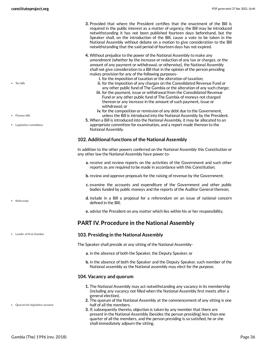- **3.** Provided that where the President certifies that the enactment of the Bill is required in the public interest as a matter of urgency, the Bill may be introduced notwithstanding it has not been published fourteen days beforehand, but the Speaker shall, on the introduction of the Bill, cause a vote to be taken in the National Assembly without debate on a motion to give consideration to the Bill notwithstanding that the said period of fourteen days has not expired.
- **4.** Without prejudice to the power of the National Assembly to make any amendment (whether by the increase or reduction of any tax or charges, or the amount of any payment or withdrawal, or otherwise), the National Assembly shall not give consideration to a Bill that in the opinion of the person presiding makes provision for any of the following purposes
	- **i.** for the imposition of taxation or the alteration of taxation;
	- **ii.** for the imposition of any charges on the Consolidated Revenue Fund or any other public fund of The Gambia or the alteration of any such charge;
	- **iii.** for the payment, issue or withdrawal from the Consolidated Revenue Fund or any other public fund of The Gambia of moneys not charged thereon or any increase in the amount of such payment, issue or withdrawal; or
	- **iv.** for the composition or remission of any debt due to the Government, unless the Bill is introduced into the National Assembly by the President.
- **5.** When a Bill is introduced into the National Assembly, it may be allocated to an appropriate committee for examination, and a report made thereon to the National Assembly.

#### **102. Additional functions of the National Assembly**

In addition to the other powers conferred on the National Assembly this Constitution or any other law the National Assembly have power to-

- **a.** receive and review reports on the activities of the Government and such other reports as are required to be made in accordance with this Constitution;
- **b.** review and approve proposals for the raising of revenue by the Government;
- **c.** examine the accounts and expenditure of the Government and other public bodies funded by public moneys and the reports of the Auditor General thereon;
- **d.** include in a Bill a proposal for a referendum on an issue of national concern defined in the Bill;
- **e.** advise the President on any matter which lies within his or her responsibility.

## <span id="page-35-0"></span>**PART IV. Procedure in the National Assembly**

#### **103. Presiding in the National Assembly**

The Speaker shall preside at any sitting of the National Assembly-

**a.** in the absence of both the Speaker, the Deputy Speaker, or

**b.** in the absence of both the Speaker and the Deputy Speaker, such member of the National assembly as the National assembly may elect for the purpose.

#### **104. Vacancy and quorum**

- **1.** The National Assembly may act notwithstanding any vacancy in its membership (including any vacancy not filled when the National Assembly first meets after a general election).
- **2.** The quorum of the National Assembly at the commencement of any sitting is one half of all the members.
- **3.** If, subsequently thereto, objection is taken by any member that there are present in the National Assembly (besides the person presiding) less than one quarter of all the members, and the person presiding is so satisfied, he or she shall immediately adjourn the sitting.

Tax bills

- Finance bills
- Legislative committees

Referenda

Leader of first chamber

Quorum for legislative sessions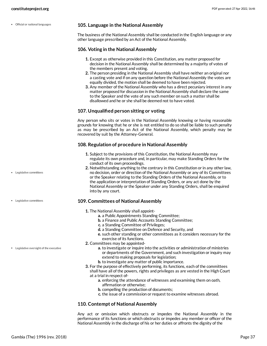Official or national languages

#### **105. Language in the National Assembly**

The business of the National Assembly shall be conducted in the English language or any other language prescribed by an Act of the National Assembly.

#### **106. Voting in the National Assembly**

- **1.** Except as otherwise provided in this Constitution, any matter proposed for decision in the National Assembly shall be determined by a majority of votes of the members present and voting.
- **2.** The person presiding in the National Assembly shall have neither an original nor a casting vote and if on any question before the National Assembly the votes are equally divided, the motion shall be deemed to have been rejected.
- **3.** Any member of the National Assembly who has a direct pecuniary interest in any matter proposed for discussion in the National Assembly shall declare the same to the Speaker and the vote of any such member on such a matter shall be disallowed and he or she shall be deemed not to have voted.

#### **107. Unqualified person sitting or voting**

Any person who sits or votes in the National Assembly knowing or having reasonable grounds for knowing that he or she is not entitled to do so shall be liable to such penalty as may be prescribed by an Act of the National Assembly, which penalty may be recovered by suit by the Attorney-General.

#### **108. Regulation of procedure in National Assembly**

- **1.** Subject to the provisions of this Constitution, the National Assembly may regulate its own procedure and, in particular, may make Standing Orders for the conduct of its own proceedings.
- **2.** Notwithstanding anything to the contrary in this Constitution or in any other law, no decision, order or direction of the National Assembly or any of its Committees or the Speaker relating to the Standing Orders of the National Assembly, or to the application or interpretation of Standing Orders, or any act done by the National Assembly or the Speaker under any Standing Orders, shall be enquired into by any court.

#### **109. Committees of National Assembly**

- **1.** The National Assembly shall appoint
	- **a.** a Public Appointments Standing Committee;
	- **b.** a Finance and Public Accounts Standing Committee;
	- **c.** a Standing Committee of Privileges;
	- **d.** a Standing Committee on Defence and Security, and
	- **e.** such other standing or other committees as it considers necessary for the exercise of its functions.
- **2.** Committees may be appointed
	- **a.** to investigate or inquire into the activities or administration of ministries or departments of the Government, and such investigation or inquiry may extend to making proposals for legislation;
	- **b.** to investigate any matter of public importance.
- **3.** For the purpose of effectively performing, its functions, each of the committees shall have all of the powers, rights and privileges as are vested in the High Court at a trial in respect of
	- **a.** enforcing the attendance of witnesses and examining them on oath, affirmation or otherwise;
	- **b.** compelling the production of documents:
	- **c.** the issue of a commission or request to examine witnesses abroad.

#### **110. Contempt of National Assembly**

Any act or omission which obstructs or impedes the National Assembly in the performance of its functions or which obstructs or impedes any member or officer of the National Assembly in the discharge of his or her duties or affronts the dignity of the

Legislative committees

Legislative committees

Legislative oversight of the executive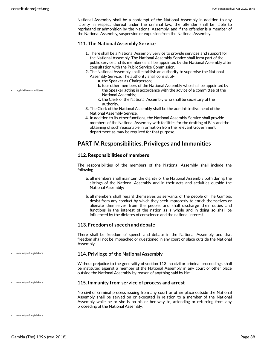National Assembly shall be a contempt of the National Assembly in addition to any liability in respect thereof under the criminal law, the offender shall be liable to reprimand or admonition by the National Assembly, and if the offender is a member of the National Assembly, suspension or expulsion from the National Assembly.

#### **111. The National Assembly Service**

- **1.** There shall be a National Assembly Service to provide services and support for the National Assembly. The National Assembly Service shall form part of the public service and its members shall be appointed by the National Assembly after consultation with the Public Service Commission.
- **2.** The National Assembly shall establish an authority to supervise the National Assembly Service. The authority shall consist of
	- **a.** the Speaker as Chairperson;
	- **b.** four other members of the National Assembly who shall be appointed by the Speaker acting in accordance with the advice of a committee of the National Assembly;
	- **c.** the Clerk of the National Assembly who shall be secretary of the authority.
- **3.** The Clerk of the National Assembly shall be the administrative head of the National Assembly Service.
- **4.** In addition to its other functions, the National Assembly Service shall provide members of the National Assembly with facilities for the drafting of Bills and the obtaining of such reasonable information from the relevant Government department as may be required for that purpose.

### **PART IV. Responsibilities, Privileges and Immunities**

#### **112. Responsibilities of members**

The responsibilities of the members of the National Assembly shall include the following-

- **a.** all members shall maintain the dignity of the National Assembly both during the sittings of the National Assembly and in their acts and activities outside the National Assembly;
- **b.** all members shall regard themselves as servants of the people of The Gambia, desist from any conduct by which they seek improperly to enrich themselves or alienate themselves from the people, and shall discharge their duties and functions in the interest of the nation as a whole and in doing so shall be influenced by the dictates of conscience and the national interest.

#### **113. Freedom of speech and debate**

There shall be freedom of speech and debate in the National Assembly and that freedom shall not be impeached or questioned in any court or place outside the National Assembly.

#### **114. Privilege of the National Assembly**

Without prejudice to the generality of section 113, no civil or criminal proceedings shall be instituted against a member of the National Assembly in any court or other place outside the National Assembly by reason of anything said by him.

#### **115. Immunity from service of process and arrest**

No civil or criminal process issuing from any court or other place outside the National Assembly shall be served on or executed in relation to a member of the National Assembly while he or she is on his or her way to, attending or returning from any proceeding of the National Assembly.

• Immunity of legislators

• Immunity of legislators

• Immunity of legislators

**.** Legislative committees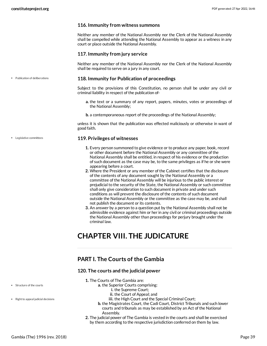#### **116. Immunity from witness summons**

Neither any member of the National Assembly nor the Clerk of the National Assembly shall be compelled while attending the National Assembly to appear as a witness in any court or place outside the National Assembly.

#### **117. Immunity from jury service**

Neither any member of the National Assembly nor the Clerk of the National Assembly shall be required to serve on a jury in any court.

#### **118. Immunity for Publication of proceedings**

Subject to the provisions of this Constitution, no person shall be under any civil or criminal liability in respect of the publication of-

**a.** the text or a summary of any report, papers, minutes, votes or proceedings of the National Assembly;

**b.** a contemporaneous report of the proceedings of the National Assembly;

unless it is shown that the publication was effected maliciously or otherwise in want of good faith.

#### **119. Privileges of witnesses**

- **1.** Every person summoned to give evidence or to produce any paper, book, record or other document before the National Assembly or any committee of the National Assembly shall be entitled, in respect of his evidence or the production of such document as the case may be, to the same privileges as if he or she were appearing before a court.
- **2.** Where the President or any member of the Cabinet certifies that the disclosure of the contents of any document sought by the National Assembly or a committee of the National Assembly will be injurious to the public interest or prejudicial to the security of the State, the National Assembly or such committee shall only give consideration to such document in private and under such conditions as will prevent the disclosure of the contents of such document outside the National Assembly or the committee as the case may be, and shall not publish the document or its contents.
- **3.** An answer by a person to a question put by the National Assembly shall not be admissible evidence against him or her in any civil or criminal proceedings outside the National Assembly other than proceedings for perjury brought under the criminal law.

## **CHAPTER VIII. THE JUDICATURE**

### **PART I. The Courts of the Gambia**

#### **120. The courts and the judicial power**

- **1.** The Courts of The Gambia are:
	- **a.** the Superior Courts comprising:
		- **i.** the Supreme Court;
		- **ii.** the Court of Appeal; and
		- **iii.** the High Court and the Special Criminal Court;
		- **b.** the Magistrates Court, the Cadi Court, District Tribunals and such lower courts and tribunals as may be established by an Act of the National Assembly.
- **2.** The judicial power of The Gambia is vested in the courts and shall be exercised by them according to the respective jurisdiction conferred on them by law.

Publication of deliberations

Legislative committees

Structure of the courts

• Right to appeal judicial decisions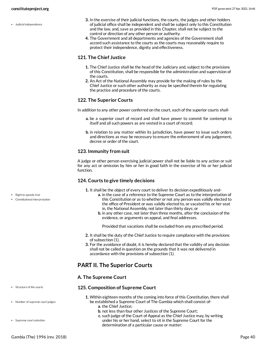Judicial independence

- **3.** In the exercise of their judicial functions, the courts, the judges and other holders of judicial office shall be independent and shall be subject only to this Constitution and the law, and, save as provided in this Chapter, shall not be subject to the control or direction of any other person or authority.
- **4.** The Government and all departments and agencies of the Government shall accord such assistance to the courts as the courts may reasonably require to protect their independence, dignity and effectiveness.

### **121. The Chief Justice**

- **1.** The Chief Justice shall be the head of the Judiciary and, subject to the provisions of this Constitution, shall be responsible for the administration and supervision of the courts.
- **2.** An Act of the National Assembly may provide for the making of rules by the Chief Justice or such other authority as may be specified therein for regulating the practice and procedure of the courts.

### **122. The Superior Courts**

In addition to any other power conferred on the court, each of the superior courts shall-

- **a.** be a superior court of record and shall have power to commit for contempt to itself and all such powers as are vested in a court of record;
- **b.** in relation to any matter within its jurisdiction, have power to issue such orders and directions as may be necessary to ensure the enforcement of any judgement, decree or order of the court.

#### **123. Immunity from suit**

A judge or other person exercising judicial power shall not be liable to any action or suit for any act or omission by him or her in good faith in the exercise of his or her judicial function.

#### **124. Courts to give timely decisions**

- **1.** It shall be the object of every court to deliver its decision expeditiously and
	- **a.** in the case of a reference to the Supreme Court as to the interpretation of this Constitution or as to whether or not any person was validly elected to the office of President or was validly elected to, or vacated his or her seat in, the National Assembly, not later than thirty days; or
	- **b.** in any other case, not later than three months, after the conclusion of the evidence, or arguments on appeal, and final addresses.

Provided that vacations shall be excluded from any prescribed period.

- **2.** It shall be the duty of the Chief Justice to require compliance with the provisions of subsection (1).
- **3.** For the avoidance of doubt, it is hereby declared that the validity of any decision shall not be called in question on the grounds that it was not delivered in accordance with the provisions of subsection (1).

### **PART II. The Superior Courts**

#### **A. The Supreme Court**

#### **125. Composition of Supreme Court**

- **1.** Within eighteen months of the coming into force of this Constitution, there shall be established a Supreme Court of The Gambia which shall consist of
	- **a.** the Chief Justice;
	- **b.** not less than four other Justices of the Supreme Court;
	- **c.** such judge of the Court of Appeal as the Chief Justice may, by writing under his or her hand, select to sit in the Supreme Court for the determination of a particular cause or matter:
- Right to speedy trial
- Constitutional interpretation

- Structure of the courts
- Number of supreme court judges
- Supreme court selection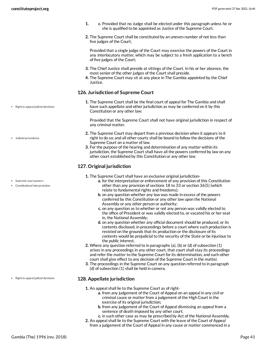- **1. c.** Provided that no Judge shall be elected under this paragraph unless he or she is qualified to be appointed as Justice of the Supreme Court.
- **2.** The Supreme Court shall be constituted by an uneven number of not less than five judges of the Court;

Provided that a single judge of the Court may exercise the powers of the Court in any interlocutory matter, which may be subject to a fresh application to a bench of five judges of the Court;

- **3.** The Chief Justice shall preside at sittings of the Court. In his or her absence, the most senior of the other judges of the Court shall preside.
- **4.** The Supreme Court may sit at any place in The Gambia appointed by the Chief Justice.

### **126. Jurisdiction of Supreme Court**

**1.** The Supreme Court shall be the final court of appeal for The Gambia and shall have such appellate and other jurisdiction as may be conferred on it by this Constitution or any other law:

Provided that the Supreme Court shall not have original jurisdiction in respect of any criminal matter.

- **2.** The Supreme Court may depart from a previous decision when it appears to it right to do so; and all other courts shall be bound to follow the decisions of the Supreme Court on a matter of law.
- **3.** For the purpose of the hearing and determination of any matter within its jurisdiction, the Supreme Court shall have all the powers conferred by law on any other court established by this Constitution or any other law.

### **127. Original jurisdiction**

- **1.** The Supreme Court shall have an exclusive original jurisdiction
	- **a.** for the interpretation or enforcement of any provision of this Constitution other than any provision of sections 18 to 33 or section 36(5) (which relate to fundamental rights and freedoms);
	- **b.** on any question whether any law was made in excess of the powers conferred by this Constitution or any other law upon the National Assembly or any other person or authority;
	- **c.** on any question as to whether or not any person was validly elected to the office of President or was validly elected to, or vacated his or her seat in, the National Assembly;
	- **d.** on any question whether any official document should be produced, or its contents disclosed, in proceedings before a court where such production is resisted on the grounds that its production or the disclosure of its contents would be prejudicial to the security of the State or be injurious to the public interest.
- **2.** Where any question referred to in paragraphs (a), (b) or (d) of subsection (1) arises in any proceedings in any other court, that court shall stay its proceedings and refer the matter to the Supreme Court for its determination, and such other court shall give effect to any decision of the Supreme Court in the matter.
- **3.** The proceedings in the Supreme Court on any question referred to in paragraph (d) of subsection (1) shall be held in camera.

### **128. Appellate jurisdiction**

- **1.** An appeal shall lie to the Supreme Court as of right
	- **a.** from any judgement of the Court of Appeal on an appeal in any civil or criminal cause or matter from a judgement of the High Court in the exercise of its original jurisdiction;
	- **b.** from any judgement of the Court of Appeal dismissing an appeal from a sentence of death imposed by any other court;
	- **c.** in such other case as may be prescribed by Act of the National Assembly.
- **2.** An appeal shall lie to the Supreme Court with the leave of the Court of Appeal from a judgement of the Court of Appeal in any cause or matter commenced in a
- Right to appeal judicial decisions
- Judicial precedence

- Supreme court powers
- Constitutional interpretation

 $\cdot$  Right to appeal judicial decisions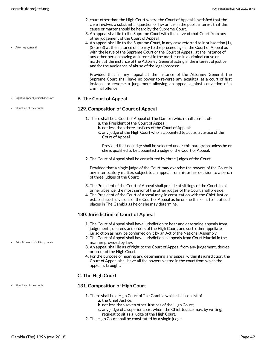Attorney general

- **2.** court other than the High Court where the Court of Appeal is satisfied that the case involves a substantial question of law or it is in the public interest that the cause or matter should be heard by the Supreme Court.
- **3.** An appeal shall lie to the Supreme Court with the leave of that Court from any other judgement of the Court of Appeal.
- **4.** An appeal shall lie to the Supreme Court, in any case referred to in subsection (1), (2) or (3) at the instance of a party to the proceedings in the Court of Appeal or, with the leave of the Supreme Court or the Court of Appeal, at the instance of any other person having an interest in the matter or, in a criminal cause or matter, at the instance of the Attorney General acting in the interest of justice and for the avoidance of abuse of the legal process:

Provided that in any appeal at the instance of the Attorney General, the Supreme Court shall have no power to reverse any acquittal at a court of first instance or reverse a judgement allowing an appeal against conviction of a criminal offence.

#### **B. The Court of Appeal**  $\bullet$  Right to appeal judicial decisions

#### Structure of the courts

- **129. Composition of Court of Appeal**
	- **1.** There shall be a Court of Appeal of The Gambia which shall consist of
		- **a.** the President of the Court of Appeal;
		- **b.** not less than three Justices of the Court of Appeal;
		- **c.** any judge of the High Court who is appointed to act as a Justice of the Court of Appeal.

Provided that no judge shall be selected under this paragraph unless he or she is qualified to be appointed a judge of the Court of Appeal.

**2.** The Court of Appeal shall be constituted by three judges of the Court:

Provided that a single judge of the Court may exercise the powers of the Court in any interlocutory matter, subject to an appeal from his or her decision to a bench of three judges of the Court;

- **3.** The President of the Court of Appeal shall preside at sittings of the Court. In his or her absence, the most senior of the other judges of the Court shall preside.
- **4.** The President of the Court of Appeal may, in consultation with the Chief Justice, establish such divisions of the Court of Appeal as he or she thinks fit to sit at such places in The Gambia as he or she may determine.

### **130. Jurisdiction of Court of Appeal**

- **1.** The Court of Appeal shall have jurisdiction to hear and determine appeals from judgements, decrees and orders of the High Court, and such other appellate jurisdiction as may be conferred on it by an Act of the National Assembly.
- **2.** The Court of Appeal shall have jurisdiction in appeals from Court Martial in the manner provided by law.
- **3.** An appeal shall lie as of right to the Court of Appeal from any judgement, decree or order of the High Court.
- **4.** For the purpose of hearing and determining any appeal within its jurisdiction, the Court of Appeal shall have all the powers vested in the court from which the appeal is brought.

### **C. The High Court**

#### **131. Composition of High Court**

- **1.** There shall be a High Court of The Gambia which shall consist of
	- **a.** the Chief Justice;
		- **b.** not less than seven other Justices of the High Court;
		- **c.** any judge of a superior court whom the Chief Justice may, by writing, request to sit as a judge of the High Court.
- **2.** The High Court shall be constituted by a single judge.

#### Establishment of military courts

Structure of the courts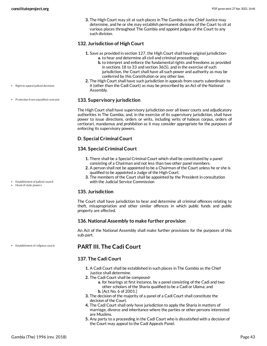**3.** The High Court may sit at such places in The Gambia as the Chief Justice may determine, and he or she may establish permanent divisions of the Court to sit at various places throughout The Gambia and appoint judges of the Court to any such division.

### **132. Jurisdiction of High Court**

- **1.** Save as provided in section 127, the High Court shall have original jurisdiction
	- **a.** to hear and determine all civil and criminal proceedings;
	- **b.** to interpret and enforce the fundamental rights and freedoms as provided in sections 18 to 33 and section 36(5), and in the exercise of such jurisdiction, the Court shall have all such power and authority as may be conferred by this Constitution or any other law.
- **2.** The High Court shall have such jurisdiction in appeals from courts subordinate to it (other than the Cadi Court) as may be prescribed by an Act of the National Assembly.

### **133. Supervisory jurisdiction**

The High Court shall have supervisory jurisdiction over all lower courts and adjudicatory authorities in The Gambia, and, in the exercise of its supervisory jurisdiction, shall have power to issue directions, orders or writs, including writs of habeas corpus, orders of certiorari, mandamus and prohibition as it may consider appropriate for the purposes of enforcing its supervisory powers.

### **D. Special Criminal Court**

### **134. Special Criminal Court**

- **1.** There shall be a Special Criminal Court which shall be constituted by a panel consisting of a Chairman and not less than two other panel members.
- **2.** A person shall not be appointed to be a Chairman of the Court unless he or she is qualified to be appointed a Judge of the High Court.
- **3.** The members of the Court shall be appointed by the President in consultation with the Judicial Service Commission

### **135. Jurisdiction**

The Court shall have jurisdiction to hear and determine all criminal offences relating to theft, misapropriation and other similar offences in which public funds and public property are affected.

#### **136. National Assembly to make further provision**

An Act of the National Assembly shall make further provisions for the purposes of this sub-part.

### **PART III. The Cadi Court**

### **137. The Cadi Court**

- **1.** A Cadi Court shall be established in such places in The Gambia as the Chief Justice shall determine.
- **2.** The Cadi Court shall be composed
	- **a.** for hearings at first instance, by a panel consisting of the Cadi and two other scholars of the Sharia qualified to be a Cadi or Ulama; and **b.** [Act No. 6 of 2001.]
- **3.** The decision of the majority of a panel of a Cadi Court shall constitute the decision of the Court.
- **4.** The Cadi Court shall only have jurisdiction to apply the Sharia in matters of marriage, divorce and inheritance where the parties or other persons interested are Muslims.
- **5.** Any party to a proceeding in the Cadi Court who is dissatisfied with a decision of the Court may appeal to the Cadi Appeals Panel.
- $\bullet$  Right to appeal judicial decisions
- Protection from unjustified restraint

- 
- Establishment of judicial council Head of state powers

Establishment of religious courts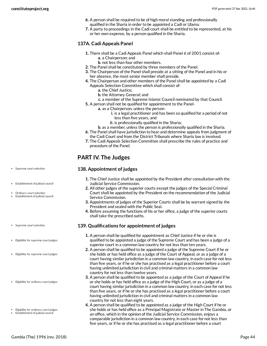- **6.** A person shall be required to be of high moral standing and professionally qualified in the Sharia in order to be appointed a Cadi or Ulama.
- **7.** A party to proceedings in the Cadi court shall be entitled to be represented, at his or her own expense, by a person qualified in the Sharia.

### **137A. Cadi Appeals Panel**

- **1.** There shall be a Cadi Appeals Panel which shall Panel 6 of 2001 consist of
	- **a.** a Chairperson; and
	- **b.** not less than four other members.
- **2.** The Panel shall be constituted by three members of the Panel.
- **3.** The Chairperson of the Panel shall preside at a sitting of the Panel and in his or her absence, the most senior member shall preside.
- **4.** The Chairperson and other members of the Panel shall be appointed by a Cadi Appeals Selection Committee which shall consist of
	- **a.** the Chief Justice;
	- **b.** the Attorney General; and
	- **c.** a member of the Supreme Islamic Council nominated by that Council.
- **5.** A person shall not be qualified for appointment to the Panel
	- **a.** as a Chairperson, unless the person
		- **i.** is a legal practitioner and has been so qualified for a period of not less than five years, and
		- **ii.** is professionally qualified in the Sharia;
	- **b.** as a member, unless the person is professionally qualified in the Sharia.
- **6.** The Panel shall have jurisdiction to hear and determine appeals from judgment of the Cadi Court and from the District Tribunals where Sharia law is involved.
- **7.** The Cadi Appeals Selection Committee shall prescribe the rules of practice and procedure of the Panel.

## **PART IV. The Judges**

### **138. Appointment of judges**

- **1.** The Chief Justice shall be appointed by the President after consultation with the Judicial Service Commission.
- **2.** All other judges of the superior courts except the judges of the Special Criminal Court shall be appointed by the President on the recommendation of the Judicial Service Commission.
- **3.** Appointments of judges of the Superior Courts shall be by warrant signed by the President and sealed with the Public Seal.
- **4.** Before assuming the functions of his or her office, a judge of the superior courts shall take the prescribed oaths.

### **139. Qualifications for appointment of judges**

- **1.** A person shall be qualified for appointment as Chief Justice if he or she is qualified to be appointed a judge of the Supreme Court and has been a judge of a superior court in a common law country for not less than ten years.
- **2.** A person shall be qualified to be appointed a judge of the Supreme Court if he or she holds or has held office as a judge of the Court of Appeal, or as a judge of a court having similar jurisdiction in a common law country, in each case for not less than five years, or if he or she has practised as a legal practitioner before a court having unlimited jurisdiction in civil and criminal matters in a common law country for not less than twelve years.
- **3.** A person shall be qualified to be appointed as a judge of the Court of Appeal if he or she holds or has held office as a judge of the High Court, or as a judge of a court having similar jurisdiction in a common law country, in each case for not less than five years, or if he or she has practised as a legal practitioner before a court having unlimited jurisdiction in civil and criminal matters in a common law country for not less than eight years.
- **4.** A person shall be qualified to be appointed as a judge of the High Court if he or she holds or has held office as a Principal Magistrate or Master in The Gambia, or an office, which in the opinion of the Judicial Service Commission, enjoys a comparable jurisdiction in a common law country, in each case for not less than five years, or if he or she has practised as a legal practitioner before a court

Supreme court selection

- Establishment of judicial council
- Ordinary court selection
- Establishment of judicial council
- Supreme court selection
- Eligibility for supreme court judges
- Eligibility for supreme court judges
- Eligibility for ordinary court judges
- . Eligibility for ordinary court judges
- Establishment of judicial council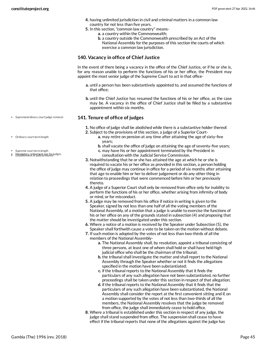- **4.** having unlimited jurisdiction in civil and criminal matters in a common law country for not less than five years.
- **5.** In this section, "common law country" means
	- **a.** a country within the Commonwealth;
		- **b.** a country outside the Commonwealth prescribed by an Act of the National Assembly for the purposes of this section the courts of which exercise a common law jurisdiction.

#### **140. Vacancy in office of Chief Justice**

In the event of there being a vacancy in the office of the Chief Justice, or if he or she is, for any reason unable to perform the functions of his or her office, the President may appoint the most senior judge of the Supreme Court to act in that office-

- **a.** until a person has been substantively appointed to, and assumed the functions of that office;
- **b.** until the Chief Justice has resumed the functions of his or her office, as the case may be. A vacancy in the office of Chief Justice shall be filled by a substantive appointment within six months.

### **141. Tenure of office of judges**

- **1.** No office of judge shall be abolished while there is a substantive holder thereof.
- **2.** Subject to the provisions of this section, a judge of a Superior Court
	- **a.** may retire on pension at any time after attaining the age of sixty-five years;
	- **b.** shall vacate the office of judge on attaining the age of seventy-five years;
	- **c.** may have his or her appointment terminated by the President in consultation with the Judicial Service Commission.
- **3.** Notwithstanding that he or she has attained the age at which he or she is required to vacate his or her office as provided in this section, a person holding the office of judge may continue in office for a period of six months after attaining that age to enable him or her to deliver judgement or do any other thing in relation to proceedings that were commenced before him or her previously thereto.
- **4.** A judge of a Superior Court shall only be removed from office only for inability to perform the functions of his or her office, whether arising from infirmity of body or mind, or for misconduct.
- **5.** A judge may be removed from his office if notice in writing is given to the Speaker, signed by not less than one half of all the voting members of the National Assembly, of a motion that a judge is unable to exercise the functions of his or her office on any of the grounds stated in subsection (4) and proposing that the matter should be investigated under this section.
- **6.** Where a notice of a motion is received by the Speaker under Subsection (5), the Speaker shall forthwith cause a vote to be taken on the motion without debate.
- **7.** If such motion is adopted by the votes of not less than two-thirds of all the members of the National Assembly
	- **a.** The National Assembly shall, by resolution, appoint a tribunal consisting of three persons, at least one of whom shall hold or shall have held high judicial office who shall be the chairman of the tribunal;
	- **b.** the tribunal shall investigate the matter and shall report to the National Assembly through the Speaker whether or not it finds the allegations specified in the motion have been substantiated;
	- **c.** if the tribunal reports to the National Assembly that it finds the particulars of any such allegation have not been substantiated, no further proceedings shall be taken under this section in respect of that allegation;
	- **d.** if the tribunal reports to the National Assembly that it finds that the particulars of any such allegation have been substantiated, the National Assembly shall consider the report at the first convenient sitting and if, on a motion supported by the votes of not less than two-thirds of all the members, the National Assembly resolves that the judge be removed from office, the judge shall immediately cease to hold office.
- **8.** Where a tribunal is established under this section in respect of any judge, the judge shall stand suspended from office. The suspension shall cease to have effect if the tribunal reports that none of the allegations against the judge has
- Supreme/ordinary court judge removal
- Ordinary court term length
- Supreme court term length
- $\cdot$  Mandatory retirement age for judges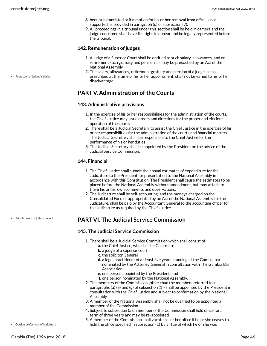Protection of judges' salaries

- **8.** been substantiated or if a motion for his or her removal from office is not supported as provided in paragraph (d) of subsection (7).
- **9.** All proceedings in a tribunal under this section shall be held in camera and the judge concerned shall have the right to appear and be legally represented before the tribunal.

### **142. Remuneration of judges**

- **1.** A judge of a Superior Court shall be entitled to such salary, allowances, and on retirement such gratuity and pension, as may be prescribed by an Act of the National Assembly.
- **2.** The salary, allowances, retirement gratuity and pension of a judge, as so prescribed at the time of his or her appointment, shall not be varied to his or her disadvantage

## **PART V. Administration of the Courts**

### **143. Administrative provisions**

- **1.** In the exercise of his or her responsibilities for the administration of the courts, the Chief Justice may issue orders and directions for the proper and efficient operation of the courts.
- **2.** There shall be a Judicial Secretary to assist the Chief Justice in the exercise of his or her responsibilities for the administration of the courts and financial matters. The Judicial Secretary shall be responsible to the Chief Justice for the performance of his or her duties.
- **3.** The Judicial Secretary shall be appointed by the President on the advice of the Judicial Service Commission.

### **144. Financial**

- **1.** The Chief Justice shall submit the annual estimates of expenditure for the Judicature to the President for presentation to the National Assembly in accordance with this Constitution. The President shall cause the estimates to be placed before the National Assembly without amendment, but may attach to them his or her own comments and observations.
- **2.** The Judicature shall be self-accounting, and the moneys charged on the Consolidated Fund or appropriated by an Act of the National Assembly for the Judicature, shall be paid by the Accountant General to the accounting officer for the Judicature as required by the Chief Justice.

#### Establishment of judicial council

### **PART VI. The Judicial Service Commission**

#### **145. The Judicial Service Commission**

- **1.** There shall be a Judicial Service Commission which shall consist of
	- **a.** the Chief Justice, who shall be Chairman;
	- **b.** a judge of a superior court;
	- **c.** the solicitor General
	- **d.** a legal practitioner of at least five years standing at the Gambia bar nominated by the Attorney General in consultation with The Gambia Bar Association;
	- **e.** one person appointed by the President; and
	- **f.** one person nominated by the National Assembly.
- **2.** The members of the Commission (other than the members referred to in paragraphs (a) (e) and (g) of subsection (1)) shall be appointed by the President in consultation with the Chief Justice and subject to confirmation by the National Assembly.
- **3.** A member of the National Assembly shall not be qualified to be appointed a member of the Commission.
- **4.** Subject to subsection (5), a member of the Commission shall hold office for a term of three years and may be re-appointed.
- **5.** A member of the Commission shall vacate his or her office if he or she ceases to hold the office specified in subsection (1) by virtue of which he or she was

Outside professions of legislators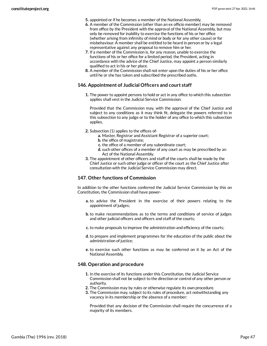- **5.** appointed or if he becomes a member of the National Assembly.
- **6.** A member of the Commission (other than an ex officio member) may be removed from office by the President with the approval of the National Assembly, but may only be removed for inability to exercise the functions of his or her office (whether arising from infirmity of mind or body or for any other cause) or for misbehaviour. A member shall be entitled to be heard in person or by a legal representative against any proposal to remove him or her.
- **7.** If a member of the Commission is, for any reason, unable to exercise the functions of his or her office for a limited period, the President, acting in accordance with the advice of the Chief Justice, may appoint a person similarly qualified to act in his or her place.
- **8.** A member of the Commission shall not enter upon the duties of his or her office until he or she has taken and subscribed the prescribed oaths.

#### **146. Appointment of Judicial Officers and court staff**

**1.** The power to appoint persons to hold or act in any office to which this subsection applies shall vest in the Judicial Service Commission:

Provided that the Commission may, with the approval of the Chief Justice and subject to any conditions as it may think fit, delegate the powers referred to in this subsection to any judge or to the holder of any office to which this subsection applies.

- **2.** Subsection (1) applies to the offices of
	- **a.** Master, Registrar and Assistant Registrar of a superior court;
	- **b.** the office of magistrate;
	- **c.** the office of a member of any subordinate court;
	- **d.** such other offices of a member of any court as may be prescribed by an Act of the National Assembly.
- **3.** The appointment of other officers and staff of the courts shall be made by the Chief Justice or such other judge or officer of the court as the Chief Justice after consultation with the Judicial Service Commission may direct.

#### **147. Other functions of Commission**

In addition to the other functions conferred the Judicial Service Commission by this on Constitution, the Commission shall have power-

- **a.** to advise the President in the exercise of their powers relating to the appointment of judges;
- **b.** to make recommendations as to the terms and conditions of service of judges and other judicial officers and officers and staff of the courts;
- **c.** to make proposals to improve the administration and efficiency of the courts;
- **d.** to prepare and implement programmes for the education of the public about the administration of justice;
- **e.** to exercise such other functions as may be conferred on it by an Act of the National Assembly.

#### **148. Operation and procedure**

- **1.** In the exercise of its functions under this Constitution, the Judicial Service Commission shall not be subject to the direction or control of any other person or authority.
- **2.** The Commission may by rules or otherwise regulate its own procedure.
- **3.** The Commission may, subject to its rules of procedure, act notwithstanding any vacancy in its membership or the absence of a member:

Provided that any decision of the Commission shall require the concurrence of a majority of its members.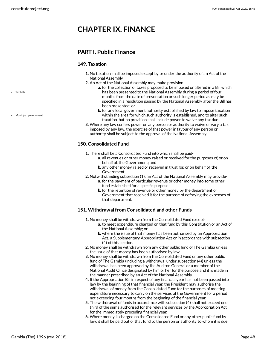# **CHAPTER IX. FINANCE**

### **PART I. Public Finance**

### **149. Taxation**

- **1.** No taxation shall be imposed except by or under the authority of an Act of the National Assembly.
- **2.** An Act of the National Assembly may make provision
	- **a.** for the collection of taxes proposed to be imposed or altered in a Bill which has been presented to the National Assembly during a period of four months from the date of presentation or such longer period as may be specified in a resolution passed by the National Assembly after the Bill has been presented; or
		- **b.** for any local government authority established by law to impose taxation within the area for which such authority is established, and to alter such taxation, but no provision shall include power to waive any tax due.
- **3.** Where any law confers power on any person or authority to waive or vary a tax imposed by any law, the exercise of that power in favour of any person or authority shall be subject to the approval of the National Assembly.

### **150. Consolidated Fund**

- **1.** There shall be a Consolidated Fund into which shall be paid
	- **a.** all revenues or other money raised or received for the purposes of, or on behalf of, the Government; and
	- **b.** any other money raised or received in trust for, or on behalf of, the Government.
- **2.** Notwithstanding subsection (1), an Act of the National Assembly may provide
	- **a.** for the payment of particular revenue or other money into some other fund established for a specific purpose;
	- **b.** for the retention of revenue or other money by the department of Government that received it for the purpose of defraying the expenses of that department.

### **151. Withdrawal from Consolidated and other Funds**

- **1.** No money shall be withdrawn from the Consolidated Fund except
	- **a.** to meet expenditure charged on that fund by this Constitution or an Act of the National Assembly; or
	- **b.** where the issue of that money has been authorised by an Appropriation Act, a Supplementary Appropriation Act or in accordance with subsection (4) of this section.
- **2.** No money shall be withdrawn from any other public fund of The Gambia unless the issue of that money has been authorised by law.
- **3.** No money shall be withdrawn from the Consolidated Fund or any other public fund of The Gambia (including a withdrawal under subsection (4)) unless the withdrawal has been approved by the Auditor-General or a member of the National Audit Office designated by him or her for the purpose and it is made in the manner prescribed by an Act of the National Assembly.
- **4.** If the Appropriation Bill in respect of any financial year has not been passed into law by the beginning of that financial year, the President may authorise the withdrawal of money from the Consolidated Fund for the purposes of meeting expenditure necessary to carry on the services of the Government for a period not exceeding four months from the beginning of the financial year.
- **5.** The withdrawal of funds in accordance with subsection (4) shall not exceed one third of the sums authorised for the relevant services by the Appropriation Act for the immediately preceding financial year.
- **6.** Where money is charged on the Consolidated Fund or any other public fund by law, it shall be paid out of that fund to the person or authority to whom it is due.

Tax bills

Municipal government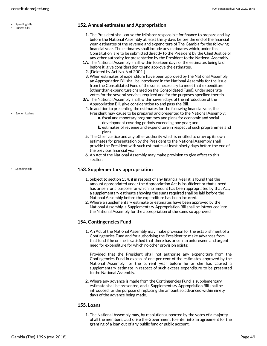Budget bills

• Economic plans

• Spending bills

- **1.** The President shall cause the Minister responsible for finance to prepare and lay before the National Assembly at least thirty days before the end of the financial year, estimates of the revenue and expenditure of The Gambia for the following financial year. The estimates shall include any estimates which, under this Constitution, are to be submitted directly to the President by the Chief Justice or any other authority for presentation by the President to the National Assembly.
- **1A.** The National Assembly shall, within fourteen days of the estimates being laid before it, give consideration to and approve the estimates.
- **2.** [Deleted by Act No. 6 of 2001.]
- **3.** When estimates of expenditure have been approved by the National Assembly, an Appropriation Bill shall be introduced in the National Assembly for the issue from the Consolidated Fund of the sums necessary to meet that expenditure (other than expenditure charged on the Consolidated Fund), under separate votes for the several services required and for the purposes specified therein.
- **3A.** The National Assembly shall, within seven days of the introduction of the Appropriation Bill, give consideration to and pass the Bill.
- **4.** In addition to presenting the estimates for the following financial year, the President may cause to be prepared and presented to the National Assembly:
	- **a.** fiscal and monetary programmes and plans for economic and social development covering periods exceeding one year; and
	- **b.** estimates of revenue and expenditure in respect of such programmes and plans.
- **5.** The Chief Justice and any other authority which is entitled to draw up its own estimates for presentation by the President to the National Assembly shall provide the President with such estimates at least ninety days before the end of the previous financial year.
- **6.** An Act of the National Assembly may make provision to give effect to this section.

#### **153. Supplementary appropriation**

- **1.** Subject to section 154, if in respect of any financial year it is found that the amount appropriated under the Appropriation Act is insufficient or that a need has arisen for a purpose for which no amount has been appropriated by that Act, a supplementary estimate showing the sums required shall be laid before the National Assembly before the expenditure has been incurred.
- **2.** Where a supplementary estimate or estimates have been approved by the National Assembly, a Supplementary Appropriation Bill shall be introduced into the National Assembly for the appropriation of the sums so approved.

#### **154. Contingencies Fund**

**1.** An Act of the National Assembly may make provision for the establishment of a Contingencies Fund and for authorising the President to make advances from that fund if he or she is satisfied that there has arisen an unforeseen and urgent need for expenditure for which no other provision exists:

Provided that the President shall not authorise any expenditure from the Contingencies Fund in excess of one per cent of the estimates approved by the National Assembly for the current year before he or she has caused a supplementary estimate in respect of such excess expenditure to be presented to the National Assembly.

**2.** Where any advance is made from the Contingencies Fund, a supplementary estimate shall be presented, and a Supplementary Appropriation Bill shall be introduced for the purpose of replacing the amount so advanced within ninety days of the advance being made.

#### **155. Loans**

**1.** The National Assembly may, by resolution supported by the votes of a majority of all the members, authorise the Government to enter into an agreement for the granting of a loan out of any public fund or public account.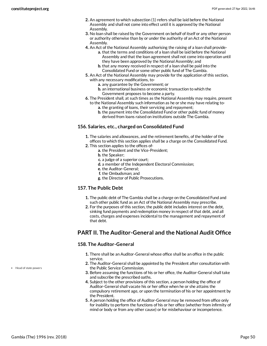- **2.** An agreement to which subsection (1) refers shall be laid before the National Assembly and shall not come into effect until it is approved by the National Assembly.
- **3.** No loan shall be raised by the Government on behalf of itself or any other person or authority otherwise than by or under the authority of an Act of the National Assembly.
- **4.** An Act of the National Assembly authorising the raising of a loan shall provide
	- **a.** that the terms and conditions of a loan shall be laid before the National Assembly and that the loan agreement shall not come into operation until they have been approved by the National Assembly; and
	- **b.** that any money received in respect of a loan shall be paid into the Consolidated Fund or some other public fund of The Gambia.
- **5.** An Act of the National Assembly may provide for the application of this section, with any necessary modifications, to
	- **a.** any guarantee by the Government; or
	- **b.** an international business or economic transaction to which the Government proposes to become a party.
- **6.** The President shall, at such times as the National Assembly may require, present to the National Assembly such information as he or she may have relating to
	- **a.** the granting of loans, their servicing and repayment;
	- **b.** the payment into the Consolidated Fund or other public fund of money derived from loans raised on institutions outside The Gambia.

### **156. Salaries, etc., charged on Consolidated Fund**

- **1.** The salaries and allowances, and the retirement benefits, of the holder of the offices to which this section applies shall be a charge on the Consolidated Fund.
- **2.** This section applies to the offices of**a.** the President and the Vice-President;
	- **b.** the Speaker;
	- **c.** a judge of a superior court;
	- **d.** a member of the Independent Electoral Commission;
	- **e.** the Auditor-General;
	- **f.** the Ombudsman; and
	- **g.** the Director of Public Prosecutions.

### **157. The Public Debt**

- **1.** The public debt of The Gambia shall be a charge on the Consolidated Fund and such other public fund as an Act of the National Assembly may prescribe.
- **2.** For the purposes of this section, the public debt includes interest on the debt, sinking fund payments and redemption money in respect of that debt, and all costs, charges and expenses incidental to the management and repayment of that debt.

## **PART II. The Auditor-General and the National Audit Office**

### **158. The Auditor-General**

- **1.** There shall be an Auditor-General whose office shall be an office in the public service.
- **2.** The Auditor-General shall be appointed by the President after consultation with the Public Service Commission.
- **3.** Before assuming the functions of his or her office, the Auditor-General shall take and subscribe the prescribed oaths.
- **4.** Subject to the other provisions of this section, a person holding the office of Auditor-General shall vacate his or her office when he or she attains the compulsory retirement age, or upon the termination of his or her appointment by the President.
- **5.** A person holding the office of Auditor-General may be removed from office only for inability to perform the functions of his or her office (whether from infirmity of mind or body or from any other cause) or for misbehaviour or incompetence.

• Head of state powers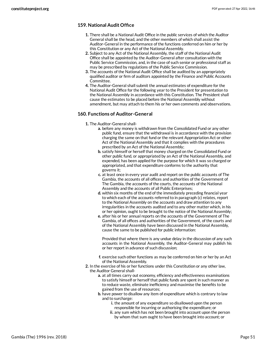### **159. National Audit Office**

- **1.** There shall be a National Audit Office in the public services of which the Auditor General shall be the head, and the other members of which shall assist the Auditor-General in the performance of the functions conferred on him or her by this Constitution or any Act of the National Assembly.
- **2.** Subject to any Act of the National Assembly, the staff of the National Audit Office shall be appointed by the Auditor-General after consultation with the Public Service Commission, and, in the case of such senior or professional staff as may be prescribed by regulations of the Public Service Commission.
- **3.** The accounts of the National Audit Office shall be audited by an appropriately qualified auditor or firm of auditors appointed by the Finance and Public Accounts Committee.
- **4.** The Auditor-General shall submit the annual estimates of expenditure for the National Audit Office for the following year to the President for presentation to the National Assembly in accordance with this Constitution. The President shall cause the estimates to be placed before the National Assembly without amendment, but may attach to them his or her own comments and observations.

### **160. Functions of Auditor-General**

- **1.** The Auditor-General shall
	- **a.** before any money is withdrawn from the Consolidated Fund or any other public fund, ensure that the withdrawal is in accordance with the provision charging the same on that fund or the relevant Appropriation Act or other Act of the National Assembly and that it complies with the procedures prescribed by an Act of the National Assembly;
	- **b.** satisfy himself or herself that money charged on the Consolidated Fund or other public fund, or appropriated by an Act of the National Assembly, and expended, has been applied for the purpose for which it was so charged or appropriated, and that expenditure conforms to the authority that governs it;
	- **c.** at least once in every year audit and report on the public accounts of The Gambia, the accounts of all offices and authorities of the Government of The Gambia, the accounts of the courts, the accounts of the National Assembly and the accounts of all Public Enterprises;
	- **d.** within six months of the end of the immediately preceding financial year to which each of the accounts referred to in paragraph (c) relates, report to the National Assembly on the accounts and draw attention to any irregularities in the accounts audited and to any other matter which, in his or her opinion, ought to be brought to the notice of the National Assembly;
	- **e.** after his or her annual reports on the accounts of the Government of The Gambia, of all offices and authorities of the Government, of the courts and of the National Assembly have been discussed in the National Assembly, cause the same to be published for public information:

Provided that where there is any undue delay in the discussion of any such accounts in the National Assembly, the Auditor-General may publish his or her report in advance of such discussion;

**f.** exercise such other functions as may be conferred on him or her by an Act of the National Assembly.

- **2.** In the exercise of his or her functions under this Constitution or any other law, the Auditor General shall
	- **a.** at all times carry out economy, efficiency and effectiveness examinations to satisfy himself or herself that public funds are spent in such manner as to reduce waste, eliminate inefficiency and maximise the benefits to be gained from the use of resources;
	- **b.** have power to disallow any item of expenditure which is contrary to law and to surcharge:
		- **i.** the amount of any expenditure so disallowed upon the person responsible for incurring or authorising the expenditure; or
		- **ii.** any sum which has not been brought into account upon the person by whom that sum ought to have been brought into account; or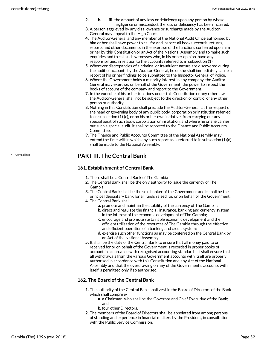- **2. b. iii.** the amount of any loss or deficiency upon any person by whose negligence or misconduct the loss or deficiency has been incurred.
- **3.** A person aggrieved by any disallowance or surcharge made by the Auditor-General may appeal to the High Court.
- **4.** The Auditor-General and any member of the National Audit Office authorised by him or her shall have power to call for and inspect all books, records, returns, reports and other documents in the exercise of the functions conferred upon him or her by this Constitution or an Act of the National Assembly and to make such enquiries and to call such witnesses who, in his or her opinion, have any responsibilities, in relation to the accounts referred to in subsection (1).
- **5.** Wherever discrepancies of a criminal or fraudulent nature are discovered during the audit of accounts by the Auditor-General, he or she shall immediately cause a report of his or her findings to be submitted to the Inspector General of Police.
- **6.** Where the Government holds a minority interest in any company, the Auditor-General may exercise, on behalf of the Government, the power to inspect the books of account of the company and report to the Government.
- **7.** In the exercise of his or her functions under this Constitution or any other law, the Auditor-General shall not be subject to the direction or control of any other person or authority.
- **8.** Nothing in this Constitution shall preclude the Auditor-General, at the request of the head or governing body of any public body, corporation or institution referred to in subsection (1) (c), or on his or her own initiative, from carrying out any special audit of such body, corporation or institution; and where he or she carries out such a special audit, it shall be reported to the Finance and Public Accounts Committee.
- **9.** The Finance and Public Accounts Committee of the National Assembly may extend the time within which any such report as is referred to in subsection (1)(d) shall be made to the National Assembly.

### **PART III. The Central Bank**

### **161. Establishment of Central Bank**

- **1.** There shall be a Central Bank of The Gambia
- **2.** The Central Bank shall be the only authority to issue the currency of The Gambia.
- **3.** The Central Bank shall be the sole banker of the Government and it shall be the principal depositary bank for all funds raised for, or on behalf of, the Government.
- **4.** The Central Bank shall
	- **a.** promote and maintain the stability of the currency of The Gambia;
	- **b.** direct and regulate the financial, insurance, banking and currency system in the interest of the economic development of The Gambia;
	- **c.** encourage and promote sustainable economic development and the efficient utilisation of the resources of The Gambia through the effective and efficient operation of a banking and credit system;
	- **d.** exercise such other functions as may be conferred on the Central Bank by an Act of the National Assembly.
- **5.** It shall be the duty of the Central Bank to ensure that all money paid to or received for or on behalf of the Government is recorded in proper books of account in accordance with recognised accounting standards. It shall ensure that all withdrawals from the various Government accounts with itself are properly authorised in accordance with this Constitution and any Act of the National Assembly and that the overdrawing on any of the Government's accounts with itself is permitted only if so authorised.

### **162. The Board of the Central Bank**

- **1.** The authority of the Central Bank shall vest in the Board of Directors of the Bank which shall comprise
	- **a.** a Chairman, who shall be the Governor and Chief Executive of the Bank; and
	- **b.** four other Directors.
- **2.** The members of the Board of Directors shall be appointed from among persons of standing and experience in financial matters by the President, in consultation with the Public Service Commission.

Central bank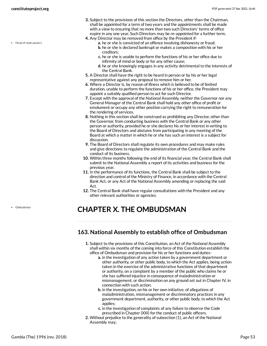- **3.** Subject to the provisions of this section the Directors, other than the Chairman, shall be appointed for a term of two years and the appointments shall be made with a view to ensuring that no more than two such Directors' terms of office expire in any one year. Such Directors may be re-appointed for a further term.
- **4.** Any Director may be removed from office by the President if
	- **a.** he or she is convicted of an offence involving dishonesty or fraud; **b.** he or she is declared bankrupt or makes a composition with his or her creditors;
	- **c.** he or she is unable to perform the functions of his or her office due to infirmity of mind or body or for any other cause;
	- **d.** he or she knowingly engages in any activity detrimental to the interests of the Central Bank.
- **5.** A Director shall have the right to be heard in person or by his or her legal representative against any proposal to remove him or her.
- **6.** Where a Director is, by reason of illness which is believed to be of limited duration, unable to perform the functions of his or her office, the President may appoint a suitably qualified person to act for such Director.
- **7.** Except with the approval of the National Assembly, neither the Governor nor any General Manager of the Central Bank shall hold any other office of profit or emolument or occupy any other position carrying the right to remuneration for the rendering of services.
- **8.** Nothing in this section shall be construed as prohibiting any Director, other than the Governor, from conducting business with the Central Bank or any other person or authority, provided he or she declares his or her interest in writing to the Board of Directors and abstains from participating in any meeting of the Board at which a matter in which he or she has such an interest is a subject for discussion.
- **9.** The Board of Directors shall regulate its own procedures and may make rules and give directions to regulate the administration of the Central Bank and the conduct of its business.
- **10.** Within three months following the end of its financial year, the Central Bank shall submit to the National Assembly a report of its activities and business for the previous year.
- **11.** In the performance of its functions, the Central Bank shall be subject to the direction and control of the Ministry of Finance, in accordance with the Central Bank Act, or any Act of the National Assembly amending or replacing the said Act.
- **12.** The Central Bank shall have regular consultations with the President and any other relevant authorities or agencies.

## **CHAPTER X. THE OMBUDSMAN**

### **163. National Assembly to establish office of Ombudsman**

- **1.** Subject to the provisions of this Constitution, an Act of the National Assembly shall within six months of the coming into force of this Constitution establish the office of Ombudsman and provision for his or her functions and duties
	- **a.** in the investigation of any action taken by a government department or other authority, or other public body, to which the Act applies, being action taken in the exercise of the administrative functions of that department or authority, on a complaint by a member of the public who claims he or she has suffered injustice in consequence of maladministration or mismanagement, or discrimination on any ground set out in Chapter IV, in connection with such action;
	- **b.** in the investigation, on his or her own initiative, of allegations of maladministration, mismanagement or discriminatory practices in any government department, authority, or other public body, to which the Act applies;
	- **c.** in the investigation of complaints of any failure to observe the Code prescribed in Chapter (XXI) for the conduct of public officers.
- **2.** Without prejudice to the generality of subsection (1), an Act of the National Assembly may;

• Head of state powers

Ombudsman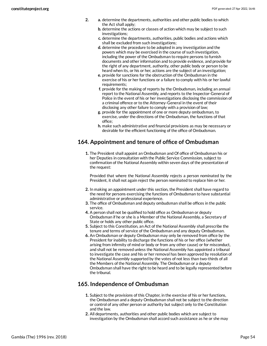- **2. a.** determine the departments, authorities and other public bodies to which the Act shall apply;
	- **b.** determine the actions or classes of action which may be subject to such investigations;
	- **c.** determine the departments, authorities, public bodies and actions which shall be excluded from such investigations;
	- **d.** determine the procedure to be adopted in any investigation and the powers which may be exercised in the course of such investigation, including the power of the Ombudsman to require persons to furnish documents and other information and to provide evidence, and provide for the right of any department, authority, other public body or person to be heard when its, or his or her, actions are the subject of an investigation;
	- **e.** provide for sanctions for the obstruction of the Ombudsman in the exercise of his or her functions or a failure to comply with his or her lawful requirements;
	- **f.** provide for the making of reports by the Ombudsman, including an annual report to the National Assembly, and reports to the Inspector-General of Police in the event of his or her investigations disclosing the commission of a criminal offence or to the Attorney-General in the event of their disclosing any other failure to comply with a provision of law;
	- **g.** provide for the appointment of one or more deputy ombudsman, to exercise, under the directions of the Ombudsman, the functions of that office;
	- **h.** make such administrative and financial provisions as may be necessary or desirable for the efficient functioning of the office of Ombudsman.

### **164. Appointment and tenure of office of Ombudsman**

**1.** The President shall appoint an Ombudsman and Of office of Ombudsman his or her Deputies in consultation with the Public Service Commission, subject to confirmation of the National Assembly within seven days of the presentation of the request:

Provided that where the National Assembly rejects a person nominated by the President, it shall not again reject the person nominated to replace him or her.

- **2.** In making an appointment under this section, the President shall have regard to the need for persons exercising the functions of Ombudsman to have substantial administrative or professional experience.
- **3.** The office of Ombudsman and deputy ombudsman shall be offices in the public service.
- **4.** A person shall not be qualified to hold office as Ombudsman or deputy Ombudsman if he or she is a Member of the National Assembly, a Secretary of State or holds any other public office.
- **5.** Subject to this Constitution, an Act of the National Assembly shall prescribe the tenure and terms of service of the Ombudsman and any deputy Ombudsman.
- **6.** An Ombudsman or deputy Ombudsman may only be removed from office by the President for inability to discharge the functions of his or her office (whether arising from infirmity of mind or body or from any other cause) or for misconduct, and shall not be removed unless the National Assembly has appointed a tribunal to investigate the case and his or her removal has been approved by resolution of the National Assembly supported by the votes of not less than two-thirds of all the Members of the National Assembly. The Ombudsman or a deputy Ombudsman shall have the right to be heard and to be legally represented before the tribunal.

### **165. Independence of Ombudsman**

- **1.** Subject to the provisions of this Chapter, in the exercise of his or her functions, the Ombudsman and a deputy Ombudsman shall not be subject to the direction or control of any other person or authority but subject only to the Constitution and the law.
- **2.** All departments, authorities and other public bodies which are subject to investigation by the Ombudsman shall accord such assistance as he or she may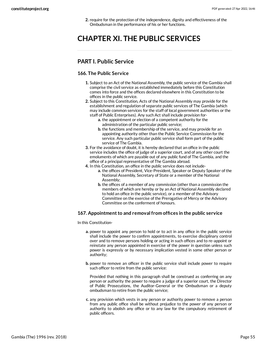**2.** require for the protection of the independence, dignity and effectiveness of the Ombudsman in the performance of his or her functions.

# **CHAPTER XI. THE PUBLIC SERVICES**

### **PART I. Public Service**

### **166. The Public Service**

- **1.** Subject to an Act of the National Assembly, the public service of the Gambia shall comprise the civil service as established immediately before this Constitution comes into force and the offices declared elsewhere in this Constitution to be offices in the public service.
- **2.** Subject to this Constitution, Acts of the National Assembly may provide for the establishment and regulation of separate public services of The Gambia (which may include common services for the staff of local government authorities or the staff of Public Enterprises). Any such Act shall include provision for
	- **a.** the appointment or election of a competent authority for the administration of the particular public service;
	- **b.** the functions and membership of the service, and may provide for an appointing authority other than the Public Service Commission for the service. Any such particular public service shall form part of the public service of The Gambia.
- **3.** For the avoidance of doubt, it is hereby declared that an office in the public service includes the office of judge of a superior court, and of any other court the emoluments of which are payable out of any public fund of The Gambia, and the office of a principal representative of The Gambia abroad.
- **4.** In this Constitution, an office in the public service does not include
	- **a.** the offices of President, Vice-President, Speaker or Deputy Speaker of the National Assembly, Secretary of State or a member of the National Assembly;
	- **b.** the offices of a member of any commission (other than a commission the members of which are hereby or by an Act of National Assembly declared to hold an office in the public service), or a member of the Advisory Committee on the exercise of the Prerogative of Mercy or the Advisory Committee on the conferment of honours.

#### **167. Appointmentto and removal from offices in the public service**

#### In this Constitution-

- **a.** power to appoint any person to hold or to act in any office in the public service shall include the power to confirm appointments, to exercise disciplinary control over and to remove persons holding or acting in such offices and to re-appoint or reinstate any person appointed in exercise of the power in question unless such power is expressly or by necessary implication vested in some other person or authority;
- **b.** power to remove an officer in the public service shall include power to require such officer to retire from the public service:

Provided that nothing in this paragraph shall be construed as conferring on any person or authority the power to require a judge of a superior court, the Director of Public Prosecutions, the Auditor-General or the Ombudsman or a deputy ombudsman to retire from the public service;

**c.** any provision which vests in any person or authority power to remove a person from any public office shall be without prejudice to the power of any person or authority to abolish any office or to any law for the compulsory retirement of public officers.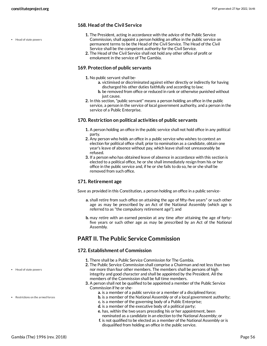### **168. Head of the Civil Service**

- **1.** The President, acting in accordance with the advice of the Public Service Commission, shall appoint a person holding an office in the public service on permanent terms to be the Head of the Civil Service. The Head of the Civil Service shall be the competent authority for the Civil Service.
- **2.** The Head of the Civil Service shall not hold any other office of profit or emolument in the service of The Gambia.

### **169. Protection of public servants**

- **1.** No public servant shall be
	- **a.** victimised or discriminated against either directly or indirectly for having discharged his other duties faithfully and according to law;
	- **b.** be removed from office or reduced in rank or otherwise punished without just cause.
- **2.** In this section, "public servant" means a person holding an office in the public service, a person in the service of local government authority, and a person in the service of a Public Enterprise.

### **170. Restriction on political activities of public servants**

- **1.** A person holding an office in the public service shall not hold office in any political party.
- **2.** Any person who holds an office in a public service who wishes to contest an election for political office shall, prior to nomination as a candidate, obtain one year's leave of absence without pay, which leave shall not unreasonably be refused.
- **3.** If a person who has obtained leave of absence in accordance with this section is elected to a political office, he or she shall immediately resign from his or her office in the public service and, if he or she fails to do so, he or she shall be removed from such office.

### **171. Retirement age**

Save as provided in this Constitution, a person holding an office in a public service-

- **a.** shall retire from such office on attaining the age of fifty-five years\* or such other age as may be prescribed by an Act of the National Assembly (which age is referred to as "the compulsory retirement age"); and
- **b.** may retire with an earned pension at any time after attaining the age of forty five years or such other age as may be prescribed by an Act of the National Assembly.

### **PART II. The Public Service Commission**

#### **172. Establishment of Commission**

- **1.** There shall be a Public Service Commission for The Gambia.
- **2.** The Public Service Commission shall comprise a Chairman and not less than two nor more than four other members. The members shall be persons of high integrity and good character and shall be appointed by the President. All the members of the Commission shall be full time members.
- **3.** A person shall not be qualified to be appointed a member of the Public Service Commission if he or she
	- **a.** is a member of a public service or a member of a disciplined force;
	- **b.** is a member of the National Assembly or of a local government authority;
	- **c.** is a member of the governing body of a Public Enterprise;
	- **d.** is a member of the executive body of a political party;
	- **e.** has, within the two years preceding his or her appointment, been nominated as a candidate in an election to the National Assembly; or
	- **f.** is not qualified to be elected as a member of the National Assembly or is disqualified from holding an office in the public service.

• Head of state powers

- Head of state powers
- Restrictions on the armed forces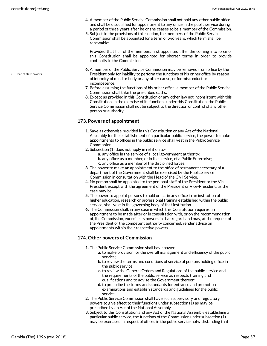Head of state powers

- **4.** A member of the Public Service Commission shall not hold any other public office and shall be disqualified for appointment to any office in the public service during a period of three years after he or she ceases to be a member of the Commission.
- **5.** Subject to the provisions of this section, the members of the Public Service Commission shall be appointed for a term of two years, which term shall be renewable:

Provided that half of the members first appointed after the coming into force of this Constitution shall be appointed for shorter terms in order to provide continuity in the Commission

- **6.** A member of the Public Service Commission may be removed from office by the President only for inability to perform the functions of his or her office by reason of infirmity of mind or body or any other cause, or for misconduct or incompetence.
- **7.** Before assuming the functions of his or her office, a member of the Public Service Commission shall take the prescribed oaths.
- **8.** Except as provided in this Constitution or any other law not inconsistent with this Constitution, in the exercise of its functions under this Constitution, the Public Service Commission shall not be subject to the direction or control of any other person or authority.

### **173. Powers of appointment**

- **1.** Save as otherwise provided in this Constitution or any Act of the National Assembly for the establishment of a particular public service, the power to make appointments to offices in the public service shall vest in the Public Service Commission.
- **2.** Subsection (1) does not apply in relation to
	- **a.** any office in the service of a local government authority;
	- **b.** any office as a member, or in the service, of a Public Enterprise;
	- **c.** any office as a member of the disciplined forces.
- **3.** The power to make an appointment to the office of permanent secretary of a department of the Government shall be exercised by the Public Service Commission in consultation with the Head of the Civil Service.
- **4.** No person shall be appointed to the personal staff of the President or the Vice-President except with the agreement of the President or Vice-President, as the case may be.
- **5.** The power to appoint persons to hold or act in any office in an institution of higher education, research or professional training established within the public service, shall vest in the governing body of that institution.
- **6.** The Commission shall, in any case in which this Constitution requires an appointment to be made after or in consultation with, or on the recommendation of, the Commission, exercise its powers in that regard, and may, at the request of the President or the competent authority concerned, render advice on appointments within their respective powers.

#### **174. Other powers of Commission**

- **1.** The Public Service Commission shall have power
	- **a.** to make provision for the overall management and efficiency of the public service;
	- **b.** to review the terms and conditions of service of persons holding office in the public service;
	- **c.** to review the General Orders and Regulations of the public service and the requirements of the public service as respects training and qualifications and to advise the Government thereon;
	- **d.** to prescribe the terms and standards for entrance and promotion examinations and establish standards and guidelines for the public service.
- **2.** The Public Service Commission shall have such supervisory and regulatory powers to give effect to their functions under subsection (1) as may be prescribed by an Act of the National Assembly.
- **3.** Subject to this Constitution and any Act of the National Assembly establishing a particular public service, the functions of the Commission under subsection (1) may be exercised in respect of offices in the public service notwithstanding that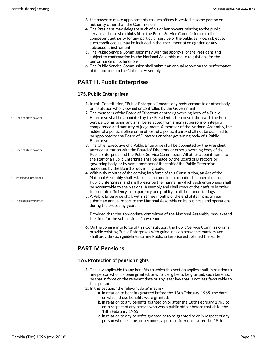- **3.** the power to make appointments to such offices is vested in some person or authority other than the Commission.
- **4.** The President may delegate such of his or her powers relating to the public service as he or she thinks fit to the Public Service Commission or to the competent authority for any particular service of the public service, subject to such conditions as may be included in the instrument of delegation or any subsequent instrument.
- **5.** The Public Service Commission may with the approval of the President and subject to confirmation by the National Assembly make regulations for the performance of its functions.
- **6.** The Public Service Commission shall submit an annual report on the performance of its functions to the National Assembly.

### **PART III. Public Enterprises**

#### **175. Public Enterprises**

- **1.** In this Constitution, "Public Enterprise" means any body corporate or other body or institution wholly owned or controlled by the Government.
- **2.** The members of the Board of Directors or other governing body of a Public Enterprise shall be appointed by the President after consultation with the Public Service Commission and shall be selected from amongst persons of integrity, competence and maturity of judgement. A member of the National Assembly, the holder of a political office or an officer of a political party shall not be qualified to be appointed to the Board of Directors or other governing body of a Public Enterprise.
- **3.** The Chief Executive of a Public Enterprise shall be appointed by the President after consultation with the Board of Directors or other governing body of the Public Enterprise and the Public Service Commission. All other appointments to the staff of a Public Enterprise shall be made by the Board of Directors or governing body, or by some member of the staff of the Public Enterprise appointed by the Board or governing body.
- **4.** Within six months of the coming into force of this Constitution, an Act of the National Assembly shall establish a committee to monitor the operations of Public Enterprises, and shall prescribe the manner in which such enterprises shall be accountable to the National Assembly and shall conduct their affairs in order to promote efficiency, transparency and probity in all their undertakings.
- **5.** A Public Enterprise shall, within three months of the end of its financial year submit an annual report to the National Assembly on its business and operations during the preceding year:

Provided that the appropriate committee of the National Assembly may extend the time for the submission of any report.

**6.** On the coming into force of this Constitution, the Public Service Commission shall provide existing Public Enterprises with guidelines on personnel matters and shall provide such guidelines to any Public Enterprise established thereafter.

### **PART IV. Pensions**

#### **176. Protection of pension rights**

- **1.** The law applicable to any benefits to which this section applies shall, in relation to any person who has been granted, or who is eligible to be granted, such benefits, be that in force on the relevant date or any later law that is not less favourable to that person.
- **2.** In this section, "the relevant date" means
	- **a.** in relation to benefits granted before the 18th February 1965, the date on which those benefits were granted;
	- **b.** in relation to any benefits granted on or after the 18th February 1965 to or in respect of any person who was a public officer before that date, the 18th February 1965;
	- **c.** in relation to any benefits granted or to be granted to or in respect of any person who became, or becomes, a public officer on or after the 18th

• Head of state powers

- Head of state powers
- Transitional provisions
- Legislative committees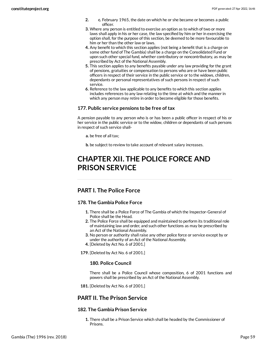- **2. c.** February 1965, the date on which he or she became or becomes a public officer.
- **3.** Where any person is entitled to exercise an option as to which of two or more laws shall apply in his or her case, the law specified by him or her in exercising the option shall, for the purpose of this section, be deemed to be more favourable to him or her than the other law or laws.
- **4.** Any benefit to which this section applies (not being a benefit that is a charge on some other fund of The Gambia) shall be a charge on the Consolidated Fund or upon such other special fund, whether contributory or noncontributory, as may be prescribed by Act of the National Assembly.
- **5.** This section applies to any benefits payable under any law providing for the grant of pensions, gratuities or compensation to persons who are or have been public officers in respect of their service in the public service or to the widows, children, dependants or personal representatives of such persons in respect of such service.
- **6.** Reference to the law applicable to any benefits to which this section applies includes references to any law relating to the time at which and the manner in which any person may retire in order to become eligible for those benefits.

#### **177. Public service pensions to be free of tax**

A pension payable to any person who is or has been a public officer in respect of his or her service in the public service or to the widow, children or dependants of such persons in respect of such service shall-

- **a.** be free of all tax;
- **b.** be subject to review to take account of relevant salary increases.

# **CHAPTER XII. THE POLICE FORCE AND PRISON SERVICE**

### **PART I. The Police Force**

#### **178. The Gambia Police Force**

- **1.** There shall be a Police Force of The Gambia of which the Inspector-General of Police shall be the Head.
- **2.** The Police Force shall be equipped and maintained to perform its traditional role of maintaining law and order, and such other functions as may be prescribed by an Act of the National Assembly.
- **3.** No person or authority shall raise any other police force or service except by or under the authority of an Act of the National Assembly.
- **4.** [Deleted by Act No. 6 of 2001.]
- **179.** [Deleted by Act No. 6 of 2001.]

#### **180. Police Council**

There shall be a Police Council whose composition, 6 of 2001 functions and powers shall be prescribed by an Act of the National Assembly.

**181.** [Deleted by Act No. 6 of 2001.]

### **PART II. The Prison Service**

#### **182. The Gambia Prison Service**

**1.** There shall be a Prison Service which shall be headed by the Commissioner of Prisons.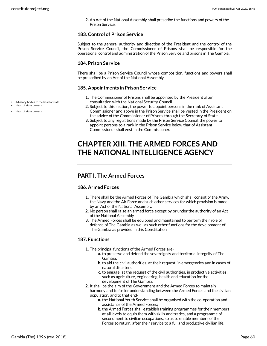**2.** An Act of the National Assembly shall prescribe the functions and powers of the Prison Service.

### **183. Control of Prison Service**

Subject to the general authority and direction of the President and the control of the Prison Service Council, the Commissioner of Prisons shall be responsible for the operational control and administration of the Prison Service and prisons in The Gambia.

#### **184. Prison Service**

There shall be a Prison Service Council whose composition, functions and powers shall be prescribed by an Act of the National Assembly.

### **185. Appointments in Prison Service**

- **1.** The Commissioner of Prisons shall be appointed by the President after consultation with the National Security Council.
- **2.** Subject to this section, the power to appoint persons in the rank of Assistant Commissioner and above in the Prison Service shall be vested in the President on the advice of the Commissioner of Prisons through the Secretary of State.
- **3.** Subject to any regulations made by the Prison Service Council, the power to appoint persons to a rank in the Prison Service below that of Assistant Commissioner shall vest in the Commissioner.

# **CHAPTER XIII. THE ARMED FORCES AND THE NATIONAL INTELLIGENCE AGENCY**

### **PART I. The Armed Forces**

### **186. Armed Forces**

- **1.** There shall be the Armed Forces of The Gambia which shall consist of the Army, the Navy and the Air Force and such other services for which provision is made by an Act of the National Assembly.
- **2.** No person shall raise an armed force except by or under the authority of an Act of the National Assembly.
- **3.** The Armed Forces shall be equipped and maintained to perform their role of defence of The Gambia as well as such other functions for the development of The Gambia as provided in this Constitution.

#### **187. Functions**

- **1.** The principal functions of the Armed Forces are
	- **a.** to preserve and defend the sovereignty and territorial integrity of The Gambia;
	- **b.** to aid the civil authorities, at their request, in emergencies and in cases of natural disasters;
	- **c.** to engage, at the request of the civil authorities, in productive activities, such as agriculture, engineering, health and education for the development of The Gambia.
- **2.** It shall be the aim of the Government and the Armed Forces to maintain harmony and to foster understanding between the Armed Forces and the civilian population, and to that end
	- **a.** the National Youth Service shall be organised with the co-operation and assistance of the Armed Forces;
	- **b.** the Armed Forces shall establish training programmes for their members at all levels to equip them with skills and trades, and a programme of secondment to civilian occupations, so as to enable members of the Forces to return, after their service to a full and productive civilian life,
- Advisory bodies to the head of state Head of state powers
- Head of state powers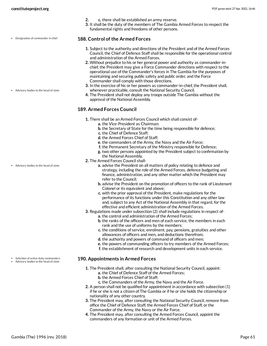Designation of commander in chief

- **2. c.** there shall be established an army reserve.
- **3.** It shall be the duty of the members of The Gambia Armed Forces to respect the fundamental rights and freedoms of other persons.

#### **188. Control of the Armed Forces**

- **1.** Subject to the authority and directions of the President and of the Armed Forces Council, the Chief of Defence Staff shall be responsible for the operational control and administration of the Armed Forces.
- **2.** Without prejudice to his or her general power and authority as commander-inchief, the President may give a Force Commander directions with respect to the operational use of the Commander's forces in The Gambia for the purposes of maintaining and securing public safety and public order, and the Force Commander shall comply with those directions.
- **3.** In the exercise of his or her powers as commander-in-chief, the President shall, whenever practicable, consult the National Security Council.
- **4.** The President shall not deploy any troops outside The Gambia without the approval of the National Assembly.

### **189. Armed Forces Council**

- **1.** There shall be an Armed Forces Council which shall consist of
	- **a.** the Vice-President as Chairman;
		- **b.** the Secretary of State for the time being responsible for defence;
		- **c.** the Chief of Defence Staff;
		- **d.** the Armed Forces Chief of Staff;
		- **e.** the commanders of the Army, the Navy and the Air Force;
		- **f.** the Permanent Secretary of the Ministry responsible for Defence;
		- **g.** two other persons appointed by the President subject to confirmation by the National Assembly.
- **2.** The Armed Forces Council shall
	- **a.** advise the President on all matters of policy relating to defence and strategy, including the role of the Armed Forces, defence budgeting and finance, administration, and any other matter which the President may refer to the Council;
	- **b.** advise the President on the promotion of officers to the rank of Lieutenant Colonel or its equivalent and above;
	- **c.** with the prior approval of the President, make regulations for the performance of its functions under this Constitution and any other law and, subject to any Act of the National Assembly in that regard, for the effective and efficient administration of the Armed Forces.
- **3.** Regulations made under subsection (2) shall include regulations in respect of
	- **a.** the control and administration of the Armed Forces;
	- **b.** the ranks of the officers and men of each service, the members in each rank and the use of uniforms by the members;
	- **c.** the conditions of service, enrolment, pay, pensions, gratuities and other allowances of officers and men, and deductions therefrom;
	- **d.** the authority and powers of command of officers and men;
	- **e.** the powers of commanding officers to try members of the Armed Forces;
	- **f.** the establishment of research and development units in each service.

#### **190. Appointments in Armed Forces**

- **1.** The President shall, after consulting the National Security Council, appoint:
	- **a.** the Chief of Defence Staff of the Armed Forces;
	- **b.** the Armed Forces Chief of Staff;
	- **c.** the Commanders of the Army, the Navy and the Air Force.
- **2.** A person shall not be qualified for appointment in accordance with subsection (1) if he or she is not a citizen of The Gambia or if he or she holds the citizenship or nationality of any other country.
- **3.** The President may, after consulting the National Security Council, remove from office the Chief of Defence Staff, the Armed Forces Chief of Staff, or the Commander of the Army, the Navy or the Air Force.
- **4.** The President may, after consulting the Armed Forces Council, appoint the commanders of any formation or unit of the Armed Forces.

Advisory bodies to the head of state

Advisory bodies to the head of state

- Selection of active-duty commanders
- Advisory bodies to the head of state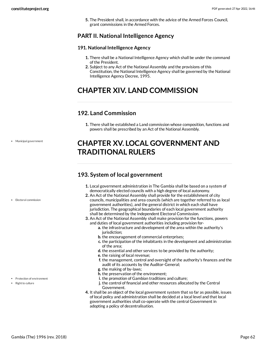**5.** The President shall, in accordance with the advice of the Armed Forces Council, grant commissions in the Armed Forces.

## **PART II. National Intelligence Agency**

### **191. National Intelligence Agency**

- **1.** There shall be a National Intelligence Agency which shall be under the command of the President.
- **2.** Subject to any Act of the National Assembly and the provisions of this Constitution, the National Intelligence Agency shall be governed by the National Intelligence Agency Decree, 1995.

# **CHAPTER XIV. LAND COMMISSION**

### **192. Land Commission**

**1.** There shall be established a Land commission whose composition, functions and powers shall be prescribed by an Act of the National Assembly.

# **CHAPTER XV. LOCAL GOVERNMENT AND TRADITIONAL RULERS**

### **193. System of local government**

- **1.** Local government administration in The Gambia shall be based on a system of democratically elected councils with a high degree of local autonomy.
- **2.** An Act of the National Assembly shall provide for the establishment of city councils, municipalities and area councils (which are together referred to as local government authorities), and the general district in which each shall have jurisdiction. The geographical boundaries of each local government authority shall be determined by the Independent Electoral Commission.
- **3.** An Act of the National Assembly shall make provision for the functions, powers and duties of local government authorities including provision for
	- **a.** the infrastructure and development of the area within the authority's jurisdiction:
	- **b.** the encouragement of commercial enterprises;
	- **c.** the participation of the inhabitants in the development and administration of the area;
	- **d.** the essential and other services to be provided by the authority;
	- **e.** the raising of local revenue;
	- **f.** the management, control and oversight of the authority's finances and the audit of its accounts by the Auditor-General;
	- **g.** the making of by-laws;
	- **h.** the preservation of the environment;
	- **i.** the promotion of Gambian traditions and culture;
	- **j.** the control of financial and other resources allocated by the Central Government.
- **4.** It shall be an object of the local government system that so far as possible, issues of local policy and administration shall be decided at a local level and that local government authorities shall co-operate with the central Government in adopting a policy of decentralisation.

Municipal government

• Electoral commission

#### Protection of environment

 $\cdot$  Right to culture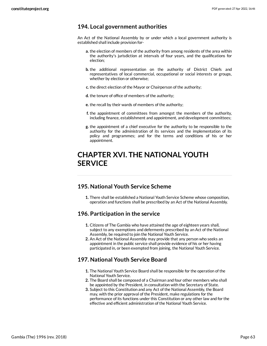### **194. Local government authorities**

An Act of the National Assembly by or under which a local government authority is established shall include provision for-

- **a.** the election of members of the authority from among residents of the area within the authority's jurisdiction at intervals of four years, and the qualifications for election;
- **b.** the additional representation on the authority of District Chiefs and representatives of local commercial, occupational or social interests or groups, whether by election or otherwise;
- **c.** the direct election of the Mayor or Chairperson of the authority;
- **d.** the tenure of office of members of the authority;
- **e.** the recall by their wards of members of the authority;
- **f.** the appointment of committees from amongst the members of the authority, including finance, establishment and appointment, and development committees;
- **g.** the appointment of a chief executive for the authority to be responsible to the authority for the administration of its services and the implementation of its policy and programmes; and for the terms and conditions of his or her appointment.

## **CHAPTER XVI. THE NATIONAL YOUTH SERVICE**

### **195. National Youth Service Scheme**

**1.** There shall be established a National Youth Service Scheme whose composition, operation and functions shall be prescribed by an Act of the National Assembly.

### **196. Participation in the service**

- **1.** Citizens of The Gambia who have attained the age of eighteen years shall, subject to any exemptions and deferments prescribed by an Act of the National Assembly, be required to join the National Youth Service.
- **2.** An Act of the National Assembly may provide that any person who seeks an appointment in the public service shall provide evidence of his or her having participated in, or been exempted from joining, the National Youth Service.

### **197. National Youth Service Board**

- **1.** The National Youth Service Board shall be responsible for the operation of the National Youth Service.
- **2.** The Board shall be composed of a Chairman and four other members who shall be appointed by the President, in consultation with the Secretary of State.
- **3.** Subject to this Constitution and any Act of the National Assembly, the Board may, with the prior approval of the President, make regulations for the performance of its functions under this Constitution or any other law and for the effective and efficient administration of the National Youth Service.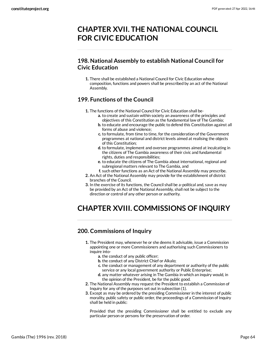## **CHAPTER XVII. THE NATIONAL COUNCIL FOR CIVIC EDUCATION**

### **198. National Assembly to establish National Council for Civic Education**

**1.** There shall be established a National Council for Civic Education whose composition, functions and powers shall be prescribed by an act of the National Assembly.

### **199. Functions of the Council**

- **1.** The functions of the National Council for Civic Education shall be
	- **a.** to create and sustain within society an awareness of the principles and objectives of this Constitution as the fundamental law of The Gambia;
	- **b.** to educate and encourage the public to defend this Constitution against all forms of abuse and violence;
	- **c.** to formulate, from time to time, for the consideration of the Government programmes at national and district levels aimed at realising the objects of this Constitution;
	- **d.** to formulate, implement and oversee programmes aimed at inculcating in the citizens of The Gambia awareness of their civic and fundamental rights, duties and responsibilities;
	- **e.** to educate the citizens of The Gambia about international, regional and subregional matters relevant to The Gambia, and
	- **f.** such other functions as an Act of the National Assembly may prescribe.
- **2.** An Act of the National Assembly may provide for the establishment of district branches of the Council.
- **3.** In the exercise of its functions, the Council shall be a-political and, save as may be provided by an Act of the National Assembly, shall not be subject to the direction or control of any other person or authority.

# **CHAPTER XVIII. COMMISSIONS OF INQUIRY**

## **200. Commissions of Inquiry**

- **1.** The President may, whenever he or she deems it advisable, issue a Commission appointing one or more Commissioners and authorising such Commissioners to inquire into
	- **a.** the conduct of any public officer;
	- **b.** the conduct of any District Chief or Alkalo;
	- **c.** the conduct or management of any department or authority of the public service or any local government authority or Public Enterprise;
	- **d.** any matter whatever arising in The Gambia in which an inquiry would, in the opinion of the President, be for the public good.
- **2.** The National Assembly may request the President to establish a Commission of Inquiry for any of the purposes set out in subsection (1).
- **3.** Except as may be ordered by the presiding Commissioner in the interest of public morality, public safety or public order, the proceedings of a Commission of Inquiry shall be held in public:

Provided that the presiding Commissioner shall be entitled to exclude any particular person or persons for the preservation of order.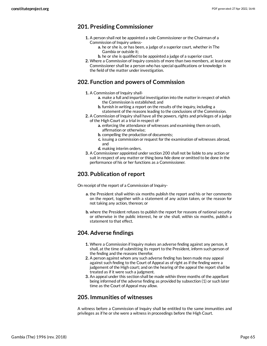### **201. Presiding Commissioner**

- **1.** A person shall not be appointed a sole Commissioner or the Chairman of a Commission of Inquiry unless
	- **a.** he or she is, or has been, a judge of a superior court, whether in The Gambia or outside it;
	- **b.** he or she is qualified to be appointed a judge of a superior court.
- **2.** Where a Commission of Inquiry consists of more than two members, at least one Commissioner shall be a person who has special qualifications or knowledge in the field of the matter under investigation.

### **202. Function and powers of Commission**

- **1.** A Commission of Inquiry shall
	- **a.** make a full and impartial investigation into the matter in respect of which the Commission is established; and
		- **b.** furnish in writing a report on the results of the inquiry, including a
		- statement of the reasons leading to the conclusions of the Commission.
- **2.** A Commission of Inquiry shall have all the powers, rights and privileges of a judge of the High Court at a trial in respect of
	- **a.** enforcing the attendance of witnesses and examining them on oath, affirmation or otherwise;
	- **b.** compelling the production of documents;
	- **c.** issuing a commission or request for the examination of witnesses abroad, and
	- **d.** making interim orders.
- **3.** A Commissioner appointed under section 200 shall not be liable to any action or suit in respect of any matter or thing bona fide done or omitted to be done in the performance of his or her functions as a Commissioner.

### **203. Publication of report**

On receipt of the report of a Commission of Inquiry-

- **a.** the President shall within six months publish the report and his or her comments on the report, together with a statement of any action taken, or the reason for not taking any action, thereon; or
- **b.** where the President refuses to publish the report for reasons of national security or otherwise in the public interest, he or she shall, within six months, publish a statement to that effect.

### **204. Adverse findings**

- **1.** Where a Commission if Inquiry makes an adverse finding against any person, it shall, at the time of submitting its report to the President, inform such person of the finding and the reasons therefor.
- **2.** A person against whom any such adverse finding has been made may appeal against such finding to the Court of Appeal as of right as if the finding were a judgement of the High court; and on the hearing of the appeal the report shall be treated as if it were such a judgment.
- **3.** An appeal under this section shall be made within three months of the appellant being informed of the adverse finding as provided by subsection (1) or such later time as the Court of Appeal may allow.

### **205. Immunities of witnesses**

A witness before a Commission of Inquiry shall be entitled to the same immunities and privileges as if he or she were a witness in proceedings before the High Court.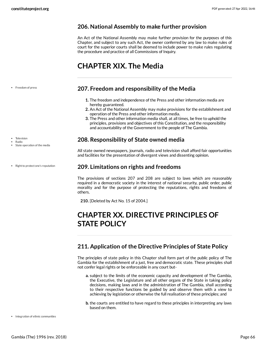### **206. National Assembly to make further provision**

An Act of the National Assembly may make further provision for the purposes of this Chapter, and subject to any such Act, the owner conferred by any law to make rules of court for the superior courts shall be deemed to include power to make rules regulating the procedure and practice of all Commissions of Inquiry.

# **CHAPTER XIX. The Media**

• Freedom of press

- Television
- Radio
- State operation of the media
- Right to protect one's reputation

### **207. Freedom and responsibility of the Media**

- **1.** The freedom and independence of the Press and other information media are hereby guaranteed.
- **2.** An Act of the National Assembly may make provisions for the establishment and operation of the Press and other information media.
- **3.** The Press and other information media shall, at all times, be free to uphold the principles, provisions and objectives of this Constitution, and the responsibility and accountability of the Government to the people of The Gambia.

### **208. Responsibility of State owned media**

All state owned newspapers, journals, radio and television shall afford fair opportunities and facilities for the presentation of divergent views and dissenting opinion.

### **209. Limitations on rights and freedoms**

The provisions of sections 207 and 208 are subject to laws which are reasonably required in a democratic society in the interest of national security, public order, public morality and for the purpose of protecting the reputations, rights and freedoms of others.

**210.** [Deleted by Act No. 15 of 2004.]

## **CHAPTER XX. DIRECTIVE PRINCIPLES OF STATE POLICY**

### **211. Application of the Directive Principles of State Policy**

The principles of state policy in this Chapter shall form part of the public policy of The Gambia for the establishment of a just, free and democratic state. These principles shall not confer legal rights or be enforceable in any court but-

- **a.** subject to the limits of the economic capacity and development of The Gambia, the Executive, the Legislature and all other organs of the State in taking policy decisions, making laws and in the administration of The Gambia, shall according to their respective functions be guided by and observe them with a view to achieving by legislation or otherwise the full realisation of these principles; and
- **b.** the courts are entitled to have regard to these principles in interpreting any laws based on them.

• Integration of ethnic communities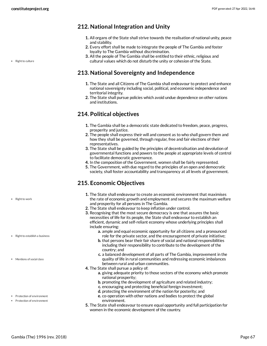• Right to culture

**212. National Integration and Unity**

- **1.** All organs of the State shall strive towards the realisation of national unity, peace and stability.
- **2.** Every effort shall be made to integrate the people of The Gambia and foster loyalty to The Gambia without discrimination.
- **3.** All the people of The Gambia shall be entitled to their ethnic, religious and cultural values which do not disturb the unity or cohesion of the State.

## **213. National Sovereignty and Independence**

- **1.** The State and all Citizens of The Gambia shall endeavour to protect and enhance national sovereignty including social, political, and economic independence and territorial integrity.
- **2.** The State shall pursue policies which avoid undue dependence on other nations and institutions.

## **214. Political objectives**

- **1.** The Gambia shall be a democratic state dedicated to freedom, peace, progress, prosperity and justice.
- **2.** The people shall express their will and consent as to who shall govern them and how they shall be governed, through regular, free and fair elections of their representatives.
- **3.** The State shall be guided by the principles of decentralisation and devolution of governmental functions and powers to the people at appropriate levels of control to facilitate democratic governance.
- **4.** In the composition of the Government, women shall be fairly represented.
- **5.** The Government, with due regard to the principles of an open and democratic society, shall foster accountability and transparency at all levels of government.

## **215. Economic Objectives**

- **1.** The State shall endeavour to create an economic environment that maximises the rate of economic growth and employment and secures the maximum welfare and prosperity for all persons in The Gambia.
- **2.** The State shall endeavour to keep inflation under control.
- **3.** Recognising that the most secure democracy is one that assures the basic necessities of life for its people, the State shall endeavour to establish an efficient, dynamic and self-reliant economy whose underlying principles shall include ensuring:
	- **a.** ample and equal economic opportunity for all citizens and a pronounced role for the private sector, and the encouragement of private initiative;
	- **b.** that persons bear their fair share of social and national responsibilities including their responsibility to contribute to the development of the country; and
	- **c.** a balanced development of all parts of The Gambia, improvement in the quality of life in rural communities and redressing economic imbalances between rural and urban communities.
- **4.** The State shall pursue a policy of:
	- **a.** giving adequate priority to those sectors of the economy which promote national prosperity;
	- **b.** promoting the development of agriculture and related industry;
	- **c.** encouraging and protecting beneficial foreign investment;
	- **d.** protecting the environment of the nation for posterity; and
	- **e.** co-operation with other nations and bodies to protect the global environment.
- **5.** The State shall endeavour to ensure equal opportunity and full participation for women in the economic development of the country.

• Right to work

- Right to establish a business
- Mentions of social class
- Protection of environment
- Protection of environment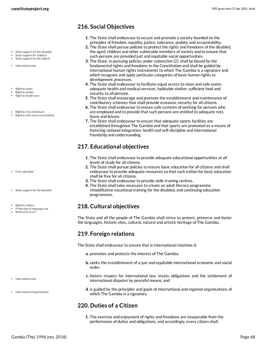### **216. Social Objectives**

- **1.** The State shall endeavour to secure and promote a society founded on the principles of freedom, equality, justice, tolerance, probity and accountability.
- **2.** The State shall pursue policies to protect the rights and freedoms of the disabled, the aged, children and other vulnerable members of society and to ensure that such persons are provided just and equitable social opportunities.
- **3.** The State, in pursuing policies under subsection (2), shall be bound by the fundamental rights and freedoms in the Constitution and shall be guided by international human rights instruments to which The Gambia is a signatory and which recognise and apply particular categories of basic human rights to development processes.
- **4.** The State shall endeavour to facilitate equal access to clean and safe water, adequate health and medical services, habitable shelter, sufficient food and security to all persons.
- **5.** The State shall encourage and promote the establishment and maintenance of contributory schemes that shall provide economic security for all citizens.
- **6.** The State shall endeavour to ensure safe systems of working for persons who are employed and to provide that such persons are entitled to adequate rest, leave and leisure.
- **7.** The State shall endeavour to ensure that adequate sports facilities are established throughout The Gambia and that sports are promoted as a means of fostering national integration, health and self-discipline and international friendship and understanding.

### **217. Educational objectives**

- **1.** The State shall endeavour to provide adequate educational opportunities at all levels of study for all citizens.
- **2.** The State shall pursue policies to ensure basic education for all citizens and shall endeavour to provide adequate resources so that such tuition for basic education shall be free for all citizens.
- **3.** The State shall endeavour to provide skills training centres.
- **4.** The State shall take measures to create an adult literacy programme, rehabilitative vocational training for the disabled, and continuing education programmes.

## **218. Cultural objectives**

The State and all the people of The Gambia shall strive to protect, preserve and foster the languages, historic sites, cultural, natural and artistic heritage of The Gambia.

### **219. Foreign relations**

The State shall endeavour to ensure that in international relations it:

- **a.** promotes and protects the interest of The Gambia;
- **b.** seeks the establishment of a just and equitable international economic and social order;
- **c.** fosters respect for international law, treaty obligations and the settlement of international disputes by peaceful means; and
- **d.** is guided by the principles and goals of international and regional organisations of which The Gambia is a signatory.

### **220. Duties of a Citizen**

**1.** The exercise and enjoyment of rights and freedoms are inseparable from the performance of duties and obligations, and accordingly, every citizen shall:

- State support for the disabled
- State support for children State support for the elderly
- International law
- Right to water
- Right to shelter Right to health care
- Right to rest and leisure Right to safe work environment

- Free education
- State support for the disabled
- Right to culture
- Protection of language use Reference to art

- International law
- International organizations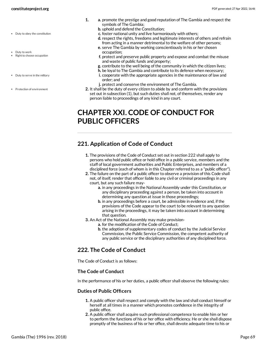- Duty to obey the constitution
- Duty to work
- Right to choose occupation
- Duty to serve in the military
- Protection of environment
- **1. a.** promote the prestige and good reputation of The Gambia and respect the symbols of The Gambia;
	- **b.** uphold and defend the Constitution;
	- **c.** foster national unity and live harmoniously with others;
	- **d.** respect the rights, freedoms and legitimate interests of others and refrain from acting in a manner detrimental to the welfare of other persons;
	- **e.** serve The Gambia by working conscientiously in his or her chosen occupation;
	- **f.** protect and preserve public property and expose and combat the misuse and waste of public funds and property;
	- **g.** contribute to the well being of the community in which the citizen lives;
	- **h.** be loyal to The Gambia and contribute to its defence when necessary;
	- **i.** cooperate with the appropriate agencies in the maintenance of law and order; and
	- **j.** protect and conserve the environment of The Gambia.
- **2.** It shall be the duty of every citizen to abide by and conform with the provisions set out in subsection (1), but such duties shall not, of themselves, render any person liable to proceedings of any kind in any court.

## **CHAPTER XXI. CODE OF CONDUCT FOR PUBLIC OFFICERS**

### **221. Application of Code of Conduct**

- **1.** The provisions of the Code of Conduct set out in section 222 shall apply to persons who hold public office or hold office in a public service, members and the staff of local government authorities and Public Enterprises, and members of a disciplined force (each of whom is in this Chapter referred to as a "public officer").
- **2.** The failure on the part of a public officer to observe a provision of this Code shall not, of itself, render that officer liable to any civil or criminal proceedings in any court, but any such failure may
	- **a.** in any proceedings in the National Assembly under this Constitution, or any disciplinary proceeding against a person, be taken into account in determining any question at issue in those proceedings;
	- **b.** in any proceedings before a court, be admissible in evidence and, if the provisions of the Code appear to the court to be relevant to any question arising in the proceedings, it may be taken into account in determining that question.
- **3.** An Act of the National Assembly may make provision
	- **a.** for the modification of the Code of Conduct;
	- **b.** the adoption of supplementary codes of conduct by the Judicial Service Commission, the Public Service Commission, the competent authority of any public service or the disciplinary authorities of any disciplined force.

### **222. The Code of Conduct**

The Code of Conduct is as follows:

#### **The Code of Conduct**

In the performance of his or her duties, a public officer shall observe the following rules:

#### **Duties of Public Officers**

- **1.** A public officer shall respect and comply with the law and shall conduct himself or herself at all times in a manner which promotes confidence in the integrity of public office.
- **2.** A public officer shall acquire such professional competence to enable him or her to perform the functions of his or her office with efficiency. He or she shall dispose promptly of the business of his or her office, shall devote adequate time to his or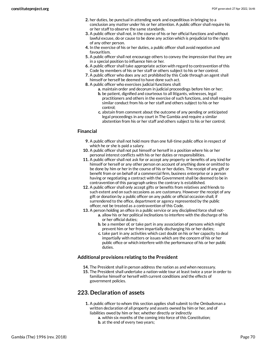- **2.** her duties, be punctual in attending work and expeditious in bringing to a conclusion any matter under his or her attention. A public officer shall require his or her staff to observe the same standards.
- **3.** A public officer shall not, in the course of his or her official functions and without lawful excuse, do or cause to be done any action which is prejudicial to the rights of any other person.
- **4.** In the exercise of his or her duties, a public officer shall avoid nepotism and favouritism.
- **5.** A public officer shall not encourage others to convey the impression that they are in a special position to influence him or her.
- **6.** A public officer shall take appropriate action with regard to contravention of this Code by members of his or her staff or others subject to his or her control.
- **7.** A public officer who does any act prohibited by this Code through an agent shall himself or herself be deemed to have done such act.
- **8.** A public officer who exercises judicial functions shall:
	- **a.** maintain order and decorum in judicial proceedings before him or her; **b.** be patient, dignified and courteous to all litigants, witnesses, legal practitioners and others in the exercise of such functions, and shall require similar conduct from his or her staff and others subject to his or her
	- control; **c.** abstain from comment about the outcome of any pending or anticipated legal proceedings in any court in The Gambia and require a similar abstention from his or her staff and others subject to his or her control;

### **Financial**

- **9.** A public officer shall not hold more than one full-time public office in respect of which he or she is paid a salary.
- **10.** A public officer shall not put himself or herself in a position where his or her personal interest conflicts with his or her duties or responsibilities.
- **11.** A public officer shall not ask for or accept any property or benefits of any kind for himself or herself or any other person on account of anything done or omitted to be done by him or her in the course of his or her duties. The receipt of any gift or benefit from or on behalf of a commercial firm, business enterprise or a person having or negotiating a contract with the Government shall be deemed to be in contravention of this paragraph unless the contrary is established.
- **12.** A public officer shall only accept gifts or benefits from relatives and friends to such extent and on such occasions as are customary. However the receipt of any gift or donation by a public officer on any public or official occasion shall, if surrendered to the office, department or agency represented by the public officer, not be treated as a contravention of this Code.
- **13.** A person holding an office in a public service or any disciplined force shall not
	- **a.** allow his or her political inclinations to interfere with the discharge of his or her official duties;
	- **b.** be a member of, or take part in any association of persons which might prevent him or her from impartially discharging his or her duties;
	- **c.** take part in any activities which cast doubt on his or her capacity to deal impartially with matters or issues which are the concern of his or her public office or which interfere with the performance of his or her public duties.

### **Additional provisions relating to the President**

- **14.** The President shall in person address the nation as and when necessary.
- **15.** The President shall undertake a nation-wide tour at least twice a year in order to familiarise himself or herself with current conditions and the effects of government policies.

### **223. Declaration of assets**

- **1.** A public officer to whom this section applies shall submit to the Ombudsman a written declaration of all property and assets owned by him or her, and of liabilities owed by him or her, whether directly or indirectly
	- **a.** within six months of the coming into force of this Constitution; **b.** at the end of every two years;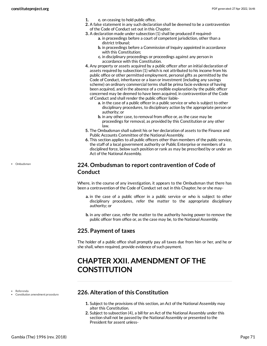- **1. c.** on ceasing to hold public office.
- **2.** A false statement in any such declaration shall be deemed to be a contravention of the Code of Conduct set out in this Chapter.
- **3.** A declaration made under subsection (1) shall be produced if required
	- **a.** in proceedings before a court of competent jurisdiction, other than a district tribunal;
	- **b.** in proceedings before a Commission of Inquiry appointed in accordance with this Constitution;
	- **c.** in disciplinary proceedings or proceedings against any person in accordance with this Constitution.
- **4.** Any property or assets acquired by a public officer after an initial declaration of assets required by subsection (1) which is not attributed to his income from his public office or other permitted employment, personal gifts as permitted by the Code of Conduct, inheritance or a loan or investment (including any savings scheme) on ordinary commercial terms shall be prima facie evidence of having been acquired, and in the absence of a credible explanation by the public officer concerned may be deemed to have been acquired, in contravention of the Code of Conduct and shall render the public officer liable
	- **a.** in the case of a public officer in a public service or who is subject to other disciplinary procedures, to disciplinary action by the appropriate person or authority; or
	- **b.** in any other case, to removal from office or, as the case may be proceedings for removal, as provided by this Constitution or any other law.
- **5.** The Ombudsman shall submit his or her declaration of assets to the Finance and Public Accounts Committee of the National Assembly.
- **6.** This section applies to all public officers other than members of the public service, the staff of a local government authority or Public Enterprise or members of a disciplined force, below such position or rank as may be prescribed by or under an Act of the National Assembly.

### **224. Ombudsman to report contravention of Code of Conduct**

Where, in the course of any investigation, it appears to the Ombudsman that there has been a contravention of the Code of Conduct set out in this Chapter, he or she may-

- **a.** in the case of a public officer in a public service or who is subject to other disciplinary procedures, refer the matter to the appropriate disciplinary authority; or
- **b.** in any other case, refer the matter to the authority having power to remove the public officer from office or, as the case may be, to the National Assembly.

### **225. Payment of taxes**

The holder of a public office shall promptly pay all taxes due from him or her, and he or she shall, when required, provide evidence of such payment.

# **CHAPTER XXII. AMENDMENT OF THE CONSTITUTION**

Referenda

Ombudsman

Constitution amendment procedure

### **226. Alteration of this Constitution**

- **1.** Subject to the provisions of this section, an Act of the National Assembly may alter this Constitution.
- **2.** Subject to subsection (4), a bill for an Act of the National Assembly under this section shall not be passed by the National Assembly or presented to the President for assent unless-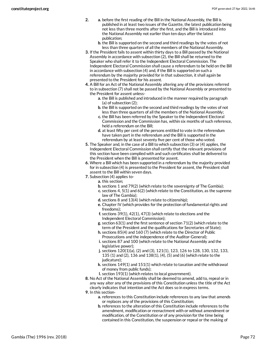- **2. a.** before the first reading of the Bill in the National Assembly, the Bill is published in at least two issues of the Gazette, the latest publication being not less than three months after the first, and the Bill is introduced into the National Assembly not earlier than ten days after the latest publication;
	- **b.** the Bill is supported on the second and third readings by the votes of not less than three quarters of all the members of the National Assembly.
- **3.** If the President fails to assent within thirty days to a Bill passed by the National Assembly in accordance with subsection (2), the Bill shall be returned to the Speaker who shall refer it to the Independent Electoral Commission. The Independent Electoral Commission shall cause a referendum to be held on the Bill in accordance with subsection (4) and, if the Bill is supported on such a referendum by the majority provided for in that subsection, it shall again be presented to the President for his assent.
- **4.** A Bill for an Act of the National Assembly altering any of the provisions referred to in subsection (7) shall not be passed by the National Assembly or presented to the President for assent unless
	- **a.** the Bill is published and introduced in the manner required by paragraph (a) of subsection (2);
	- **b.** the Bill is supported on the second and third readings by the votes of not less than three quarters of all the members of the National Assembly;
	- **c.** the Bill has been referred by the Speaker to the Independent Electoral Commission and the Commission has, within six months of such reference, held a referendum on the Bill;
	- **d.** at least fifty per cent of the persons entitled to vote in the referendum have taken part in the referendum and the Bill is supported in the referendum by at least seventy five per cent of those who voted.
- **5.** The Speaker and, in the case of a Bill to which subsection (3) or (4) applies, the Independent Electoral Commission shall certify that the relevant provisions of this section have been complied with and such certificates shall be delivered to the President when the Bill is presented for assent.
- **6.** Where a Bill which has been supported in a referendum by the majority provided for in subsection (4) is presented to the President for assent, the President shall assent to the Bill within seven days.
- **7.** Subsection (4) applies to
	- **a.** this section;
	- **b.** sections 1 and 79(2) (which relate to the sovereignty of The Gambia);
	- **c.** sections 4, 5(1) and 6(2) (which relate to the Constitution, as the supreme law of The Gambia);
	- **d.** sections 8 and 13(4) (which relate to citizenship);
	- **e.** Chapter IV (which provides for the protection of fundamental rights and freedoms);
	- **f.** sections 39(1), 42(1), 47(3) (which relate to elections and the Independent Electoral Commission);
	- **g.** section 63(1) and the first sentence of section 71(2) (which relate to the term of the President and the qualifications for Secretaries of State);
	- **h.** sections 85(4) and 160 (7) (which relate to the Director of Public Prosecutions and the independence of the Auditor-General);
	- **i.** sections 87 and 100 (which relate to the National Assembly and the legislative power);
	- **j.** sections 120(1)(a), (2) and (3), 121(1), 123, 126 to 128, 130, 132, 133, 135 (1) and (2), 136 and 138(1), (4), (5) and (6) (which relate to the judicature);
	- **k.** sections 149(1) and 151(1) which relate to taxation and the withdrawal of money from public funds);
	- **l.** section 193(1) (which relates to local government).
- **8.** No Act of the National Assembly shall be deemed to amend, add to, repeal or in any way alter any of the provisions of this Constitution unless the title of the Act clearly indicates that intention and the Act does so in express terms.
- **9.** In this section
	- **a.** references to this Constitution include references to any law that amends or replaces any of the provisions of this Constitution;
	- **b.** references to the alteration of this Constitution include references to the amendment, modification or reenactment with or without amendment or modification, of the Constitution or of any provision for the time being contained in this Constitution, the suspension or repeal or the making of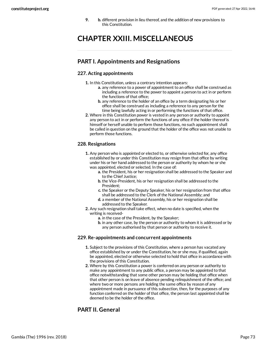**9. b.** different provision in lieu thereof, and the addition of new provisions to this Constitution.

# **CHAPTER XXIII. MISCELLANEOUS**

## **PART I. Appointments and Resignations**

#### **227. Acting appointments**

- **1.** In this Constitution, unless a contrary intention appears:
	- **a.** any reference to a power of appointment to an office shall be construed as including a reference to the power to appoint a person to act in or perform the functions of that office;
		- **b.** any reference to the holder of an office by a term designating his or her office shall be construed as including a reference to any person for the time being lawfully acting in or performing the functions of that office.
- **2.** Where in this Constitution power is vested in any person or authority to appoint any person to act in or perform the functions of any office if the holder thereof is himself or herself unable to perform those functions, no such appointment shall be called in question on the ground that the holder of the office was not unable to perform those functions.

#### **228. Resignations**

- **1.** Any person who is appointed or elected to, or otherwise selected for, any office established by or under this Constitution may resign from that office by writing under his or her hand addressed to the person or authority by whom he or she was appointed, elected or selected. In the case of:
	- **a.** the President, his or her resignation shall be addressed to the Speaker and to the Chief Justice;
	- **b.** the Vice-President, his or her resignation shall be addressed to the President;
	- **c.** the Speaker or the Deputy Speaker, his or her resignation from that office shall be addressed to the Clerk of the National Assembly; and
	- **d.** a member of the National Assembly, his or her resignation shall be addressed to the Speaker.
- **2.** Any such resignation shall take effect, when no date is specified, when the writing is received
	- **a.** in the case of the President, by the Speaker;
	- **b.** in any other case, by the person or authority to whom it is addressed or by any person authorised by that person or authority to receive it.

#### **229. Re-appointments and concurrent appointments**

- **1.** Subject to the provisions of this Constitution, where a person has vacated any office established by or under the Constitution, he or she may, if qualified, again be appointed, elected or otherwise selected to hold that office in accordance with the provisions of this Constitution.
- **2.** Where by this Constitution a power is conferred on any person or authority to make any appointment to any public office, a person may be appointed to that office notwithstanding that some other person may be holding that office when that other person is on leave of absence pending relinquishment of the office; and where two or more persons are holding the same office by reason of any appointment made in pursuance of this subsection, then, for the purposes of any function conferred on the holder of that office, the person last appointed shall be deemed to be the holder of the office.

# **PART II. General**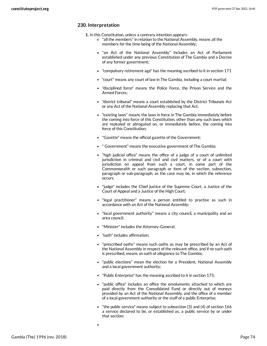#### **230. Interpretation**

- **1.** In this Constitution, unless a contrary intention appears-
	- "all the members" in relation to the National Assembly, means all the members for the time being of the National Assembly;
	- "an Act of the National Assembly" includes an Act of Parliament established under any previous Constitution of The Gambia and a Decree of any former government;
	- "compulsory retirement age" has the meaning ascribed to it in section 171
	- "court" means any court of law in The Gambia, including a court martial;
	- "disciplined force" means the Police Force, the Prison Service and the Armed Forces;
	- "district tribunal" means a court established by the District Tribunals Act or any Act of the National Assembly replacing that Act;
	- "existing laws" means the laws in force in The Gambia immediately before the coming into force of this Constitution, other than any such laws which are repealed or abrogated on, or immediately before, the coming into force of this Constitution;
	- "Gazette" means the official gazette of the Government;
	- " Government" means the executive government of The Gambia;
	- "high judicial office" means the office of a judge of a court of unlimited jurisdiction in criminal and civil and civil matters, or of a court with jurisdiction on appeal from such a court, in some part of the Commonwealth or such paragraph or item of the section, subsection, paragraph or sub-paragraph, as the case may be, in which the reference occurs.
	- "judge" includes the Chief justice of the Supreme Court, a Justice of the Court of Appeal and a Justice of the High Court;
	- "legal practitioner" means a person entitled to practise as such in accordance with an Act of the National Assembly;
	- "local government authority" means a city council, a municipality and an area council;
	- "Minister" includes the Attorney-General;
	- "oath" includes affirmation;
	- "prescribed oaths" means such oaths as may be prescribed by an Act of the National Assembly in respect of the relevant office, and if no such oath is prescribed, means an oath of allegiance to The Gambia;
	- "public elections" mean the election for a President, National Assembly and a local government authority;
	- "Public Enterprise" has the meaning ascribed to it in section 175;
	- "public office" includes an office the emoluments attached to which are paid directly from the Consolidated Fund or directly out of moneys provided by an Act of the National Assembly, and the office of a member of a local government authority or the staff of a public Enterprise;
	- $\bullet$  "the public service" means subject to subsection (3) and (4) of section 166 a service declared to be, or established as, a public service by or under that section;

Gambia (The) 1996 (rev. 2018) Page 74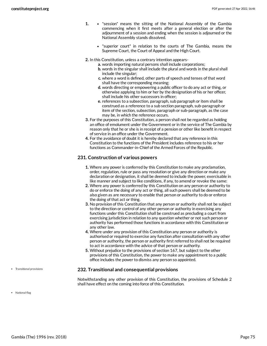- **1.** "session" means the sitting of the National Assembly of the Gambia commencing when it first meets after a general election or after the adjournment of a session and ending when the session is adjourned or the National Assembly stands dissolved.
	- "superior court" in relation to the courts of The Gambia, means the Supreme Court, the Court of Appeal and the High Court.
- **2.** In this Constitution, unless a contrary intention appears
	- **a.** words importing natural persons shall include corporations;
	- **b.** words in the singular shall include the plural and words in the plural shall include the singular;
	- **c.** where a word is defined, other parts of speech and tenses of that word shall have the corresponding meaning;
	- **d.** words directing or empowering a public officer to do any act or thing, or otherwise applying to him or her by the designation of his or her officer, shall include his other successors in officer;
	- **e.** references to a subsection, paragraph, sub paragraph or item shall be construed as a reference to a sub section paragraph, sub-paragraph or item of the section, subsection, paragraph or sub-paragraph, as the case may be, in which the reference occurs.
- **3.** For the purposes of this Constitution, a person shall not be regarded as holding an office of emolument under the Government or in the service of The Gambia by reason only that he or she is in receipt of a pension or other like benefit in respect of service in an office under the Government.
- **4.** For the avoidance of doubt it is hereby declared that any reference in this Constitution to the functions of the President includes reference to his or her functions as Commander-in-Chief of the Armed Forces of the Republic.

#### **231. Construction of various powers**

- **1.** Where any power is conferred by this Constitution to make any proclamation, order, regulation, rule or pass any resolution or give any direction or make any declaration or designation, it shall be deemed to include the power, exercisable in like manner and subject to like conditions, if any, to amend or revoke the same:
- **2.** Where any power is conferred by this Constitution on any person or authority to do or enforce the doing of any act or thing, all such powers shall be deemed to be also given as are necessary to enable that person or authority to do or enforce the doing of that act or thing.
- **3.** No provision of this Constitution that any person or authority shall not be subject to the direction or control of any other person or authority in exercising any functions under this Constitution shall be construed as precluding a court from exercising jurisdiction in relation to any question whether or not such person or authority has performed those functions in accordance with this Constitution or any other law.
- **4.** Where under any provision of this Constitution any person or authority is authorised or required to exercise any function after consultation with any other person or authority, the person or authority first referred to shall not be required to act in accordance with the advice of that person or authority.
- **5.** Without prejudice to the provisions of section 167, but subject to the other provisions of this Constitution, the power to make any appointment to a public office includes the power to dismiss any person so appointed.

#### <span id="page-74-1"></span>**232. Transitional and consequential provisions**

<span id="page-74-0"></span>Notwithstanding any other provision of this Constitution, the provisions of Schedule 2 shall have effect on the coming into force of this Constitution.

National flag

Transitional provisions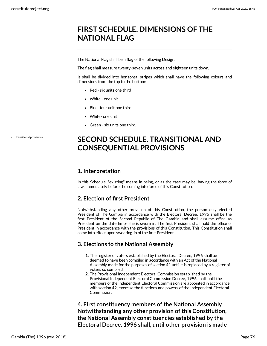# **FIRST SCHEDULE. DIMENSIONS OF THE NATIONAL FLAG**

The National Flag shall be a flag of the following Design:

The flag shall measure twenty-seven units across and eighteen units down.

It shall be divided into horizontal stripes which shall have the following colours and dimensions from the top to the bottom:

- Red six units one third
- White one unit
- Blue- four unit one third
- White- one unit
- Green six units one third.

Transitional provisions

# <span id="page-75-0"></span>**SECOND SCHEDULE. TRANSITIONAL AND CONSEQUENTIAL PROVISIONS**

# **1. Interpretation**

In this Schedule, "existing" means in being, or as the case may be, having the force of law, immediately before the coming into force of this Constitution.

# **2. Election of first President**

Notwithstanding any other provision of this Constitution, the person duly elected President of The Gambia in accordance with the Electoral Decree, 1996 shall be the first President of the Second Republic of The Gambia and shall assume office as President on the date he or she is sworn in. The first President shall hold the office of President in accordance with the provisions of this Constitution. This Constitution shall come into effect upon swearing-in of the first President.

# **3. Elections to the National Assembly**

- **1.** The register of voters established by the Electoral Decree, 1996 shall be deemed to have been compiled in accordance with an Act of the National Assembly made for the purposes of section 41 until it is replaced by a register of voters so compiled.
- **2.** The Provisional Independent Electoral Commission established by the Provisional Independent Electoral Commission Decree, 1996 shall, until the members of the Independent Electoral Commission are appointed in accordance with section 42, exercise the functions and powers of the Independent Electoral Commission.

**4. First constituency members of the National Assembly Notwithstanding any other provision of this Constitution, the National Assembly constituencies established by the Electoral Decree, 1996 shall, until other provision is made**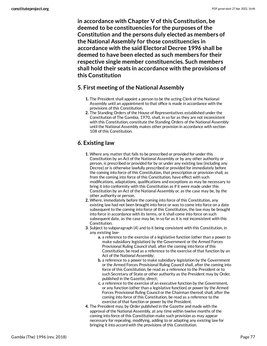**in accordance with Chapter V of this Constitution, be deemed to be constituencies for the purposes of the Constitution and the persons duly elected as members of the National Assembly for those constituencies in accordance with the said Electoral Decree 1996 shall be deemed to have been elected as such members for their respective single member constituencies. Such members shall hold their seats in accordance with the provisions of this Constitution**

### **5. First meeting of the National Assembly**

- **1.** The President shall appoint a person to be the acting Clerk of the National Assembly until an appointment to that office is made in accordance with the provisions of this Constitution.
- **2.** The Standing Orders of the House of Representatives established under the Constitution of The Gambia, 1970, shall, in so far as they are not inconsistent with this Constitution, constitute the Standing Orders of the National Assembly until the National Assembly makes other provision in accordance with section 108 of this Constitution.

# **6. Existing law**

- **1.** Where any matter that fails to be prescribed or provided for under this Constitution by an Act of the National Assembly or by any other authority or person, is prescribed or provided for by or under any existing law (including any Decree) or is otherwise lawfully prescribed or provided for immediately before the coming into force of this Constitution, that prescription or provision shall, as from the coming into force of this Constitution, have effect with such modifications, adaptations, qualifications and exceptions as may be necessary to bring it into conformity with this Constitution as if it were made under this Constitution by an Act of the National Assembly or, as the case may be, by the other authority or person.
- **2.** Where, immediately before the coming into force of this Constitution, any existing law had not been brought into force or was to come into force on a date subsequent to the coming into force of this Constitution, the law may be brought into force in accordance with its terms, or it shall come into force on such subsequent date, as the case may be, in so far as it is not inconsistent with this Constitution.
- **3.** Subject to subparagraph (4) and to it being consistent with this Constitution, in any existing law
	- **a.** a reference to the exercise of a legislative function (other than a power to make subsidiary legislation) by the Government or the Armed Forces Provisional Ruling Council shall, after the coming into force of this Constitution, be read as a reference to the exercise of that function by an Act of the National Assembly;
	- **b.** a reference to a power to make subsidiary legislation by the Government or the Armed Forces Provisional Ruling Council shall, after the coming into force of this Constitution, be read as a reference to the President or to such Secretary of State or other authority as the President may by Order, published in the Gazette, direct;
	- **c.** a reference to the exercise of an executive function by the Government, or any function (other than a legislative function) or power by the Armed Forces Provisional Ruling Council or the Chairman thereof, shall, after the coming into force of this Constitution, be read as a reference to the exercise of that function or power by the President.
- **4.** The President may, by Order published in the Gazette and made with the approval of the National Assembly, at any time within twelve months of the coming into force of this Constitution make such provision as may appear necessary for repealing, modifying, adding to or adapting any existing law for bringing it into accord with the provisions of this Constitution.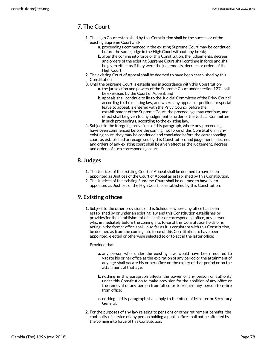# **7. The Court**

- **1.** The High Court established by this Constitution shall be the successor of the existing Supreme Court and
	- **a.** proceedings commenced in the existing Supreme Court may be continued before the same judge in the High Court without any break;
	- **b.** after the coming into force of this Constitution, the judgements, decrees and orders of the existing Supreme Court shall continue in force and shall be given effect as if they were the judgements, decrees or orders of the High Court.
- **2.** The existing Court of Appeal shall be deemed to have been established by this Constitution.
- **3.** Until the Supreme Court is established in accordance with this Constitution**a.** the jurisdiction and powers of the Supreme Court under section 127 shall be exercised by the Court of Appeal; and
	- **b.** appeals shall continue to lie to the Judicial Committee of the Privy Council according to the existing law, and where any appeal, or petition for special leave to appeal, is entered with the Privy Council before the establishment of the Supreme Court, the proceedings may continue, and effect shall be given to any judgement or order of the Judicial Committee in such proceedings, according to the existing law.
- **4.** Subject to the foregoing provisions of this paragraph, where any proceedings have been commenced before the coming into force of this Constitution in any existing court, they may be continued and concluded before the corresponding court as established or recognised by this Constitution, and judgements, decrees and orders of any existing court shall be given effect as the judgement, decrees and orders of such corresponding court.

# **8. Judges**

- **1.** The Justices of the existing Court of Appeal shall be deemed to have been appointed as Justices of the Court of Appeal as established by this Constitution.
- **2.** The Justices of the existing Supreme Court shall be deemed to have been appointed as Justices of the High Court as established by this Constitution.

# **9. Existing offices**

**1.** Subject to the other provisions of this Schedule, where any office has been established by or under an existing law and this Constitution establishes or provides for the establishment of a similar or corresponding office, any person who, immediately before the coming into force of this Constitution holds or is acting in the former office shall, in so far as it is consistent with this Constitution, be deemed as from the coming into force of this Constitution to have been appointed, elected or otherwise selected to or to act in the latter office:

#### Provided that-

- **a.** any person who, under the existing law, would have been required to vacate his or her office at the expiration of any period or the attainment of any age shall vacate his or her office on the expiry of that period or on the attainment of that age;
- **b.** nothing in this paragraph affects the power of any person or authority under this Constitution to make provision for the abolition of any office or the removal of any person from office or to require any person to retire from office;
- **c.** nothing in this paragraph shall apply to the office of Minister or Secretary General.
- **2.** For the purposes of any law relating to pensions or other retirement benefits, the continuity of service of any person holding a public office shall not be affected by the coming into force of this Constitution.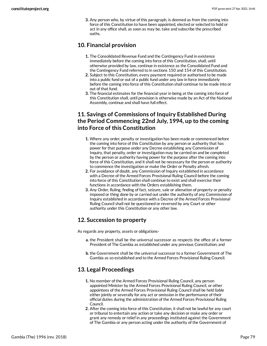**3.** Any person who, by virtue of this paragraph, is deemed as from the coming into force of this Constitution to have been appointed, elected or selected to hold or act in any office shall, as soon as may be, take and subscribe the prescribed oaths.

# **10. Financial provision**

- **1.** The Consolidated Revenue Fund and the Contingency Fund in existence immediately before the coming into force of this Constitution, shall, until otherwise provided by law, continue in existence as the Consolidated Fund and the Contingency Fund referred to in sections 150 and 154 of this Constitution.
- **2.** Subject to this Constitution, every payment required or authorised to be made into a public fund or out of a public fund under any law in force immediately before the coming into force of this Constitution shall continue to be made into or out of that fund.
- **3.** The financial estimates for the financial year in being at the coming into force of this Constitution shall, until provision is otherwise made by an Act of the National Assembly, continue and shall have full effect.

# **11. Savings of Commissions of Inquiry Established During the Period Commencing 22nd July, 1994, up to the coming into Force of this Constitution**

- **1.** Where any order, penalty or investigation has been made or commenced before the coming into force of this Constitution by any person or authority that has power for that purpose under any Decree establishing any Commission of Inquiry, that penalty, order or investigation may be carried on and be completed by the person or authority having power for the purpose after the coming into force of this Constitution, and it shall not be necessary for the person or authority to commence the investigation or make the Order or Penalty afresh.
- **2.** For avoidance of doubt, any Commission of Inquiry established in accordance with a Decree of the Armed Forces Provisional Ruling Council before the coming into force of this Constitution shall continue to exist and shall exercise their functions in accordance with the Orders establishing them.
- **3.** Any Order, Ruling, finding of fact, seizure, sale or alienation of property or penalty imposed or thing done by or carried out under the authority of any Commission of Inquiry established in accordance with a Decree of the Armed Forces Provisional Ruling Council shall not be questioned or reversed by any Court or other authority under this Constitution or any other law.

# **12. Succession to property**

As regards any property, assets or obligations-

- **a.** the President shall be the universal successor as respects the office of a former President of The Gambia as established under any previous Constitution; and
- **b.** the Government shall be the universal successor to a former Government of The Gambia as so established and to the Armed Forces Provisional Ruling Council.

# **13. Legal Proceedings**

- **1.** No member of the Armed Forces Provisional Ruling Council, any person appointed Minister by the Armed Forces Provisional Ruling Council, or other appointees of the Armed Forces Provisional Ruling Council shall be held liable either jointly or severally for any act or omission in the performance of their official duties during the administration of the Armed Forces Provisional Ruling Council.
- **2.** After the coming into force of this Constitution, it shall not be lawful for any court or tribunal to entertain any action or take any decision or make any order or grant any remedy or relief in any proceedings instituted against the Government of The Gambia or any person acting under the authority of the Government of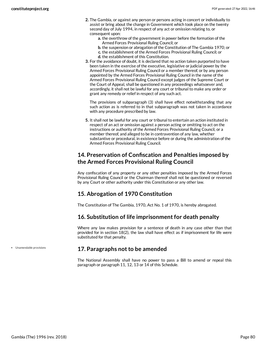- **2.** The Gambia, or against any person or persons acting in concert or individually to assist or bring about the change in Government which took place on the twenty second day of July 1994, in respect of any act or omission relating to, or consequent upon:
	- **a.** the overthrow of the government in power before the formation of the Armed Forces Provisional Ruling Council; or
	- **b.** the suspension or abrogation of the Constitution of The Gambia 1970; or
	- **c.** the establishment of the Armed Forces Provisional Ruling Council; or
	- **d.** the establishment of this Constitution.
- **3.** For the avoidance of doubt, it is declared that no action taken purported to have been taken in the exercise of the executive, legislative or judicial power by the Armed Forces Provisional Ruling Council or a member thereof, or by any person appointed by the Armed Forces Provisional Ruling Council in the name of the Armed Forces Provisional Ruling Council except judges of the Supreme Court or the Court of Appeal, shall be questioned in any proceedings whatsoever and, accordingly, it shall not be lawful for any court or tribunal to make any order or grant any remedy or relief in respect of any such act.

The provisions of subparagraph (3) shall have effect notwithstanding that any such action as is referred to in that subparagraph was not taken in accordance with any procedure prescribed by law.

**5.** It shall not be lawful for any court or tribunal to entertain an action instituted in respect of an act or omission against a person acting or omitting to act on the instructions or authority of the Armed Forces Provisional Ruling Council, or a member thereof, and alleged to be in contravention of any law, whether substantive or procedural, in existence before or during the administration of the Armed Forces Provisional Ruling Council.

# **14. Preservation of Confiscation and Penalties imposed by the Armed Forces Provisional Ruling Council**

Any confiscation of any property or any other penalties imposed by the Armed Forces Provisional Ruling Council or the Chairman thereof shall not be questioned or reversed by any Court or other authority under this Constitution or any other law.

# **15. Abrogation of 1970 Constitution**

The Constitution of The Gambia, 1970, Act No. 1 of 1970, is hereby abrogated.

### **16. Substitution of life imprisonment for death penalty**

Where any law makes provision for a sentence of death in any case other than that provided for in section 18(2), the law shall have effect as if imprisonment for life were substituted for that penalty.

Unamendable provisions

# <span id="page-79-0"></span>**17. Paragraphs not to be amended**

The National Assembly shall have no power to pass a Bill to amend or repeal this paragraph or paragraph 11, 12, 13 or 14 of this Schedule.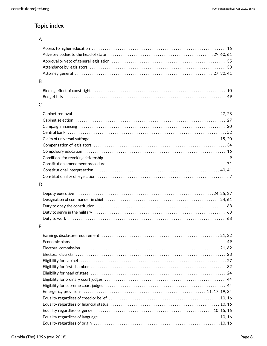# **Topic index**

# A

### B

## C

# D

### E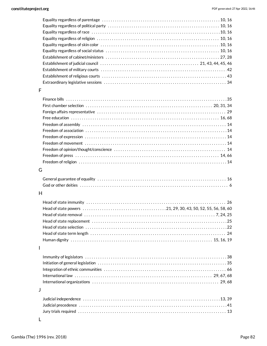| Equality regardless of social status $\dots\dots\dots\dots\dots\dots\dots\dots\dots\dots\dots\dots\dots\dots\dots\dots\dots$ |  |
|------------------------------------------------------------------------------------------------------------------------------|--|
|                                                                                                                              |  |
|                                                                                                                              |  |
|                                                                                                                              |  |
|                                                                                                                              |  |
|                                                                                                                              |  |
|                                                                                                                              |  |

#### F

## G

#### H

#### I

## J

| Judicial precedence in its interest in the contract of the contract of the contract of the contract of the contract of the contract of the contract of the contract of the contract of the contract of the contract of the con |  |
|--------------------------------------------------------------------------------------------------------------------------------------------------------------------------------------------------------------------------------|--|
|                                                                                                                                                                                                                                |  |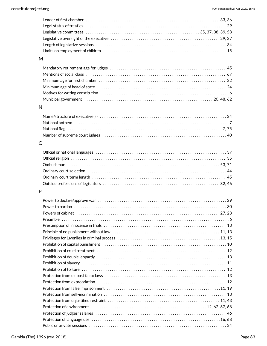## M

## N

# O

#### P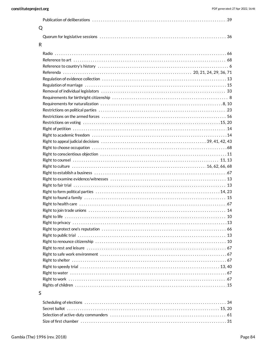| Q            |  |
|--------------|--|
|              |  |
| $\mathsf{R}$ |  |
|              |  |
|              |  |
|              |  |
|              |  |
|              |  |
|              |  |
|              |  |
|              |  |
|              |  |
|              |  |
|              |  |
|              |  |
|              |  |
|              |  |
|              |  |
|              |  |
|              |  |
|              |  |
|              |  |
|              |  |
|              |  |
|              |  |
|              |  |
|              |  |
|              |  |
|              |  |
|              |  |
|              |  |
|              |  |
|              |  |
|              |  |
|              |  |
|              |  |
|              |  |
|              |  |
|              |  |
|              |  |
|              |  |